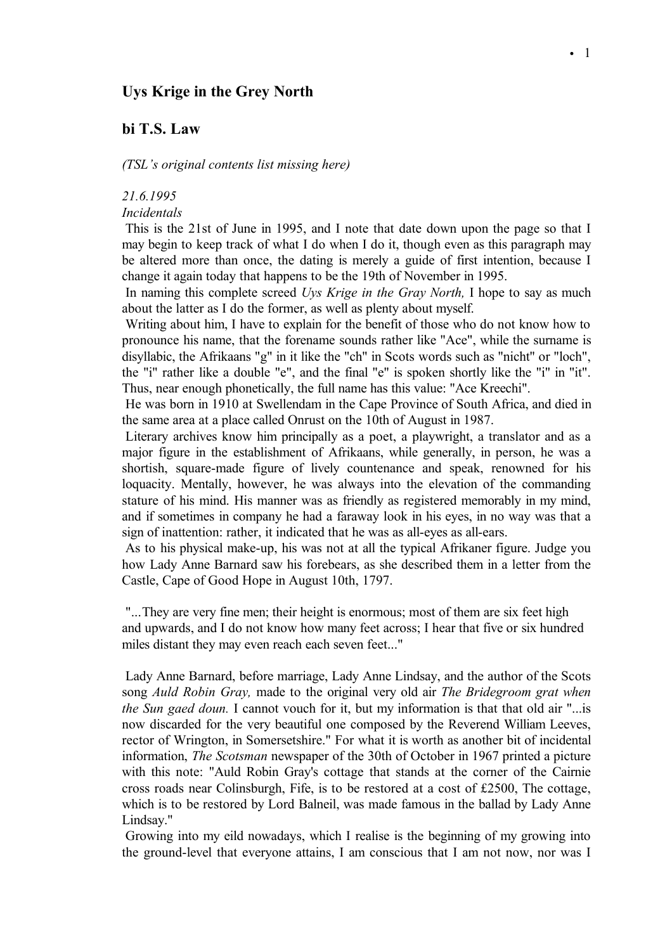# **Uys Krige in the Grey North**

# **bi T.S. Law**

*(TSL's original contents list missing here)*

# *21.6.1995*

*Incidentals*

This is the 21st of June in 1995, and I note that date down upon the page so that I may begin to keep track of what I do when I do it, though even as this paragraph may be altered more than once, the dating is merely a guide of first intention, because I change it again today that happens to be the 19th of November in 1995.

In naming this complete screed *Uys Krige in the Gray North,* I hope to say as much about the latter as I do the former, as well as plenty about myself.

Writing about him, I have to explain for the benefit of those who do not know how to pronounce his name, that the forename sounds rather like "Ace", while the surname is disyllabic, the Afrikaans "g" in it like the "ch" in Scots words such as "nicht" or "loch", the "i" rather like a double "e", and the final "e" is spoken shortly like the "i" in "it". Thus, near enough phonetically, the full name has this value: "Ace Kreechi".

He was born in 1910 at Swellendam in the Cape Province of South Africa, and died in the same area at a place called Onrust on the 10th of August in 1987.

Literary archives know him principally as a poet, a playwright, a translator and as a major figure in the establishment of Afrikaans, while generally, in person, he was a shortish, square-made figure of lively countenance and speak, renowned for his loquacity. Mentally, however, he was always into the elevation of the commanding stature of his mind. His manner was as friendly as registered memorably in my mind, and if sometimes in company he had a faraway look in his eyes, in no way was that a sign of inattention: rather, it indicated that he was as all-eyes as all-ears.

As to his physical make-up, his was not at all the typical Afrikaner figure. Judge you how Lady Anne Barnard saw his forebears, as she described them in a letter from the Castle, Cape of Good Hope in August 10th, 1797.

"...They are very fine men; their height is enormous; most of them are six feet high and upwards, and I do not know how many feet across; I hear that five or six hundred miles distant they may even reach each seven feet..."

Lady Anne Barnard, before marriage, Lady Anne Lindsay, and the author of the Scots song *Auld Robin Gray,* made to the original very old air *The Bridegroom grat when the Sun gaed doun.* I cannot vouch for it, but my information is that that old air "...is now discarded for the very beautiful one composed by the Reverend William Leeves, rector of Wrington, in Somersetshire." For what it is worth as another bit of incidental information, *The Scotsman* newspaper of the 30th of October in 1967 printed a picture with this note: "Auld Robin Gray's cottage that stands at the corner of the Cairnie cross roads near Colinsburgh, Fife, is to be restored at a cost of  $£2500$ , The cottage, which is to be restored by Lord Balneil, was made famous in the ballad by Lady Anne Lindsay."

Growing into my eild nowadays, which I realise is the beginning of my growing into the ground-level that everyone attains, I am conscious that I am not now, nor was I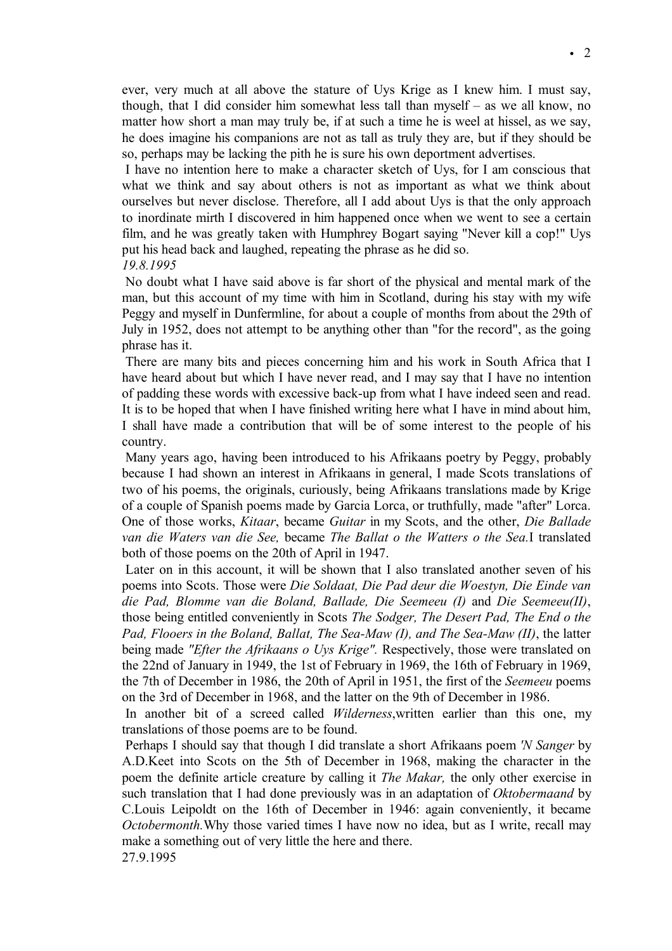ever, very much at all above the stature of Uys Krige as I knew him. I must say, though, that I did consider him somewhat less tall than myself – as we all know, no matter how short a man may truly be, if at such a time he is weel at hissel, as we say, he does imagine his companions are not as tall as truly they are, but if they should be so, perhaps may be lacking the pith he is sure his own deportment advertises.

I have no intention here to make a character sketch of Uys, for I am conscious that what we think and say about others is not as important as what we think about ourselves but never disclose. Therefore, all I add about Uys is that the only approach to inordinate mirth I discovered in him happened once when we went to see a certain film, and he was greatly taken with Humphrey Bogart saying "Never kill a cop!" Uys put his head back and laughed, repeating the phrase as he did so.

#### *19.8.1995*

No doubt what I have said above is far short of the physical and mental mark of the man, but this account of my time with him in Scotland, during his stay with my wife Peggy and myself in Dunfermline, for about a couple of months from about the 29th of July in 1952, does not attempt to be anything other than "for the record", as the going phrase has it.

There are many bits and pieces concerning him and his work in South Africa that I have heard about but which I have never read, and I may say that I have no intention of padding these words with excessive back-up from what I have indeed seen and read. It is to be hoped that when I have finished writing here what I have in mind about him, I shall have made a contribution that will be of some interest to the people of his country.

Many years ago, having been introduced to his Afrikaans poetry by Peggy, probably because I had shown an interest in Afrikaans in general, I made Scots translations of two of his poems, the originals, curiously, being Afrikaans translations made by Krige of a couple of Spanish poems made by Garcia Lorca, or truthfully, made "after" Lorca. One of those works, *Kitaar*, became *Guitar* in my Scots, and the other, *Die Ballade van die Waters van die See,* became *The Ballat o the Watters o the Sea.*I translated both of those poems on the 20th of April in 1947.

Later on in this account, it will be shown that I also translated another seven of his poems into Scots. Those were *Die Soldaat, Die Pad deur die Woestyn, Die Einde van die Pad, Blomme van die Boland, Ballade, Die Seemeeu (I)* and *Die Seemeeu(II)*, those being entitled conveniently in Scots *The Sodger, The Desert Pad, The End o the Pad, Flooers in the Boland, Ballat, The Sea-Maw (I), and The Sea-Maw (II)*, the latter being made *"Efter the Afrikaans o Uys Krige".* Respectively, those were translated on the 22nd of January in 1949, the 1st of February in 1969, the 16th of February in 1969, the 7th of December in 1986, the 20th of April in 1951, the first of the *Seemeeu* poems on the 3rd of December in 1968, and the latter on the 9th of December in 1986.

In another bit of a screed called *Wilderness*,written earlier than this one, my translations of those poems are to be found.

Perhaps I should say that though I did translate a short Afrikaans poem *'N Sanger* by A.D.Keet into Scots on the 5th of December in 1968, making the character in the poem the definite article creature by calling it *The Makar,* the only other exercise in such translation that I had done previously was in an adaptation of *Oktobermaand* by C.Louis Leipoldt on the 16th of December in 1946: again conveniently, it became *Octobermonth.*Why those varied times I have now no idea, but as I write, recall may make a something out of very little the here and there. 27.9.1995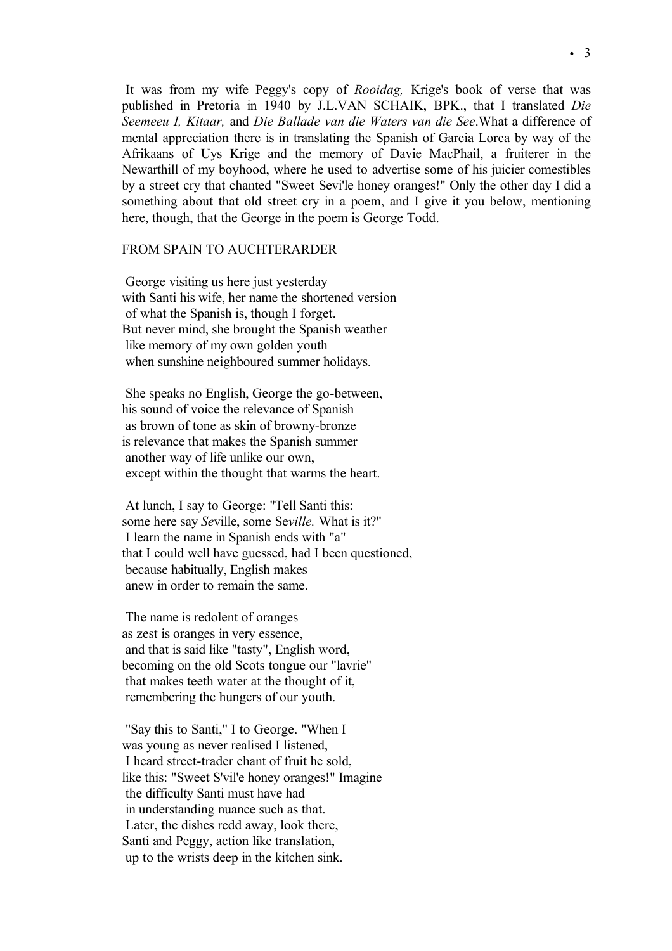It was from my wife Peggy's copy of *Rooidag,* Krige's book of verse that was published in Pretoria in 1940 by J.L.VAN SCHAIK, BPK., that I translated *Die Seemeeu I, Kitaar,* and *Die Ballade van die Waters van die See*.What a difference of mental appreciation there is in translating the Spanish of Garcia Lorca by way of the Afrikaans of Uys Krige and the memory of Davie MacPhail, a fruiterer in the Newarthill of my boyhood, where he used to advertise some of his juicier comestibles by a street cry that chanted "Sweet Sevi'le honey oranges!" Only the other day I did a something about that old street cry in a poem, and I give it you below, mentioning here, though, that the George in the poem is George Todd.

# FROM SPAIN TO AUCHTERARDER

George visiting us here just yesterday with Santi his wife, her name the shortened version of what the Spanish is, though I forget. But never mind, she brought the Spanish weather like memory of my own golden youth when sunshine neighboured summer holidays.

She speaks no English, George the go-between, his sound of voice the relevance of Spanish as brown of tone as skin of browny-bronze is relevance that makes the Spanish summer another way of life unlike our own, except within the thought that warms the heart.

At lunch, I say to George: "Tell Santi this: some here say *Se*ville, some Se*ville.* What is it?" I learn the name in Spanish ends with "a" that I could well have guessed, had I been questioned, because habitually, English makes anew in order to remain the same.

The name is redolent of oranges as zest is oranges in very essence, and that is said like "tasty", English word, becoming on the old Scots tongue our "lavrie" that makes teeth water at the thought of it, remembering the hungers of our youth.

"Say this to Santi," I to George. "When I was young as never realised I listened, I heard street-trader chant of fruit he sold, like this: "Sweet S'vil'e honey oranges!" Imagine the difficulty Santi must have had in understanding nuance such as that. Later, the dishes redd away, look there, Santi and Peggy, action like translation, up to the wrists deep in the kitchen sink.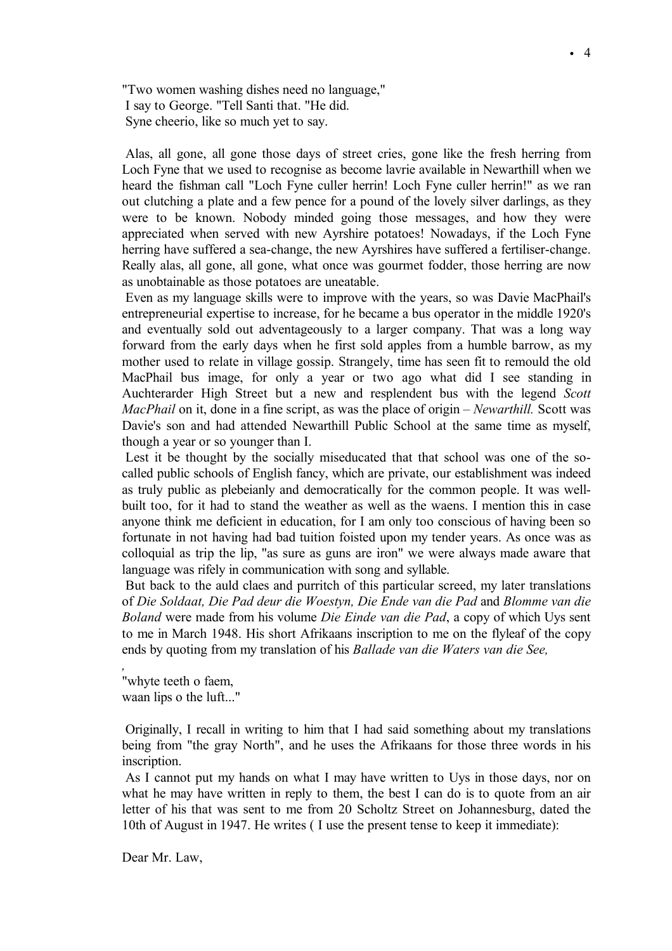"Two women washing dishes need no language," I say to George. "Tell Santi that. "He did. Syne cheerio, like so much yet to say.

Alas, all gone, all gone those days of street cries, gone like the fresh herring from Loch Fyne that we used to recognise as become lavrie available in Newarthill when we heard the fishman call "Loch Fyne culler herrin! Loch Fyne culler herrin!" as we ran out clutching a plate and a few pence for a pound of the lovely silver darlings, as they were to be known. Nobody minded going those messages, and how they were appreciated when served with new Ayrshire potatoes! Nowadays, if the Loch Fyne herring have suffered a sea-change, the new Ayrshires have suffered a fertiliser-change. Really alas, all gone, all gone, what once was gourmet fodder, those herring are now as unobtainable as those potatoes are uneatable.

Even as my language skills were to improve with the years, so was Davie MacPhail's entrepreneurial expertise to increase, for he became a bus operator in the middle 1920's and eventually sold out adventageously to a larger company. That was a long way forward from the early days when he first sold apples from a humble barrow, as my mother used to relate in village gossip. Strangely, time has seen fit to remould the old MacPhail bus image, for only a year or two ago what did I see standing in Auchterarder High Street but a new and resplendent bus with the legend *Scott MacPhail* on it, done in a fine script, as was the place of origin – *Newarthill.* Scott was Davie's son and had attended Newarthill Public School at the same time as myself, though a year or so younger than I.

Lest it be thought by the socially miseducated that that school was one of the socalled public schools of English fancy, which are private, our establishment was indeed as truly public as plebeianly and democratically for the common people. It was wellbuilt too, for it had to stand the weather as well as the waens. I mention this in case anyone think me deficient in education, for I am only too conscious of having been so fortunate in not having had bad tuition foisted upon my tender years. As once was as colloquial as trip the lip, "as sure as guns are iron" we were always made aware that language was rifely in communication with song and syllable.

But back to the auld claes and purritch of this particular screed, my later translations of *Die Soldaat, Die Pad deur die Woestyn, Die Ende van die Pad* and *Blomme van die Boland* were made from his volume *Die Einde van die Pad*, a copy of which Uys sent to me in March 1948. His short Afrikaans inscription to me on the flyleaf of the copy ends by quoting from my translation of his *Ballade van die Waters van die See,*

"whyte teeth o faem, waan lips o the luft..."

*,*

Originally, I recall in writing to him that I had said something about my translations being from "the gray North", and he uses the Afrikaans for those three words in his inscription.

As I cannot put my hands on what I may have written to Uys in those days, nor on what he may have written in reply to them, the best I can do is to quote from an air letter of his that was sent to me from 20 Scholtz Street on Johannesburg, dated the 10th of August in 1947. He writes ( I use the present tense to keep it immediate):

Dear Mr. Law,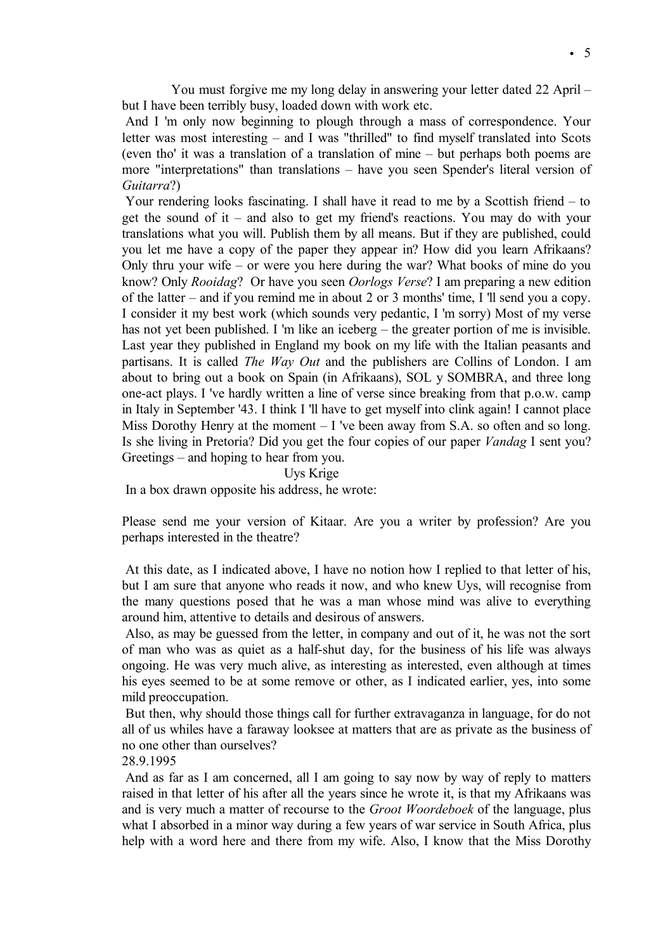You must forgive me my long delay in answering your letter dated 22 April – but I have been terribly busy, loaded down with work etc.

And I 'm only now beginning to plough through a mass of correspondence. Your letter was most interesting – and I was "thrilled" to find myself translated into Scots (even tho' it was a translation of a translation of mine – but perhaps both poems are more "interpretations" than translations – have you seen Spender's literal version of *Guitarra*?)

Your rendering looks fascinating. I shall have it read to me by a Scottish friend – to get the sound of it – and also to get my friend's reactions. You may do with your translations what you will. Publish them by all means. But if they are published, could you let me have a copy of the paper they appear in? How did you learn Afrikaans? Only thru your wife – or were you here during the war? What books of mine do you know? Only *Rooidag*? Or have you seen *Oorlogs Verse*? I am preparing a new edition of the latter – and if you remind me in about 2 or 3 months' time, I 'll send you a copy. I consider it my best work (which sounds very pedantic, I 'm sorry) Most of my verse has not yet been published. I 'm like an iceberg – the greater portion of me is invisible. Last year they published in England my book on my life with the Italian peasants and partisans. It is called *The Way Out* and the publishers are Collins of London. I am about to bring out a book on Spain (in Afrikaans), SOL y SOMBRA, and three long one-act plays. I 've hardly written a line of verse since breaking from that p.o.w. camp in Italy in September '43. I think I 'll have to get myself into clink again! I cannot place Miss Dorothy Henry at the moment  $-1$  've been away from S.A. so often and so long. Is she living in Pretoria? Did you get the four copies of our paper *Vandag* I sent you? Greetings – and hoping to hear from you.

Uys Krige

In a box drawn opposite his address, he wrote:

Please send me your version of Kitaar. Are you a writer by profession? Are you perhaps interested in the theatre?

At this date, as I indicated above, I have no notion how I replied to that letter of his, but I am sure that anyone who reads it now, and who knew Uys, will recognise from the many questions posed that he was a man whose mind was alive to everything around him, attentive to details and desirous of answers.

Also, as may be guessed from the letter, in company and out of it, he was not the sort of man who was as quiet as a half-shut day, for the business of his life was always ongoing. He was very much alive, as interesting as interested, even although at times his eyes seemed to be at some remove or other, as I indicated earlier, yes, into some mild preoccupation.

But then, why should those things call for further extravaganza in language, for do not all of us whiles have a faraway looksee at matters that are as private as the business of no one other than ourselves?

28.9.1995

And as far as I am concerned, all I am going to say now by way of reply to matters raised in that letter of his after all the years since he wrote it, is that my Afrikaans was and is very much a matter of recourse to the *Groot Woordeboek* of the language, plus what I absorbed in a minor way during a few years of war service in South Africa, plus help with a word here and there from my wife. Also, I know that the Miss Dorothy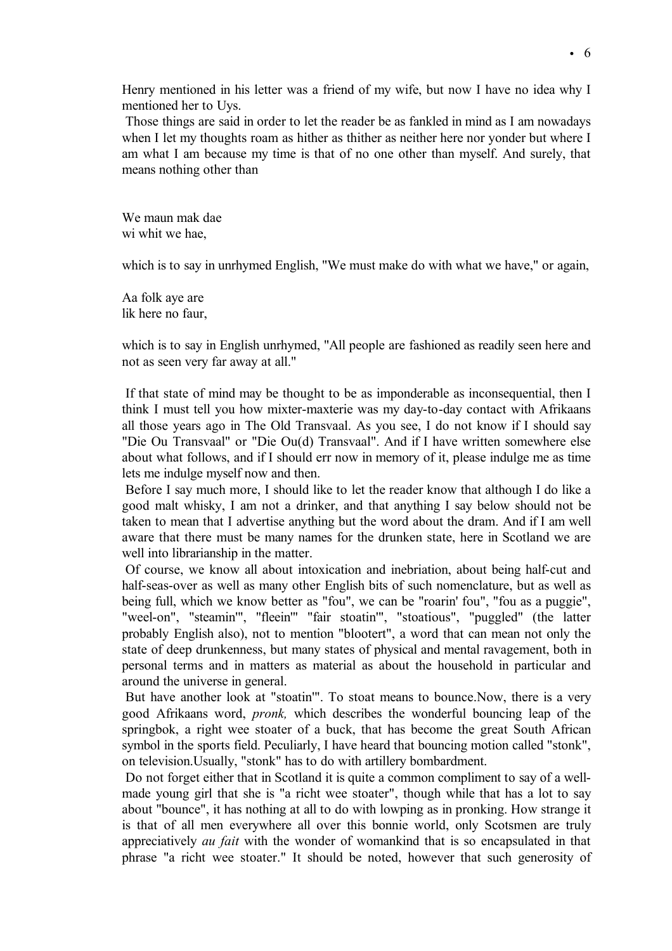Henry mentioned in his letter was a friend of my wife, but now I have no idea why I mentioned her to Uys.

Those things are said in order to let the reader be as fankled in mind as I am nowadays when I let my thoughts roam as hither as thither as neither here nor yonder but where I am what I am because my time is that of no one other than myself. And surely, that means nothing other than

We maun mak dae wi whit we hae,

which is to say in unrhymed English, "We must make do with what we have," or again,

Aa folk aye are lik here no faur,

which is to say in English unrhymed, "All people are fashioned as readily seen here and not as seen very far away at all."

If that state of mind may be thought to be as imponderable as inconsequential, then I think I must tell you how mixter-maxterie was my day-to-day contact with Afrikaans all those years ago in The Old Transvaal. As you see, I do not know if I should say "Die Ou Transvaal" or "Die Ou(d) Transvaal". And if I have written somewhere else about what follows, and if I should err now in memory of it, please indulge me as time lets me indulge myself now and then.

Before I say much more, I should like to let the reader know that although I do like a good malt whisky, I am not a drinker, and that anything I say below should not be taken to mean that I advertise anything but the word about the dram. And if I am well aware that there must be many names for the drunken state, here in Scotland we are well into librarianship in the matter.

Of course, we know all about intoxication and inebriation, about being half-cut and half-seas-over as well as many other English bits of such nomenclature, but as well as being full, which we know better as "fou", we can be "roarin' fou", "fou as a puggie", "weel-on", "steamin'", "fleein'" "fair stoatin'", "stoatious", "puggled" (the latter probably English also), not to mention "blootert", a word that can mean not only the state of deep drunkenness, but many states of physical and mental ravagement, both in personal terms and in matters as material as about the household in particular and around the universe in general.

But have another look at "stoatin'". To stoat means to bounce.Now, there is a very good Afrikaans word, *pronk,* which describes the wonderful bouncing leap of the springbok, a right wee stoater of a buck, that has become the great South African symbol in the sports field. Peculiarly, I have heard that bouncing motion called "stonk", on television.Usually, "stonk" has to do with artillery bombardment.

Do not forget either that in Scotland it is quite a common compliment to say of a wellmade young girl that she is "a richt wee stoater", though while that has a lot to say about "bounce", it has nothing at all to do with lowping as in pronking. How strange it is that of all men everywhere all over this bonnie world, only Scotsmen are truly appreciatively *au fait* with the wonder of womankind that is so encapsulated in that phrase "a richt wee stoater." It should be noted, however that such generosity of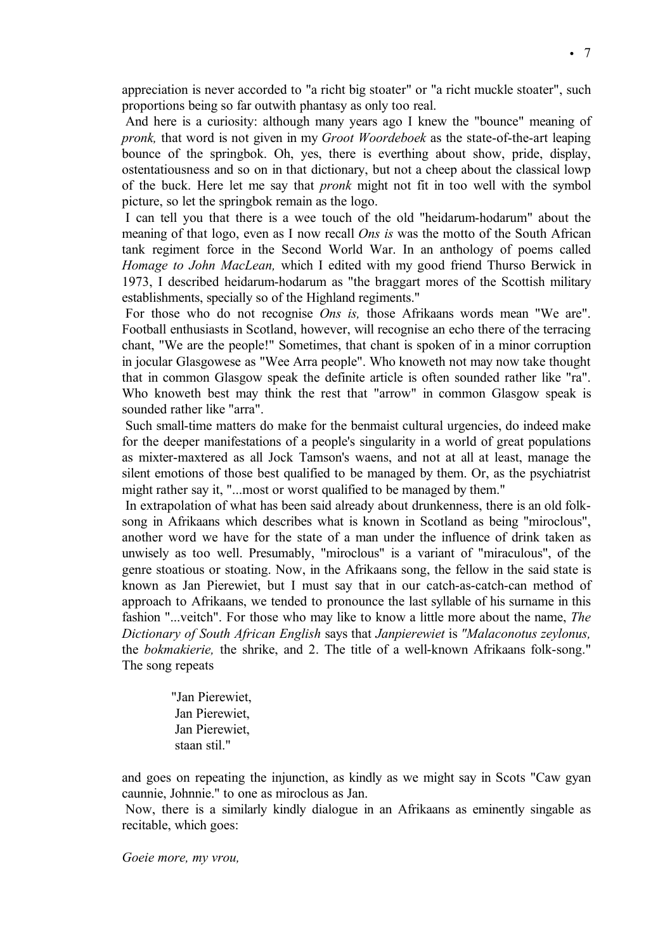appreciation is never accorded to "a richt big stoater" or "a richt muckle stoater", such proportions being so far outwith phantasy as only too real.

And here is a curiosity: although many years ago I knew the "bounce" meaning of *pronk,* that word is not given in my *Groot Woordeboek* as the state-of-the-art leaping bounce of the springbok. Oh, yes, there is everthing about show, pride, display, ostentatiousness and so on in that dictionary, but not a cheep about the classical lowp of the buck. Here let me say that *pronk* might not fit in too well with the symbol picture, so let the springbok remain as the logo.

I can tell you that there is a wee touch of the old "heidarum-hodarum" about the meaning of that logo, even as I now recall *Ons is* was the motto of the South African tank regiment force in the Second World War. In an anthology of poems called *Homage to John MacLean,* which I edited with my good friend Thurso Berwick in 1973, I described heidarum-hodarum as "the braggart mores of the Scottish military establishments, specially so of the Highland regiments."

For those who do not recognise *Ons is,* those Afrikaans words mean "We are". Football enthusiasts in Scotland, however, will recognise an echo there of the terracing chant, "We are the people!" Sometimes, that chant is spoken of in a minor corruption in jocular Glasgowese as "Wee Arra people". Who knoweth not may now take thought that in common Glasgow speak the definite article is often sounded rather like "ra". Who knoweth best may think the rest that "arrow" in common Glasgow speak is sounded rather like "arra".

Such small-time matters do make for the benmaist cultural urgencies, do indeed make for the deeper manifestations of a people's singularity in a world of great populations as mixter-maxtered as all Jock Tamson's waens, and not at all at least, manage the silent emotions of those best qualified to be managed by them. Or, as the psychiatrist might rather say it, "...most or worst qualified to be managed by them."

In extrapolation of what has been said already about drunkenness, there is an old folksong in Afrikaans which describes what is known in Scotland as being "miroclous", another word we have for the state of a man under the influence of drink taken as unwisely as too well. Presumably, "miroclous" is a variant of "miraculous", of the genre stoatious or stoating. Now, in the Afrikaans song, the fellow in the said state is known as Jan Pierewiet, but I must say that in our catch-as-catch-can method of approach to Afrikaans, we tended to pronounce the last syllable of his surname in this fashion "...veitch". For those who may like to know a little more about the name, *The Dictionary of South African English* says that *Janpierewiet* is *"Malaconotus zeylonus,* the *bokmakierie,* the shrike, and 2. The title of a well-known Afrikaans folk-song." The song repeats

> "Jan Pierewiet, Jan Pierewiet, Jan Pierewiet, staan stil."

and goes on repeating the injunction, as kindly as we might say in Scots "Caw gyan caunnie, Johnnie." to one as miroclous as Jan.

Now, there is a similarly kindly dialogue in an Afrikaans as eminently singable as recitable, which goes:

*Goeie more, my vrou,*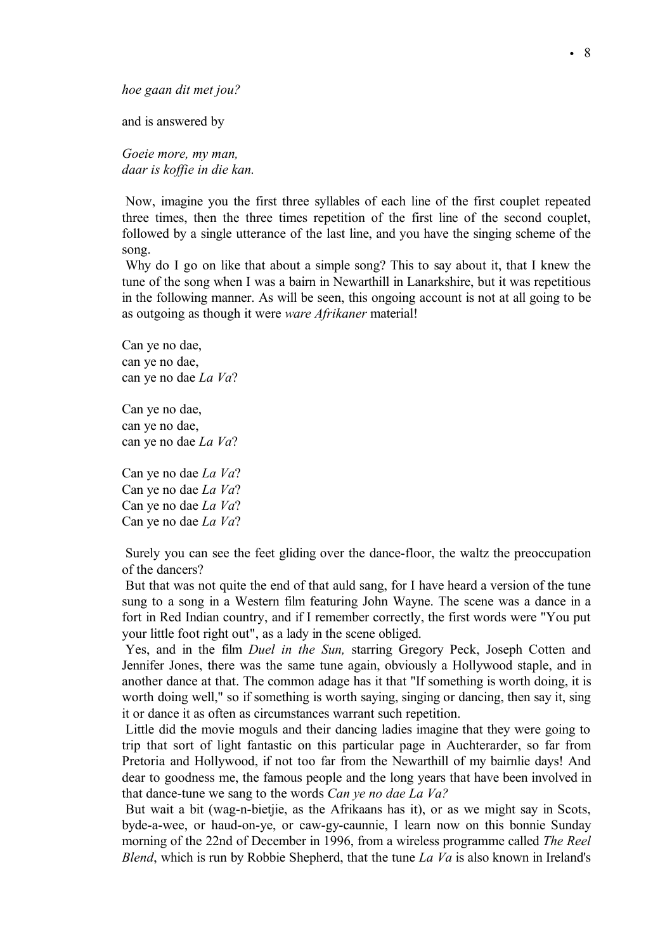*hoe gaan dit met jou?*

and is answered by

*Goeie more, my man, daar is koffie in die kan.*

Now, imagine you the first three syllables of each line of the first couplet repeated three times, then the three times repetition of the first line of the second couplet, followed by a single utterance of the last line, and you have the singing scheme of the song.

Why do I go on like that about a simple song? This to say about it, that I knew the tune of the song when I was a bairn in Newarthill in Lanarkshire, but it was repetitious in the following manner. As will be seen, this ongoing account is not at all going to be as outgoing as though it were *ware Afrikaner* material!

Can ye no dae, can ye no dae, can ye no dae *La Va*?

Can ye no dae, can ye no dae, can ye no dae *La Va*?

Can ye no dae *La Va*? Can ye no dae *La Va*? Can ye no dae *La Va*? Can ye no dae *La Va*?

Surely you can see the feet gliding over the dance-floor, the waltz the preoccupation of the dancers?

But that was not quite the end of that auld sang, for I have heard a version of the tune sung to a song in a Western film featuring John Wayne. The scene was a dance in a fort in Red Indian country, and if I remember correctly, the first words were "You put your little foot right out", as a lady in the scene obliged.

Yes, and in the film *Duel in the Sun,* starring Gregory Peck, Joseph Cotten and Jennifer Jones, there was the same tune again, obviously a Hollywood staple, and in another dance at that. The common adage has it that "If something is worth doing, it is worth doing well," so if something is worth saying, singing or dancing, then say it, sing it or dance it as often as circumstances warrant such repetition.

Little did the movie moguls and their dancing ladies imagine that they were going to trip that sort of light fantastic on this particular page in Auchterarder, so far from Pretoria and Hollywood, if not too far from the Newarthill of my bairnlie days! And dear to goodness me, the famous people and the long years that have been involved in that dance-tune we sang to the words *Can ye no dae La Va?*

But wait a bit (wag-n-bietjie, as the Afrikaans has it), or as we might say in Scots, byde-a-wee, or haud-on-ye, or caw-gy-caunnie, I learn now on this bonnie Sunday morning of the 22nd of December in 1996, from a wireless programme called *The Reel Blend*, which is run by Robbie Shepherd, that the tune *La Va* is also known in Ireland's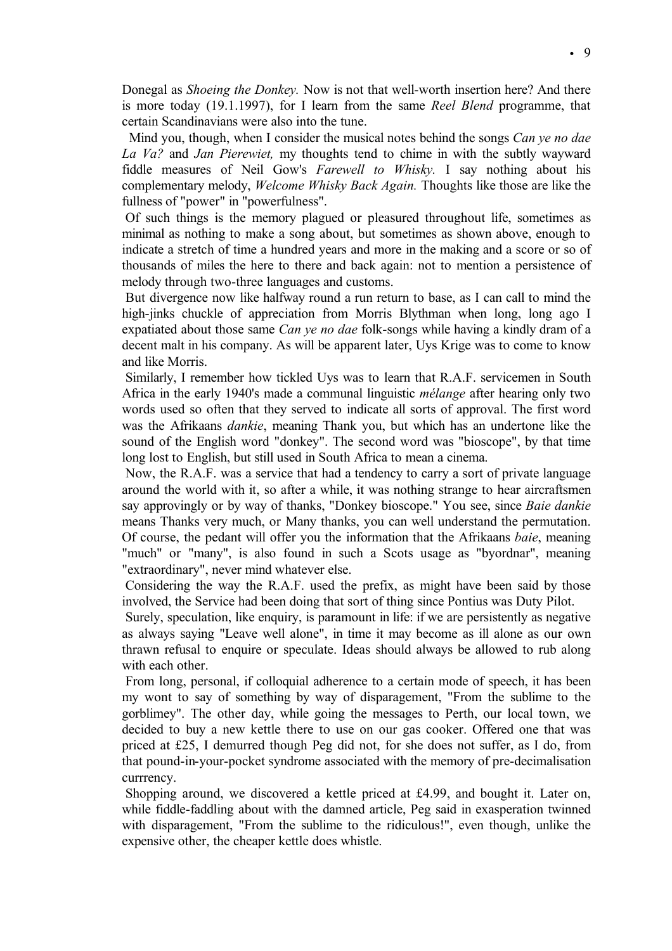Donegal as *Shoeing the Donkey.* Now is not that well-worth insertion here? And there is more today (19.1.1997), for I learn from the same *Reel Blend* programme, that certain Scandinavians were also into the tune.

Mind you, though, when I consider the musical notes behind the songs *Can ye no dae La Va?* and *Jan Pierewiet,* my thoughts tend to chime in with the subtly wayward fiddle measures of Neil Gow's *Farewell to Whisky.* I say nothing about his complementary melody, *Welcome Whisky Back Again.* Thoughts like those are like the fullness of "power" in "powerfulness".

Of such things is the memory plagued or pleasured throughout life, sometimes as minimal as nothing to make a song about, but sometimes as shown above, enough to indicate a stretch of time a hundred years and more in the making and a score or so of thousands of miles the here to there and back again: not to mention a persistence of melody through two-three languages and customs.

But divergence now like halfway round a run return to base, as I can call to mind the high-jinks chuckle of appreciation from Morris Blythman when long, long ago I expatiated about those same *Can ye no dae* folk-songs while having a kindly dram of a decent malt in his company. As will be apparent later, Uys Krige was to come to know and like Morris.

Similarly, I remember how tickled Uys was to learn that R.A.F. servicemen in South Africa in the early 1940's made a communal linguistic *mélange* after hearing only two words used so often that they served to indicate all sorts of approval. The first word was the Afrikaans *dankie*, meaning Thank you, but which has an undertone like the sound of the English word "donkey". The second word was "bioscope", by that time long lost to English, but still used in South Africa to mean a cinema.

Now, the R.A.F. was a service that had a tendency to carry a sort of private language around the world with it, so after a while, it was nothing strange to hear aircraftsmen say approvingly or by way of thanks, "Donkey bioscope." You see, since *Baie dankie*  means Thanks very much, or Many thanks, you can well understand the permutation. Of course, the pedant will offer you the information that the Afrikaans *baie*, meaning "much" or "many", is also found in such a Scots usage as "byordnar", meaning "extraordinary", never mind whatever else.

Considering the way the R.A.F. used the prefix, as might have been said by those involved, the Service had been doing that sort of thing since Pontius was Duty Pilot.

Surely, speculation, like enquiry, is paramount in life: if we are persistently as negative as always saying "Leave well alone", in time it may become as ill alone as our own thrawn refusal to enquire or speculate. Ideas should always be allowed to rub along with each other.

From long, personal, if colloquial adherence to a certain mode of speech, it has been my wont to say of something by way of disparagement, "From the sublime to the gorblimey". The other day, while going the messages to Perth, our local town, we decided to buy a new kettle there to use on our gas cooker. Offered one that was priced at Ä25, I demurred though Peg did not, for she does not suffer, as I do, from that pound-in-your-pocket syndrome associated with the memory of pre-decimalisation currrency.

Shopping around, we discovered a kettle priced at Ä4.99, and bought it. Later on, while fiddle-faddling about with the damned article, Peg said in exasperation twinned with disparagement, "From the sublime to the ridiculous!", even though, unlike the expensive other, the cheaper kettle does whistle.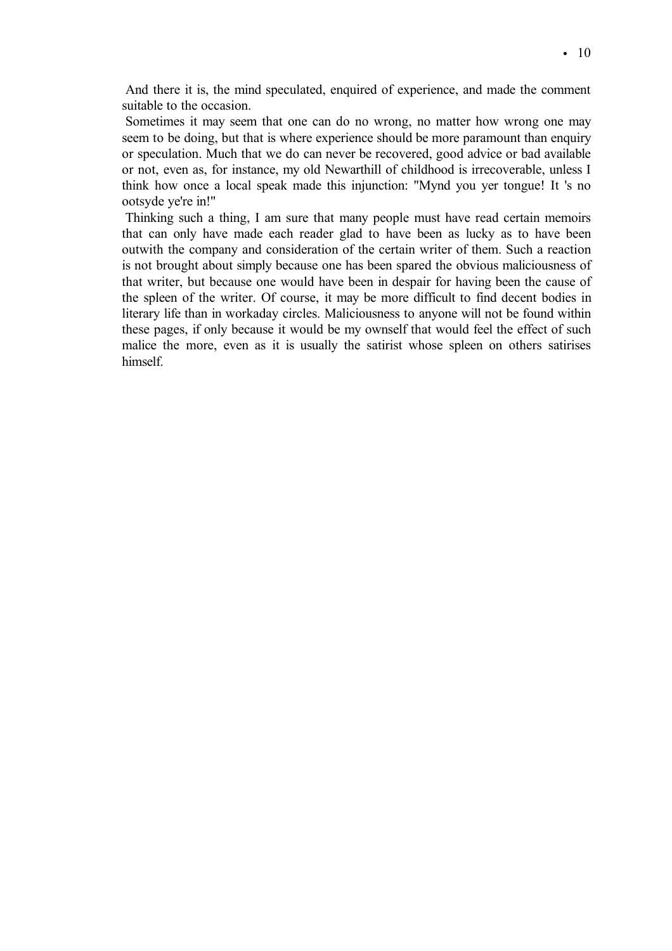And there it is, the mind speculated, enquired of experience, and made the comment suitable to the occasion.

Sometimes it may seem that one can do no wrong, no matter how wrong one may seem to be doing, but that is where experience should be more paramount than enquiry or speculation. Much that we do can never be recovered, good advice or bad available or not, even as, for instance, my old Newarthill of childhood is irrecoverable, unless I think how once a local speak made this injunction: "Mynd you yer tongue! It 's no ootsyde ye're in!"

Thinking such a thing, I am sure that many people must have read certain memoirs that can only have made each reader glad to have been as lucky as to have been outwith the company and consideration of the certain writer of them. Such a reaction is not brought about simply because one has been spared the obvious maliciousness of that writer, but because one would have been in despair for having been the cause of the spleen of the writer. Of course, it may be more difficult to find decent bodies in literary life than in workaday circles. Maliciousness to anyone will not be found within these pages, if only because it would be my ownself that would feel the effect of such malice the more, even as it is usually the satirist whose spleen on others satirises himself.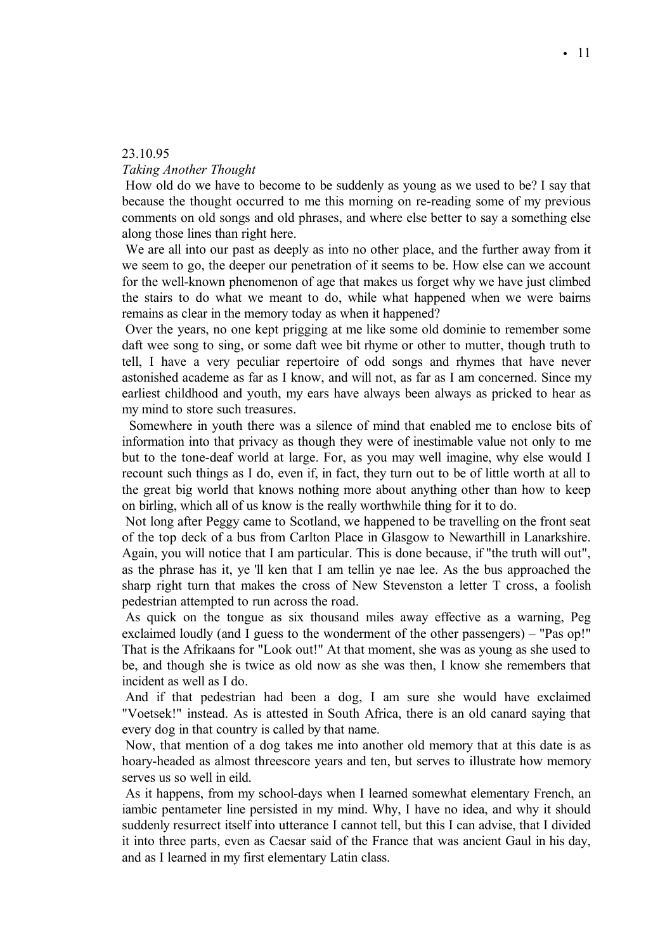# 23.10.95

# *Taking Another Thought*

How old do we have to become to be suddenly as young as we used to be? I say that because the thought occurred to me this morning on re-reading some of my previous comments on old songs and old phrases, and where else better to say a something else along those lines than right here.

We are all into our past as deeply as into no other place, and the further away from it we seem to go, the deeper our penetration of it seems to be. How else can we account for the well-known phenomenon of age that makes us forget why we have just climbed the stairs to do what we meant to do, while what happened when we were bairns remains as clear in the memory today as when it happened?

Over the years, no one kept prigging at me like some old dominie to remember some daft wee song to sing, or some daft wee bit rhyme or other to mutter, though truth to tell, I have a very peculiar repertoire of odd songs and rhymes that have never astonished academe as far as I know, and will not, as far as I am concerned. Since my earliest childhood and youth, my ears have always been always as pricked to hear as my mind to store such treasures.

Somewhere in youth there was a silence of mind that enabled me to enclose bits of information into that privacy as though they were of inestimable value not only to me but to the tone-deaf world at large. For, as you may well imagine, why else would I recount such things as I do, even if, in fact, they turn out to be of little worth at all to the great big world that knows nothing more about anything other than how to keep on birling, which all of us know is the really worthwhile thing for it to do.

Not long after Peggy came to Scotland, we happened to be travelling on the front seat of the top deck of a bus from Carlton Place in Glasgow to Newarthill in Lanarkshire. Again, you will notice that I am particular. This is done because, if "the truth will out", as the phrase has it, ye 'll ken that I am tellin ye nae lee. As the bus approached the sharp right turn that makes the cross of New Stevenston a letter T cross, a foolish pedestrian attempted to run across the road.

As quick on the tongue as six thousand miles away effective as a warning, Peg exclaimed loudly (and I guess to the wonderment of the other passengers) – "Pas op!" That is the Afrikaans for "Look out!" At that moment, she was as young as she used to be, and though she is twice as old now as she was then, I know she remembers that incident as well as I do.

And if that pedestrian had been a dog, I am sure she would have exclaimed "Voetsek!" instead. As is attested in South Africa, there is an old canard saying that every dog in that country is called by that name.

Now, that mention of a dog takes me into another old memory that at this date is as hoary-headed as almost threescore years and ten, but serves to illustrate how memory serves us so well in eild.

As it happens, from my school-days when I learned somewhat elementary French, an iambic pentameter line persisted in my mind. Why, I have no idea, and why it should suddenly resurrect itself into utterance I cannot tell, but this I can advise, that I divided it into three parts, even as Caesar said of the France that was ancient Gaul in his day, and as I learned in my first elementary Latin class.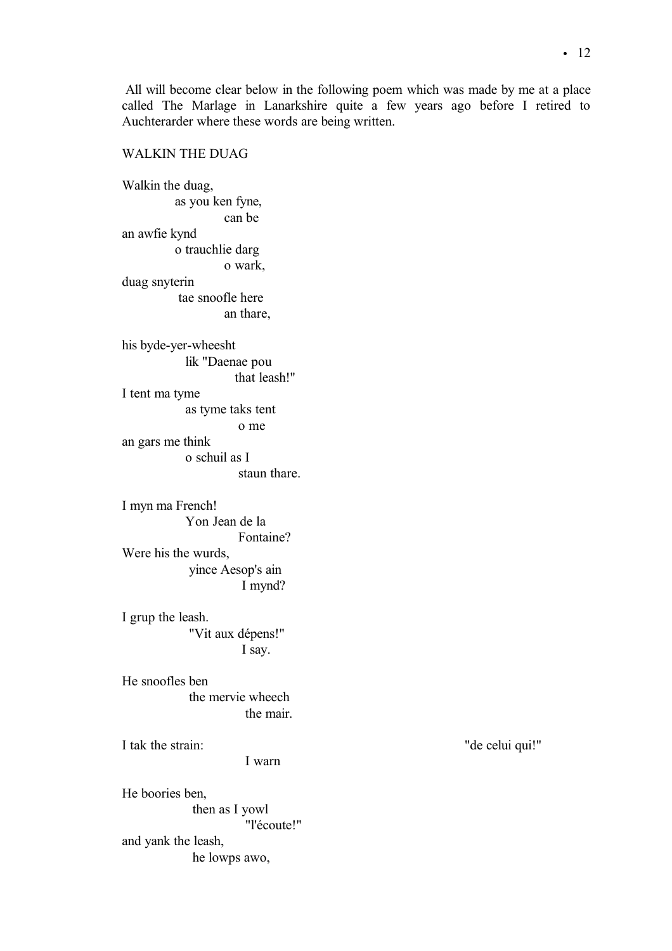# WALKIN THE DUAG

Walkin the duag, as you ken fyne, can be an awfie kynd o trauchlie darg o wark, duag snyterin tae snoofle here an thare, his byde-yer-wheesht lik "Daenae pou that leash!" I tent ma tyme as tyme taks tent o me an gars me think o schuil as I staun thare. I myn ma French! Yon Jean de la Fontaine? Were his the wurds, yince Aesop's ain I mynd? I grup the leash. "Vit aux dépens!" I say. He snoofles ben the mervie wheech the mair. I tak the strain: "de celui qui!" I warn He boories ben, then as I yowl "l'écoute!" and yank the leash,

he lowps awo,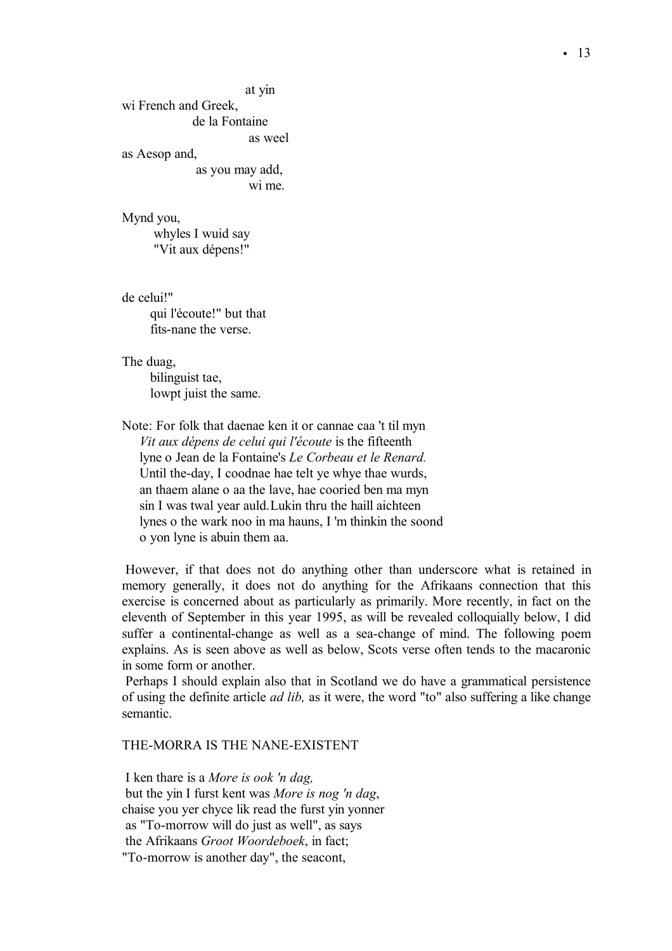at yin wi French and Greek, de la Fontaine as weel as Aesop and, as you may add, wi me.

Mynd you, whyles I wuid say

"Vit aux dépens!"

de celui!" qui l'écoute!" but that fits-nane the verse.

The duag, bilinguist tae, lowpt juist the same.

Note: For folk that daenae ken it or cannae caa 't til myn *Vit aux dépens de celui qui l'écoute* is the fifteenth lyne o Jean de la Fontaine's *Le Corbeau et le Renard.* Until the-day, I coodnae hae telt ye whye thae wurds, an thaem alane o aa the lave, hae cooried ben ma myn sin I was twal year auld.Lukin thru the haill aichteen lynes o the wark noo in ma hauns, I 'm thinkin the soond o yon lyne is abuin them aa.

However, if that does not do anything other than underscore what is retained in memory generally, it does not do anything for the Afrikaans connection that this exercise is concerned about as particularly as primarily. More recently, in fact on the eleventh of September in this year 1995, as will be revealed colloquially below, I did suffer a continental-change as well as a sea-change of mind. The following poem explains. As is seen above as well as below, Scots verse often tends to the macaronic in some form or another.

Perhaps I should explain also that in Scotland we do have a grammatical persistence of using the definite article *ad lib,* as it were, the word "to" also suffering a like change semantic.

THE-MORRA IS THE NANE-EXISTENT

I ken thare is a *More is ook 'n dag,* but the yin I furst kent was *More is nog 'n dag*, chaise you yer chyce lik read the furst yin yonner as "To-morrow will do just as well", as says the Afrikaans *Groot Woordeboek*, in fact; "To-morrow is another day", the seacont,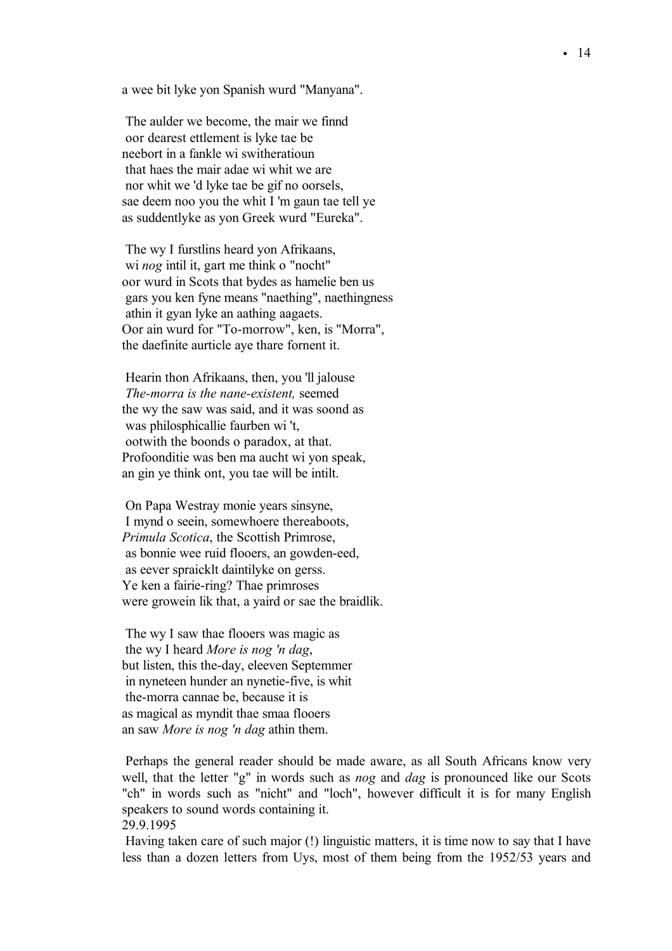a wee bit lyke yon Spanish wurd "Manyana".

The aulder we become, the mair we finnd oor dearest ettlement is lyke tae be neebort in a fankle wi switheratioun that haes the mair adae wi whit we are nor whit we 'd lyke tae be gif no oorsels, sae deem noo you the whit I 'm gaun tae tell ye as suddentlyke as yon Greek wurd "Eureka".

The wy I furstlins heard yon Afrikaans, wi *nog* intil it, gart me think o "nocht" oor wurd in Scots that bydes as hamelie ben us gars you ken fyne means "naething", naethingness athin it gyan lyke an aathing aagaets. Oor ain wurd for "To-morrow", ken, is "Morra", the daefinite aurticle aye thare fornent it.

Hearin thon Afrikaans, then, you 'll jalouse *The-morra is the nane-existent,* seemed the wy the saw was said, and it was soond as was philosphicallie faurben wi 't, ootwith the boonds o paradox, at that. Profoonditie was ben ma aucht wi yon speak, an gin ye think ont, you tae will be intilt.

On Papa Westray monie years sinsyne, I mynd o seein, somewhoere thereaboots, *Primula Scotica*, the Scottish Primrose, as bonnie wee ruid flooers, an gowden-eed, as eever spraicklt daintilyke on gerss. Ye ken a fairie-ring? Thae primroses were growein lik that, a yaird or sae the braidlik.

The wy I saw thae flooers was magic as the wy I heard *More is nog 'n dag*, but listen, this the-day, eleeven Septemmer in nyneteen hunder an nynetie-five, is whit the-morra cannae be, because it is as magical as myndit thae smaa flooers an saw *More is nog 'n dag* athin them.

Perhaps the general reader should be made aware, as all South Africans know very well, that the letter "g" in words such as *nog* and *dag* is pronounced like our Scots "ch" in words such as "nicht" and "loch", however difficult it is for many English speakers to sound words containing it. 29.9.1995

Having taken care of such major (!) linguistic matters, it is time now to say that I have less than a dozen letters from Uys, most of them being from the 1952/53 years and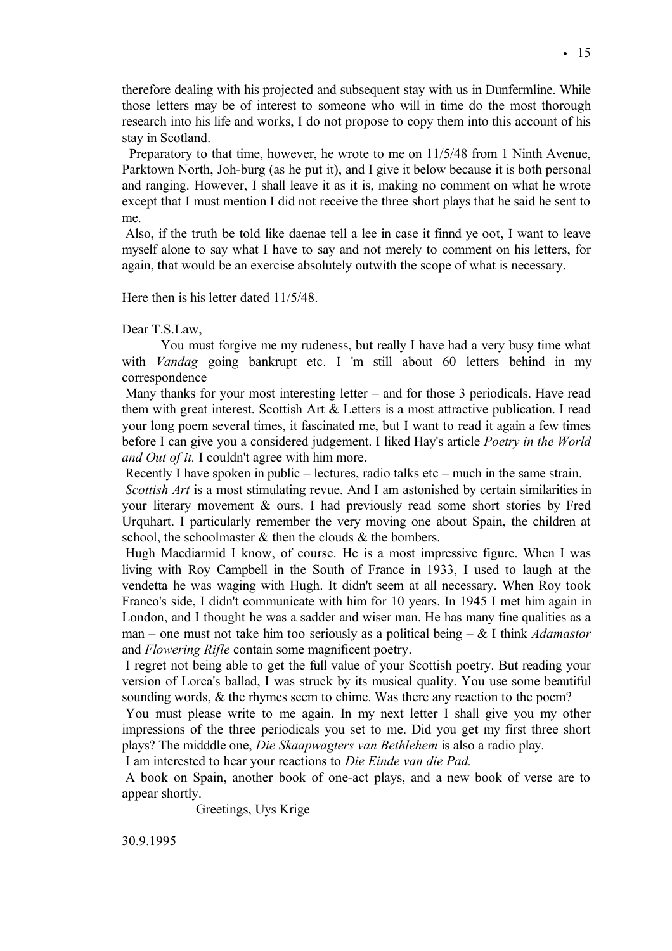therefore dealing with his projected and subsequent stay with us in Dunfermline. While those letters may be of interest to someone who will in time do the most thorough research into his life and works, I do not propose to copy them into this account of his stay in Scotland.

Preparatory to that time, however, he wrote to me on 11/5/48 from 1 Ninth Avenue, Parktown North, Joh-burg (as he put it), and I give it below because it is both personal and ranging. However, I shall leave it as it is, making no comment on what he wrote except that I must mention I did not receive the three short plays that he said he sent to me.

Also, if the truth be told like daenae tell a lee in case it finnd ye oot, I want to leave myself alone to say what I have to say and not merely to comment on his letters, for again, that would be an exercise absolutely outwith the scope of what is necessary.

Here then is his letter dated 11/5/48.

## Dear T.S.Law,

You must forgive me my rudeness, but really I have had a very busy time what with *Vandag* going bankrupt etc. I 'm still about 60 letters behind in my correspondence

Many thanks for your most interesting letter – and for those 3 periodicals. Have read them with great interest. Scottish Art & Letters is a most attractive publication. I read your long poem several times, it fascinated me, but I want to read it again a few times before I can give you a considered judgement. I liked Hay's article *Poetry in the World and Out of it.* I couldn't agree with him more.

Recently I have spoken in public – lectures, radio talks etc – much in the same strain.

*Scottish Art* is a most stimulating revue. And I am astonished by certain similarities in your literary movement & ours. I had previously read some short stories by Fred Urquhart. I particularly remember the very moving one about Spain, the children at school, the schoolmaster  $\&$  then the clouds  $\&$  the bombers.

Hugh Macdiarmid I know, of course. He is a most impressive figure. When I was living with Roy Campbell in the South of France in 1933, I used to laugh at the vendetta he was waging with Hugh. It didn't seem at all necessary. When Roy took Franco's side, I didn't communicate with him for 10 years. In 1945 I met him again in London, and I thought he was a sadder and wiser man. He has many fine qualities as a man – one must not take him too seriously as a political being – & I think *Adamastor* and *Flowering Rifle* contain some magnificent poetry.

I regret not being able to get the full value of your Scottish poetry. But reading your version of Lorca's ballad, I was struck by its musical quality. You use some beautiful sounding words, & the rhymes seem to chime. Was there any reaction to the poem?

You must please write to me again. In my next letter I shall give you my other impressions of the three periodicals you set to me. Did you get my first three short plays? The midddle one, *Die Skaapwagters van Bethlehem* is also a radio play.

I am interested to hear your reactions to *Die Einde van die Pad.*

A book on Spain, another book of one-act plays, and a new book of verse are to appear shortly.

Greetings, Uys Krige

30.9.1995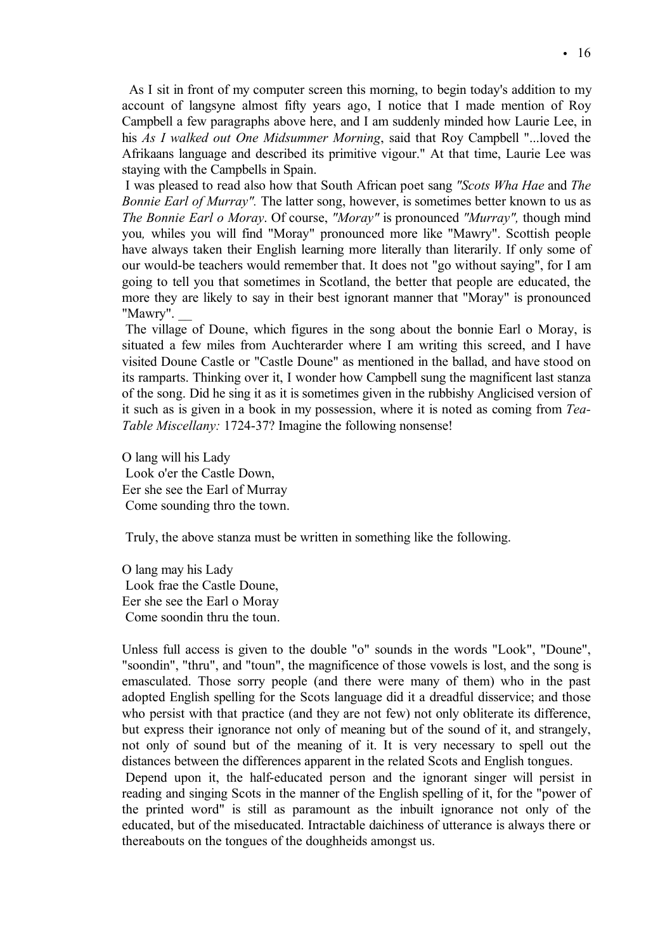As I sit in front of my computer screen this morning, to begin today's addition to my account of langsyne almost fifty years ago, I notice that I made mention of Roy Campbell a few paragraphs above here, and I am suddenly minded how Laurie Lee, in his *As I walked out One Midsummer Morning*, said that Roy Campbell "...loved the Afrikaans language and described its primitive vigour." At that time, Laurie Lee was staying with the Campbells in Spain.

I was pleased to read also how that South African poet sang *"Scots Wha Hae* and *The Bonnie Earl of Murray".* The latter song, however, is sometimes better known to us as *The Bonnie Earl o Moray*. Of course, *"Moray"* is pronounced *"Murray",* though mind you*,* whiles you will find "Moray" pronounced more like "Mawry". Scottish people have always taken their English learning more literally than literarily. If only some of our would-be teachers would remember that. It does not "go without saying", for I am going to tell you that sometimes in Scotland, the better that people are educated, the more they are likely to say in their best ignorant manner that "Moray" is pronounced "Mawry". *\_\_*

The village of Doune, which figures in the song about the bonnie Earl o Moray, is situated a few miles from Auchterarder where I am writing this screed, and I have visited Doune Castle or "Castle Doune" as mentioned in the ballad, and have stood on its ramparts. Thinking over it, I wonder how Campbell sung the magnificent last stanza of the song. Did he sing it as it is sometimes given in the rubbishy Anglicised version of it such as is given in a book in my possession, where it is noted as coming from *Tea-Table Miscellany:* 1724-37? Imagine the following nonsense!

O lang will his Lady Look o'er the Castle Down, Eer she see the Earl of Murray Come sounding thro the town.

Truly, the above stanza must be written in something like the following.

O lang may his Lady Look frae the Castle Doune, Eer she see the Earl o Moray Come soondin thru the toun.

Unless full access is given to the double "o" sounds in the words "Look", "Doune", "soondin", "thru", and "toun", the magnificence of those vowels is lost, and the song is emasculated. Those sorry people (and there were many of them) who in the past adopted English spelling for the Scots language did it a dreadful disservice; and those who persist with that practice (and they are not few) not only obliterate its difference, but express their ignorance not only of meaning but of the sound of it, and strangely, not only of sound but of the meaning of it. It is very necessary to spell out the distances between the differences apparent in the related Scots and English tongues.

Depend upon it, the half-educated person and the ignorant singer will persist in reading and singing Scots in the manner of the English spelling of it, for the "power of the printed word" is still as paramount as the inbuilt ignorance not only of the educated, but of the miseducated. Intractable daichiness of utterance is always there or thereabouts on the tongues of the doughheids amongst us.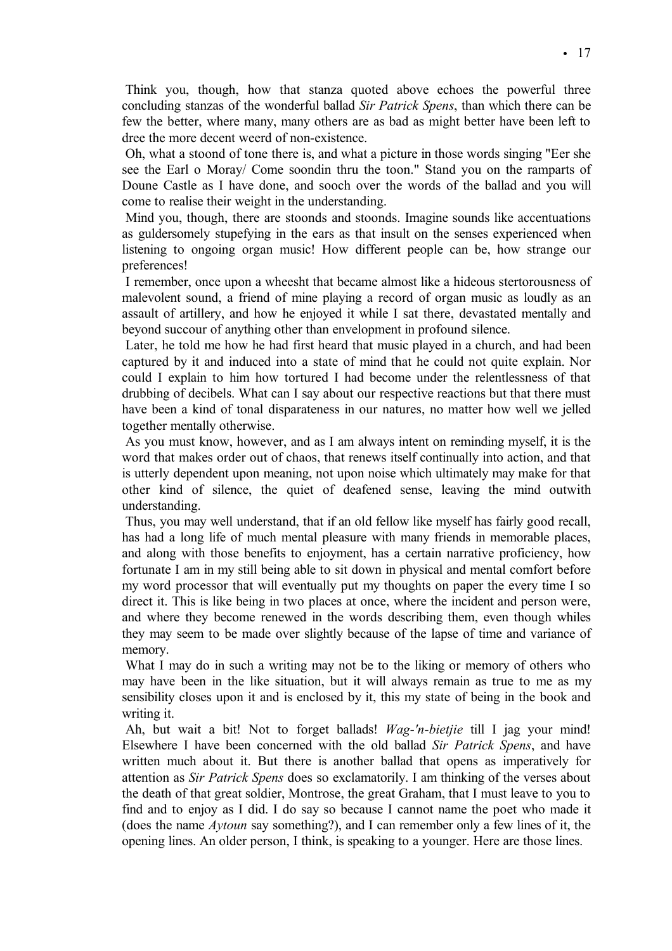Think you, though, how that stanza quoted above echoes the powerful three concluding stanzas of the wonderful ballad *Sir Patrick Spens*, than which there can be few the better, where many, many others are as bad as might better have been left to dree the more decent weerd of non-existence.

Oh, what a stoond of tone there is, and what a picture in those words singing "Eer she see the Earl o Moray/ Come soondin thru the toon." Stand you on the ramparts of Doune Castle as I have done, and sooch over the words of the ballad and you will come to realise their weight in the understanding.

Mind you, though, there are stoonds and stoonds. Imagine sounds like accentuations as guldersomely stupefying in the ears as that insult on the senses experienced when listening to ongoing organ music! How different people can be, how strange our preferences!

I remember, once upon a wheesht that became almost like a hideous stertorousness of malevolent sound, a friend of mine playing a record of organ music as loudly as an assault of artillery, and how he enjoyed it while I sat there, devastated mentally and beyond succour of anything other than envelopment in profound silence.

Later, he told me how he had first heard that music played in a church, and had been captured by it and induced into a state of mind that he could not quite explain. Nor could I explain to him how tortured I had become under the relentlessness of that drubbing of decibels. What can I say about our respective reactions but that there must have been a kind of tonal disparateness in our natures, no matter how well we jelled together mentally otherwise.

As you must know, however, and as I am always intent on reminding myself, it is the word that makes order out of chaos, that renews itself continually into action, and that is utterly dependent upon meaning, not upon noise which ultimately may make for that other kind of silence, the quiet of deafened sense, leaving the mind outwith understanding.

Thus, you may well understand, that if an old fellow like myself has fairly good recall, has had a long life of much mental pleasure with many friends in memorable places, and along with those benefits to enjoyment, has a certain narrative proficiency, how fortunate I am in my still being able to sit down in physical and mental comfort before my word processor that will eventually put my thoughts on paper the every time I so direct it. This is like being in two places at once, where the incident and person were, and where they become renewed in the words describing them, even though whiles they may seem to be made over slightly because of the lapse of time and variance of memory.

What I may do in such a writing may not be to the liking or memory of others who may have been in the like situation, but it will always remain as true to me as my sensibility closes upon it and is enclosed by it, this my state of being in the book and writing it.

Ah, but wait a bit! Not to forget ballads! *Wag-'n-bietjie* till I jag your mind! Elsewhere I have been concerned with the old ballad *Sir Patrick Spens*, and have written much about it. But there is another ballad that opens as imperatively for attention as *Sir Patrick Spens* does so exclamatorily. I am thinking of the verses about the death of that great soldier, Montrose, the great Graham, that I must leave to you to find and to enjoy as I did. I do say so because I cannot name the poet who made it (does the name *Aytoun* say something?), and I can remember only a few lines of it, the opening lines. An older person, I think, is speaking to a younger. Here are those lines.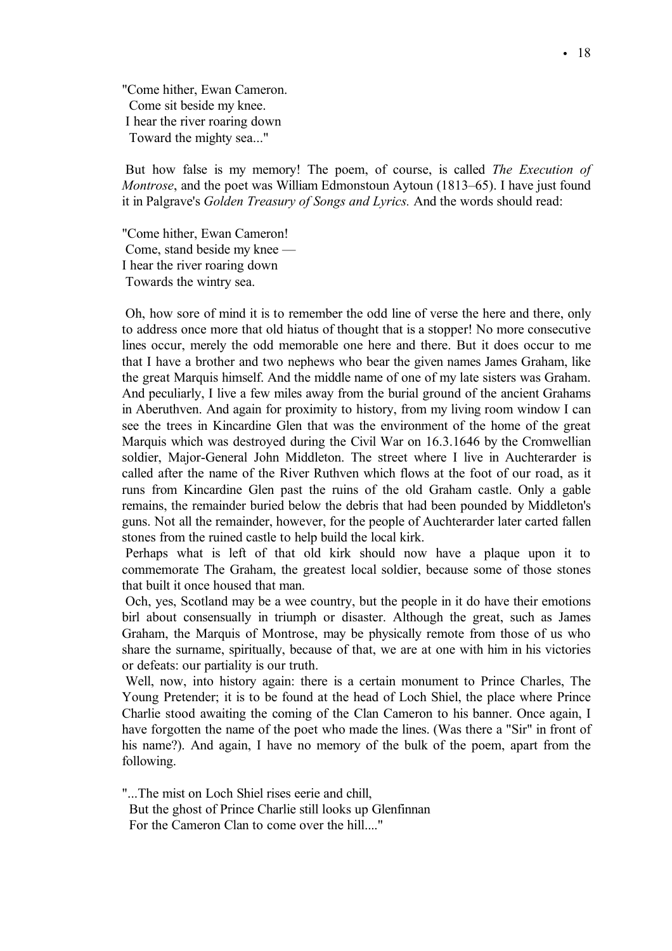"Come hither, Ewan Cameron. Come sit beside my knee. I hear the river roaring down Toward the mighty sea..."

But how false is my memory! The poem, of course, is called *The Execution of Montrose*, and the poet was William Edmonstoun Aytoun (1813–65). I have just found it in Palgrave's *Golden Treasury of Songs and Lyrics.* And the words should read:

"Come hither, Ewan Cameron! Come, stand beside my knee — I hear the river roaring down Towards the wintry sea.

Oh, how sore of mind it is to remember the odd line of verse the here and there, only to address once more that old hiatus of thought that is a stopper! No more consecutive lines occur, merely the odd memorable one here and there. But it does occur to me that I have a brother and two nephews who bear the given names James Graham, like the great Marquis himself. And the middle name of one of my late sisters was Graham. And peculiarly, I live a few miles away from the burial ground of the ancient Grahams in Aberuthven. And again for proximity to history, from my living room window I can see the trees in Kincardine Glen that was the environment of the home of the great Marquis which was destroyed during the Civil War on 16.3.1646 by the Cromwellian soldier, Major-General John Middleton. The street where I live in Auchterarder is called after the name of the River Ruthven which flows at the foot of our road, as it runs from Kincardine Glen past the ruins of the old Graham castle. Only a gable remains, the remainder buried below the debris that had been pounded by Middleton's guns. Not all the remainder, however, for the people of Auchterarder later carted fallen stones from the ruined castle to help build the local kirk.

Perhaps what is left of that old kirk should now have a plaque upon it to commemorate The Graham, the greatest local soldier, because some of those stones that built it once housed that man.

Och, yes, Scotland may be a wee country, but the people in it do have their emotions birl about consensually in triumph or disaster. Although the great, such as James Graham, the Marquis of Montrose, may be physically remote from those of us who share the surname, spiritually, because of that, we are at one with him in his victories or defeats: our partiality is our truth.

Well, now, into history again: there is a certain monument to Prince Charles, The Young Pretender; it is to be found at the head of Loch Shiel, the place where Prince Charlie stood awaiting the coming of the Clan Cameron to his banner. Once again, I have forgotten the name of the poet who made the lines. (Was there a "Sir" in front of his name?). And again, I have no memory of the bulk of the poem, apart from the following.

"...The mist on Loch Shiel rises eerie and chill, But the ghost of Prince Charlie still looks up Glenfinnan For the Cameron Clan to come over the hill...."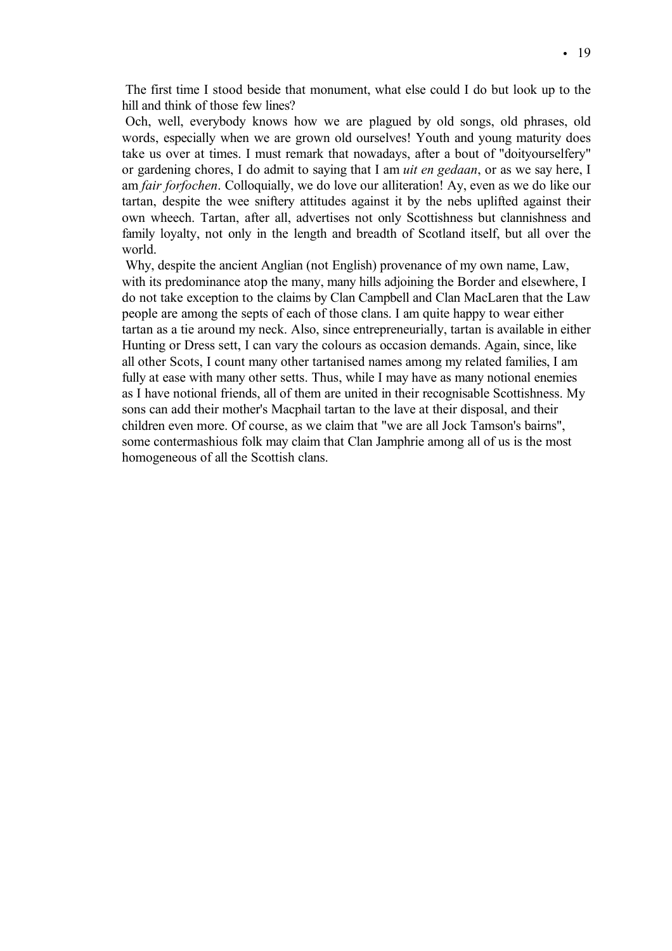The first time I stood beside that monument, what else could I do but look up to the hill and think of those few lines?

Och, well, everybody knows how we are plagued by old songs, old phrases, old words, especially when we are grown old ourselves! Youth and young maturity does take us over at times. I must remark that nowadays, after a bout of "doityourselfery" or gardening chores, I do admit to saying that I am *uit en gedaan*, or as we say here, I am *fair forfochen*. Colloquially, we do love our alliteration! Ay, even as we do like our tartan, despite the wee sniftery attitudes against it by the nebs uplifted against their own wheech. Tartan, after all, advertises not only Scottishness but clannishness and family loyalty, not only in the length and breadth of Scotland itself, but all over the world.

Why, despite the ancient Anglian (not English) provenance of my own name, Law, with its predominance atop the many, many hills adjoining the Border and elsewhere, I do not take exception to the claims by Clan Campbell and Clan MacLaren that the Law people are among the septs of each of those clans. I am quite happy to wear either tartan as a tie around my neck. Also, since entrepreneurially, tartan is available in either Hunting or Dress sett, I can vary the colours as occasion demands. Again, since, like all other Scots, I count many other tartanised names among my related families, I am fully at ease with many other setts. Thus, while I may have as many notional enemies as I have notional friends, all of them are united in their recognisable Scottishness. My sons can add their mother's Macphail tartan to the lave at their disposal, and their children even more. Of course, as we claim that "we are all Jock Tamson's bairns", some contermashious folk may claim that Clan Jamphrie among all of us is the most homogeneous of all the Scottish clans.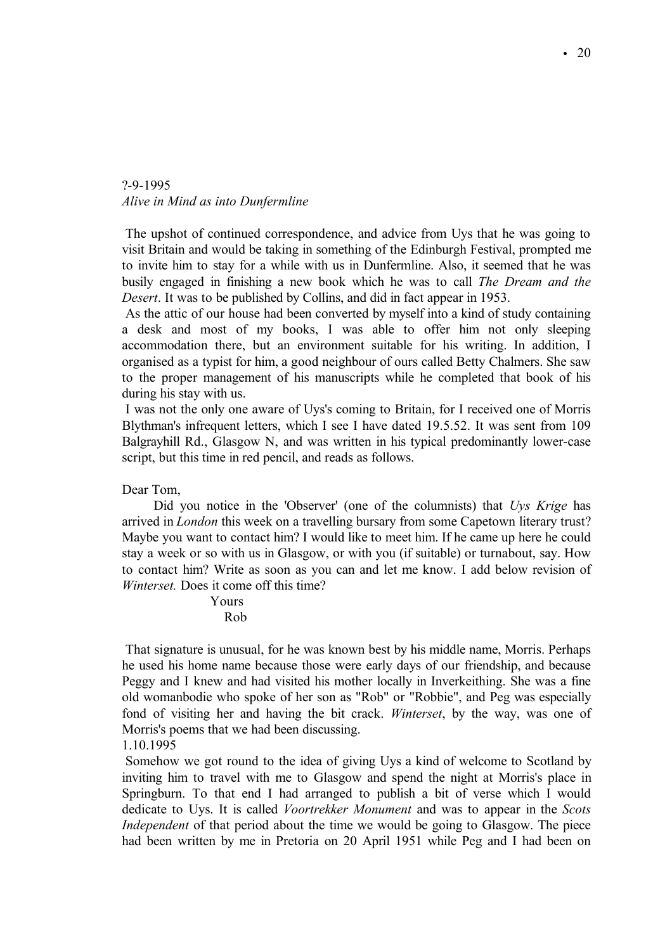# ?-9-1995 *Alive in Mind as into Dunfermline*

The upshot of continued correspondence, and advice from Uys that he was going to visit Britain and would be taking in something of the Edinburgh Festival, prompted me to invite him to stay for a while with us in Dunfermline. Also, it seemed that he was busily engaged in finishing a new book which he was to call *The Dream and the Desert*. It was to be published by Collins, and did in fact appear in 1953.

As the attic of our house had been converted by myself into a kind of study containing a desk and most of my books, I was able to offer him not only sleeping accommodation there, but an environment suitable for his writing. In addition, I organised as a typist for him, a good neighbour of ours called Betty Chalmers. She saw to the proper management of his manuscripts while he completed that book of his during his stay with us.

I was not the only one aware of Uys's coming to Britain, for I received one of Morris Blythman's infrequent letters, which I see I have dated 19.5.52. It was sent from 109 Balgrayhill Rd., Glasgow N, and was written in his typical predominantly lower-case script, but this time in red pencil, and reads as follows.

Dear Tom,

Did you notice in the 'Observer' (one of the columnists) that *Uys Krige* has arrived in *London* this week on a travelling bursary from some Capetown literary trust? Maybe you want to contact him? I would like to meet him. If he came up here he could stay a week or so with us in Glasgow, or with you (if suitable) or turnabout, say. How to contact him? Write as soon as you can and let me know. I add below revision of *Winterset.* Does it come off this time?

> Yours Rob

That signature is unusual, for he was known best by his middle name, Morris. Perhaps he used his home name because those were early days of our friendship, and because Peggy and I knew and had visited his mother locally in Inverkeithing. She was a fine old womanbodie who spoke of her son as "Rob" or "Robbie", and Peg was especially fond of visiting her and having the bit crack. *Winterset*, by the way, was one of Morris's poems that we had been discussing.

1.10.1995

Somehow we got round to the idea of giving Uys a kind of welcome to Scotland by inviting him to travel with me to Glasgow and spend the night at Morris's place in Springburn. To that end I had arranged to publish a bit of verse which I would dedicate to Uys. It is called *Voortrekker Monument* and was to appear in the *Scots Independent* of that period about the time we would be going to Glasgow. The piece had been written by me in Pretoria on 20 April 1951 while Peg and I had been on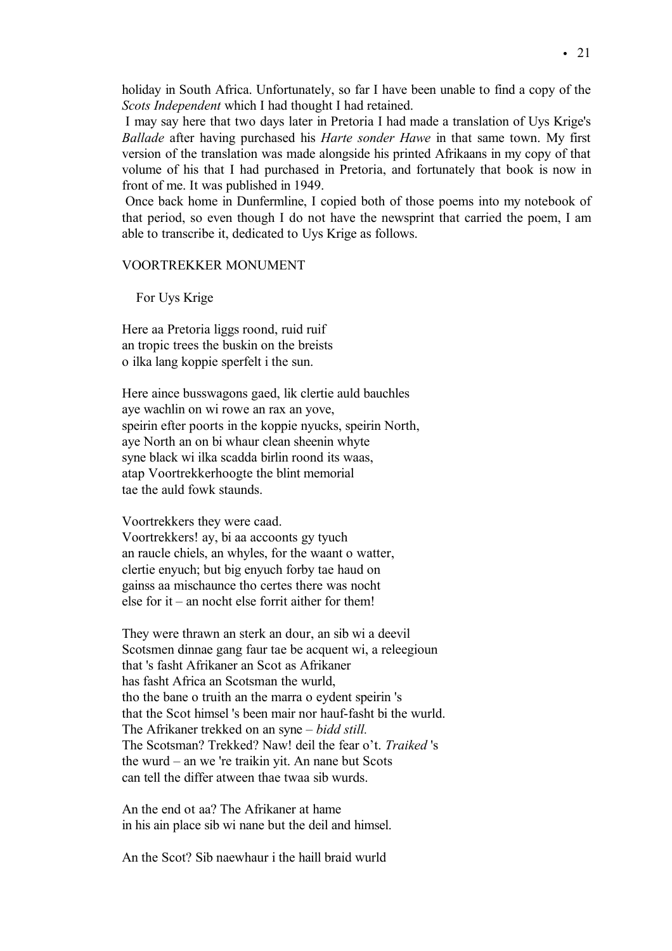holiday in South Africa. Unfortunately, so far I have been unable to find a copy of the *Scots Independent* which I had thought I had retained.

I may say here that two days later in Pretoria I had made a translation of Uys Krige's *Ballade* after having purchased his *Harte sonder Hawe* in that same town. My first version of the translation was made alongside his printed Afrikaans in my copy of that volume of his that I had purchased in Pretoria, and fortunately that book is now in front of me. It was published in 1949.

Once back home in Dunfermline, I copied both of those poems into my notebook of that period, so even though I do not have the newsprint that carried the poem, I am able to transcribe it, dedicated to Uys Krige as follows.

#### VOORTREKKER MONUMENT

For Uys Krige

Here aa Pretoria liggs roond, ruid ruif an tropic trees the buskin on the breists o ilka lang koppie sperfelt i the sun.

Here aince busswagons gaed, lik clertie auld bauchles aye wachlin on wi rowe an rax an yove, speirin efter poorts in the koppie nyucks, speirin North, aye North an on bi whaur clean sheenin whyte syne black wi ilka scadda birlin roond its waas, atap Voortrekkerhoogte the blint memorial tae the auld fowk staunds.

Voortrekkers they were caad. Voortrekkers! ay, bi aa accoonts gy tyuch an raucle chiels, an whyles, for the waant o watter, clertie enyuch; but big enyuch forby tae haud on gainss aa mischaunce tho certes there was nocht else for it – an nocht else forrit aither for them!

They were thrawn an sterk an dour, an sib wi a deevil Scotsmen dinnae gang faur tae be acquent wi, a releegioun that 's fasht Afrikaner an Scot as Afrikaner has fasht Africa an Scotsman the wurld, tho the bane o truith an the marra o eydent speirin 's that the Scot himsel 's been mair nor hauf-fasht bi the wurld. The Afrikaner trekked on an syne – *bidd still.* The Scotsman? Trekked? Naw! deil the fear o't. *Traiked* 's the wurd – an we 're traikin yit. An nane but Scots can tell the differ atween thae twaa sib wurds.

An the end ot aa? The Afrikaner at hame in his ain place sib wi nane but the deil and himsel.

An the Scot? Sib naewhaur i the haill braid wurld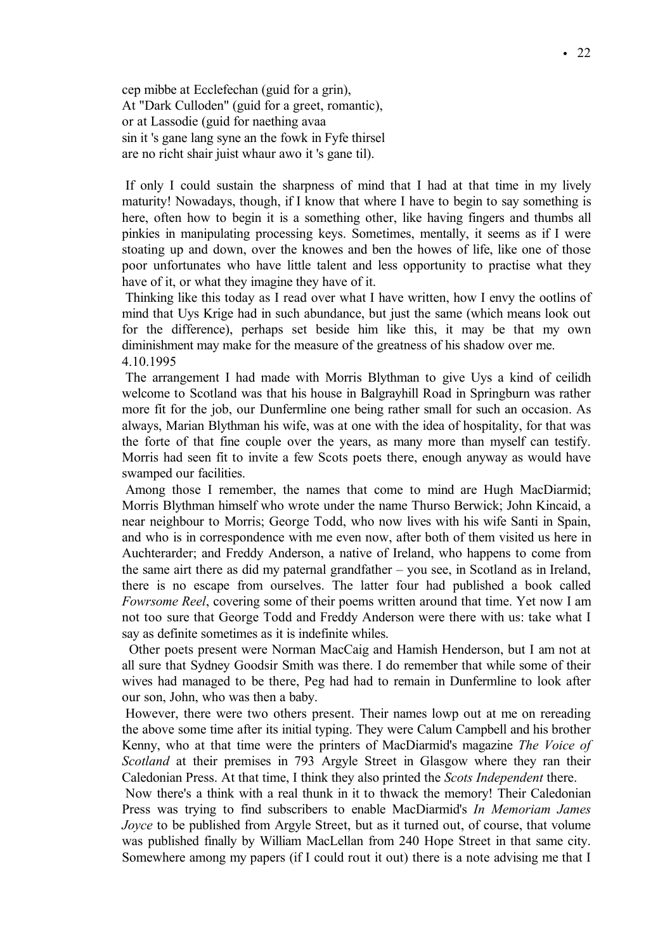cep mibbe at Ecclefechan (guid for a grin), At "Dark Culloden" (guid for a greet, romantic), or at Lassodie (guid for naething avaa sin it 's gane lang syne an the fowk in Fyfe thirsel are no richt shair juist whaur awo it 's gane til).

If only I could sustain the sharpness of mind that I had at that time in my lively maturity! Nowadays, though, if I know that where I have to begin to say something is here, often how to begin it is a something other, like having fingers and thumbs all pinkies in manipulating processing keys. Sometimes, mentally, it seems as if I were stoating up and down, over the knowes and ben the howes of life, like one of those poor unfortunates who have little talent and less opportunity to practise what they have of it, or what they imagine they have of it.

Thinking like this today as I read over what I have written, how I envy the ootlins of mind that Uys Krige had in such abundance, but just the same (which means look out for the difference), perhaps set beside him like this, it may be that my own diminishment may make for the measure of the greatness of his shadow over me. 4.10.1995

The arrangement I had made with Morris Blythman to give Uys a kind of ceilidh welcome to Scotland was that his house in Balgrayhill Road in Springburn was rather more fit for the job, our Dunfermline one being rather small for such an occasion. As always, Marian Blythman his wife, was at one with the idea of hospitality, for that was the forte of that fine couple over the years, as many more than myself can testify. Morris had seen fit to invite a few Scots poets there, enough anyway as would have swamped our facilities.

Among those I remember, the names that come to mind are Hugh MacDiarmid; Morris Blythman himself who wrote under the name Thurso Berwick; John Kincaid, a near neighbour to Morris; George Todd, who now lives with his wife Santi in Spain, and who is in correspondence with me even now, after both of them visited us here in Auchterarder; and Freddy Anderson, a native of Ireland, who happens to come from the same airt there as did my paternal grandfather – you see, in Scotland as in Ireland, there is no escape from ourselves. The latter four had published a book called *Fowrsome Reel*, covering some of their poems written around that time. Yet now I am not too sure that George Todd and Freddy Anderson were there with us: take what I say as definite sometimes as it is indefinite whiles.

Other poets present were Norman MacCaig and Hamish Henderson, but I am not at all sure that Sydney Goodsir Smith was there. I do remember that while some of their wives had managed to be there, Peg had had to remain in Dunfermline to look after our son, John, who was then a baby.

However, there were two others present. Their names lowp out at me on rereading the above some time after its initial typing. They were Calum Campbell and his brother Kenny, who at that time were the printers of MacDiarmid's magazine *The Voice of Scotland* at their premises in 793 Argyle Street in Glasgow where they ran their Caledonian Press. At that time, I think they also printed the *Scots Independent* there.

Now there's a think with a real thunk in it to thwack the memory! Their Caledonian Press was trying to find subscribers to enable MacDiarmid's *In Memoriam James Joyce* to be published from Argyle Street, but as it turned out, of course, that volume was published finally by William MacLellan from 240 Hope Street in that same city. Somewhere among my papers (if I could rout it out) there is a note advising me that I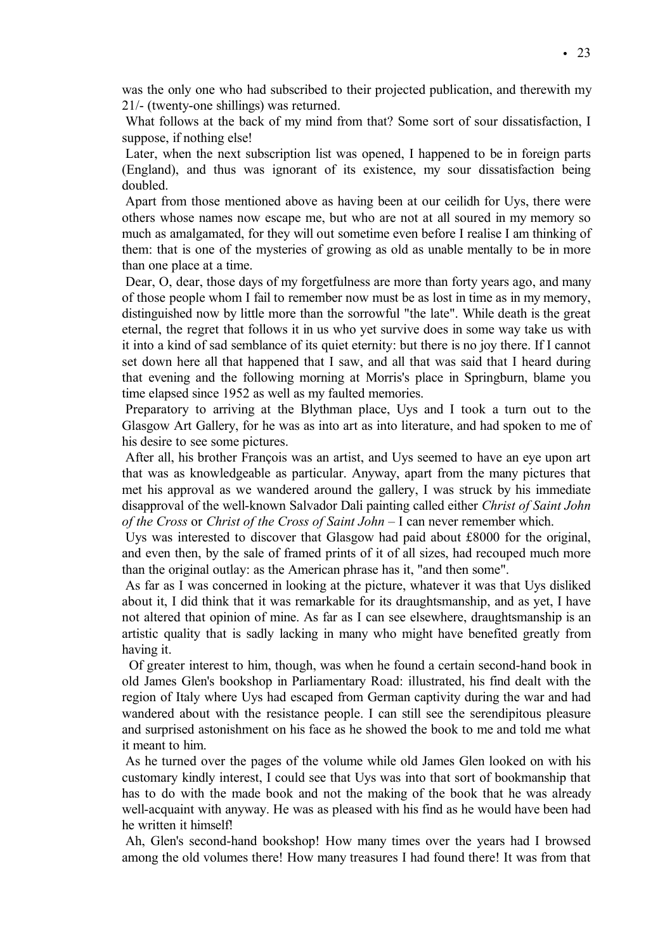was the only one who had subscribed to their projected publication, and therewith my 21/- (twenty-one shillings) was returned.

What follows at the back of my mind from that? Some sort of sour dissatisfaction, I suppose, if nothing else!

Later, when the next subscription list was opened, I happened to be in foreign parts (England), and thus was ignorant of its existence, my sour dissatisfaction being doubled.

Apart from those mentioned above as having been at our ceilidh for Uys, there were others whose names now escape me, but who are not at all soured in my memory so much as amalgamated, for they will out sometime even before I realise I am thinking of them: that is one of the mysteries of growing as old as unable mentally to be in more than one place at a time.

Dear, O, dear, those days of my forgetfulness are more than forty years ago, and many of those people whom I fail to remember now must be as lost in time as in my memory, distinguished now by little more than the sorrowful "the late". While death is the great eternal, the regret that follows it in us who yet survive does in some way take us with it into a kind of sad semblance of its quiet eternity: but there is no joy there. If I cannot set down here all that happened that I saw, and all that was said that I heard during that evening and the following morning at Morris's place in Springburn, blame you time elapsed since 1952 as well as my faulted memories.

Preparatory to arriving at the Blythman place, Uys and I took a turn out to the Glasgow Art Gallery, for he was as into art as into literature, and had spoken to me of his desire to see some pictures.

After all, his brother François was an artist, and Uys seemed to have an eye upon art that was as knowledgeable as particular. Anyway, apart from the many pictures that met his approval as we wandered around the gallery, I was struck by his immediate disapproval of the well-known Salvador Dali painting called either *Christ of Saint John of the Cross* or *Christ of the Cross of Saint John* – I can never remember which.

Uys was interested to discover that Glasgow had paid about £8000 for the original, and even then, by the sale of framed prints of it of all sizes, had recouped much more than the original outlay: as the American phrase has it, "and then some".

As far as I was concerned in looking at the picture, whatever it was that Uys disliked about it, I did think that it was remarkable for its draughtsmanship, and as yet, I have not altered that opinion of mine. As far as I can see elsewhere, draughtsmanship is an artistic quality that is sadly lacking in many who might have benefited greatly from having it.

Of greater interest to him, though, was when he found a certain second-hand book in old James Glen's bookshop in Parliamentary Road: illustrated, his find dealt with the region of Italy where Uys had escaped from German captivity during the war and had wandered about with the resistance people. I can still see the serendipitous pleasure and surprised astonishment on his face as he showed the book to me and told me what it meant to him.

As he turned over the pages of the volume while old James Glen looked on with his customary kindly interest, I could see that Uys was into that sort of bookmanship that has to do with the made book and not the making of the book that he was already well-acquaint with anyway. He was as pleased with his find as he would have been had he written it himself!

Ah, Glen's second-hand bookshop! How many times over the years had I browsed among the old volumes there! How many treasures I had found there! It was from that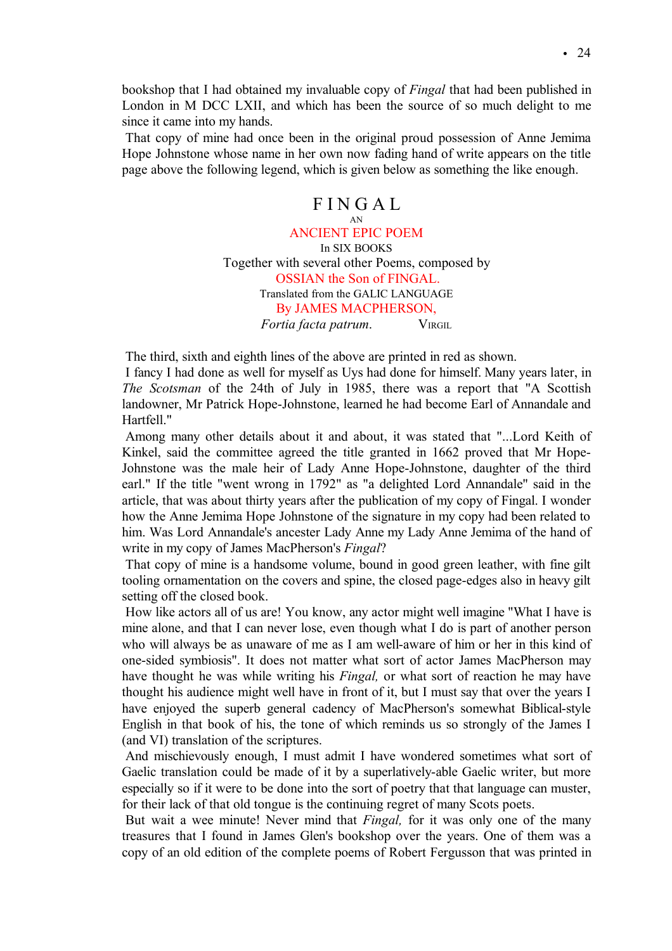bookshop that I had obtained my invaluable copy of *Fingal* that had been published in London in M DCC LXII, and which has been the source of so much delight to me since it came into my hands.

That copy of mine had once been in the original proud possession of Anne Jemima Hope Johnstone whose name in her own now fading hand of write appears on the title page above the following legend, which is given below as something the like enough.

# F I N G A L

AN ANCIENT EPIC POEM In SIX BOOKS Together with several other Poems, composed by OSSIAN the Son of FINGAL. Translated from the GALIC LANGUAGE By JAMES MACPHERSON, *Fortia facta patrum*. VIRGIL

The third, sixth and eighth lines of the above are printed in red as shown.

I fancy I had done as well for myself as Uys had done for himself. Many years later, in *The Scotsman* of the 24th of July in 1985, there was a report that "A Scottish landowner, Mr Patrick Hope-Johnstone, learned he had become Earl of Annandale and Hartfell."

Among many other details about it and about, it was stated that "...Lord Keith of Kinkel, said the committee agreed the title granted in 1662 proved that Mr Hope-Johnstone was the male heir of Lady Anne Hope-Johnstone, daughter of the third earl." If the title "went wrong in 1792" as "a delighted Lord Annandale" said in the article, that was about thirty years after the publication of my copy of Fingal. I wonder how the Anne Jemima Hope Johnstone of the signature in my copy had been related to him. Was Lord Annandale's ancester Lady Anne my Lady Anne Jemima of the hand of write in my copy of James MacPherson's *Fingal*?

That copy of mine is a handsome volume, bound in good green leather, with fine gilt tooling ornamentation on the covers and spine, the closed page-edges also in heavy gilt setting off the closed book.

How like actors all of us are! You know, any actor might well imagine "What I have is mine alone, and that I can never lose, even though what I do is part of another person who will always be as unaware of me as I am well-aware of him or her in this kind of one-sided symbiosis". It does not matter what sort of actor James MacPherson may have thought he was while writing his *Fingal,* or what sort of reaction he may have thought his audience might well have in front of it, but I must say that over the years I have enjoyed the superb general cadency of MacPherson's somewhat Biblical-style English in that book of his, the tone of which reminds us so strongly of the James I (and VI) translation of the scriptures.

And mischievously enough, I must admit I have wondered sometimes what sort of Gaelic translation could be made of it by a superlatively-able Gaelic writer, but more especially so if it were to be done into the sort of poetry that that language can muster, for their lack of that old tongue is the continuing regret of many Scots poets.

But wait a wee minute! Never mind that *Fingal,* for it was only one of the many treasures that I found in James Glen's bookshop over the years. One of them was a copy of an old edition of the complete poems of Robert Fergusson that was printed in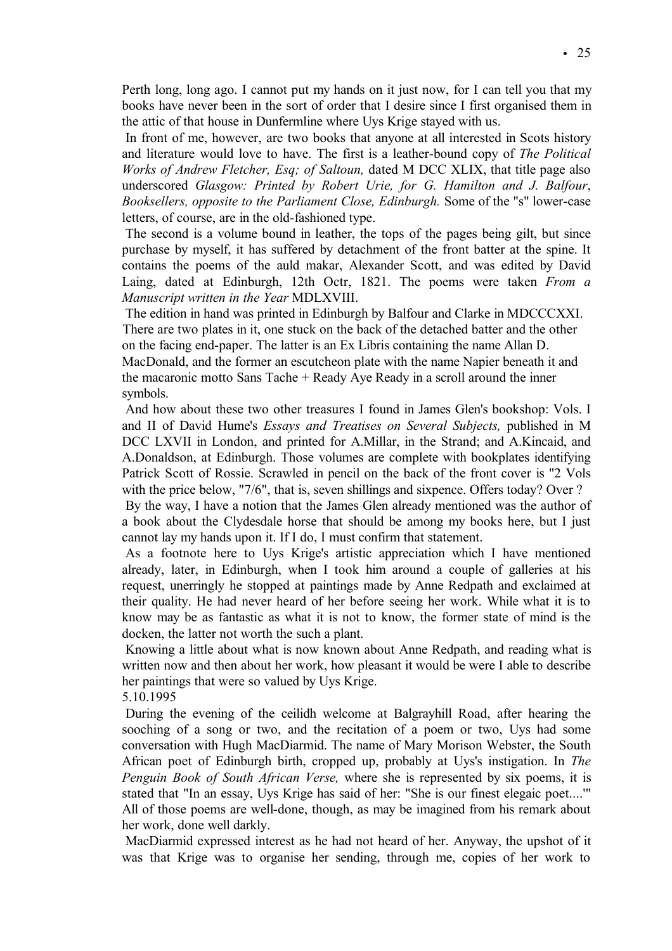Perth long, long ago. I cannot put my hands on it just now, for I can tell you that my books have never been in the sort of order that I desire since I first organised them in the attic of that house in Dunfermline where Uys Krige stayed with us.

In front of me, however, are two books that anyone at all interested in Scots history and literature would love to have. The first is a leather-bound copy of *The Political Works of Andrew Fletcher, Esq; of Saltoun,* dated M DCC XLIX, that title page also underscored *Glasgow: Printed by Robert Urie, for G. Hamilton and J. Balfour*, *Booksellers, opposite to the Parliament Close, Edinburgh.* Some of the "s" lower-case letters, of course, are in the old-fashioned type.

The second is a volume bound in leather, the tops of the pages being gilt, but since purchase by myself, it has suffered by detachment of the front batter at the spine. It contains the poems of the auld makar, Alexander Scott, and was edited by David Laing, dated at Edinburgh, 12th Octr, 1821. The poems were taken *From a Manuscript written in the Year* MDLXVIII.

The edition in hand was printed in Edinburgh by Balfour and Clarke in MDCCCXXI. There are two plates in it, one stuck on the back of the detached batter and the other on the facing end-paper. The latter is an Ex Libris containing the name Allan D. MacDonald, and the former an escutcheon plate with the name Napier beneath it and the macaronic motto Sans Tache + Ready Aye Ready in a scroll around the inner symbols.

And how about these two other treasures I found in James Glen's bookshop: Vols. I and II of David Hume's *Essays and Treatises on Several Subjects,* published in M DCC LXVII in London, and printed for A.Millar, in the Strand; and A.Kincaid, and A.Donaldson, at Edinburgh. Those volumes are complete with bookplates identifying Patrick Scott of Rossie. Scrawled in pencil on the back of the front cover is "2 Vols with the price below, "7/6", that is, seven shillings and sixpence. Offers today? Over ?

By the way, I have a notion that the James Glen already mentioned was the author of a book about the Clydesdale horse that should be among my books here, but I just cannot lay my hands upon it. If I do, I must confirm that statement.

As a footnote here to Uys Krige's artistic appreciation which I have mentioned already, later, in Edinburgh, when I took him around a couple of galleries at his request, unerringly he stopped at paintings made by Anne Redpath and exclaimed at their quality. He had never heard of her before seeing her work. While what it is to know may be as fantastic as what it is not to know, the former state of mind is the docken, the latter not worth the such a plant.

Knowing a little about what is now known about Anne Redpath, and reading what is written now and then about her work, how pleasant it would be were I able to describe her paintings that were so valued by Uys Krige.

5.10.1995

During the evening of the ceilidh welcome at Balgrayhill Road, after hearing the sooching of a song or two, and the recitation of a poem or two, Uys had some conversation with Hugh MacDiarmid. The name of Mary Morison Webster, the South African poet of Edinburgh birth, cropped up, probably at Uys's instigation. In *The Penguin Book of South African Verse,* where she is represented by six poems, it is stated that "In an essay, Uys Krige has said of her: "She is our finest elegaic poet....'"

All of those poems are well-done, though, as may be imagined from his remark about her work, done well darkly.

MacDiarmid expressed interest as he had not heard of her. Anyway, the upshot of it was that Krige was to organise her sending, through me, copies of her work to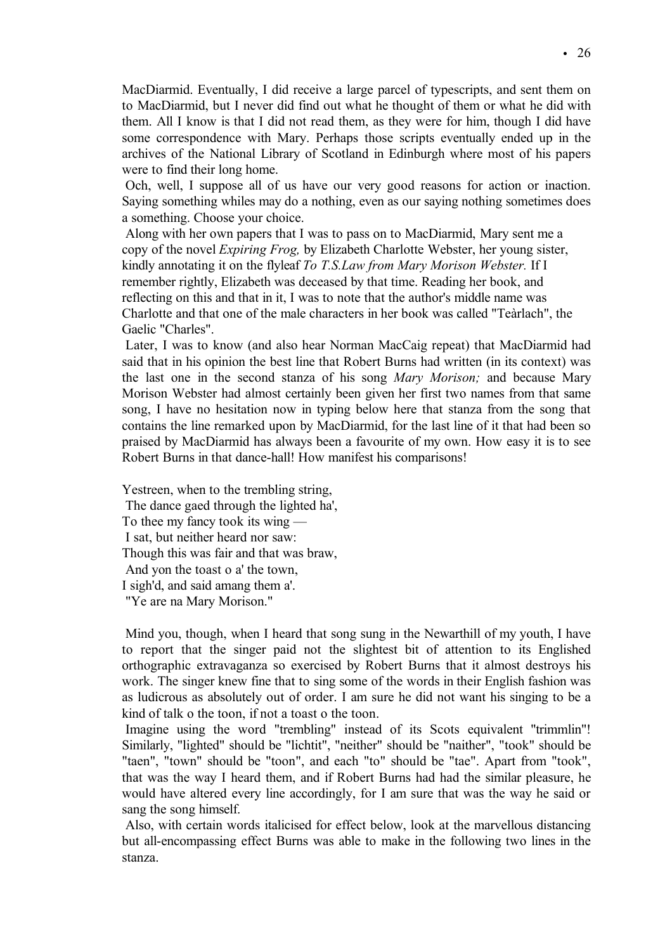MacDiarmid. Eventually, I did receive a large parcel of typescripts, and sent them on to MacDiarmid, but I never did find out what he thought of them or what he did with them. All I know is that I did not read them, as they were for him, though I did have some correspondence with Mary. Perhaps those scripts eventually ended up in the archives of the National Library of Scotland in Edinburgh where most of his papers were to find their long home.

Och, well, I suppose all of us have our very good reasons for action or inaction. Saying something whiles may do a nothing, even as our saying nothing sometimes does a something. Choose your choice.

Along with her own papers that I was to pass on to MacDiarmid, Mary sent me a copy of the novel *Expiring Frog,* by Elizabeth Charlotte Webster, her young sister, kindly annotating it on the flyleaf *To T.S.Law from Mary Morison Webster.* If I remember rightly, Elizabeth was deceased by that time. Reading her book, and reflecting on this and that in it, I was to note that the author's middle name was Charlotte and that one of the male characters in her book was called "Teàrlach", the Gaelic "Charles".

Later, I was to know (and also hear Norman MacCaig repeat) that MacDiarmid had said that in his opinion the best line that Robert Burns had written (in its context) was the last one in the second stanza of his song *Mary Morison;* and because Mary Morison Webster had almost certainly been given her first two names from that same song, I have no hesitation now in typing below here that stanza from the song that contains the line remarked upon by MacDiarmid, for the last line of it that had been so praised by MacDiarmid has always been a favourite of my own. How easy it is to see Robert Burns in that dance-hall! How manifest his comparisons!

Yestreen, when to the trembling string, The dance gaed through the lighted ha', To thee my fancy took its wing — I sat, but neither heard nor saw: Though this was fair and that was braw, And yon the toast o a' the town, I sigh'd, and said amang them a'. "Ye are na Mary Morison."

Mind you, though, when I heard that song sung in the Newarthill of my youth, I have to report that the singer paid not the slightest bit of attention to its Englished orthographic extravaganza so exercised by Robert Burns that it almost destroys his work. The singer knew fine that to sing some of the words in their English fashion was as ludicrous as absolutely out of order. I am sure he did not want his singing to be a kind of talk o the toon, if not a toast o the toon.

Imagine using the word "trembling" instead of its Scots equivalent "trimmlin"! Similarly, "lighted" should be "lichtit", "neither" should be "naither", "took" should be "taen", "town" should be "toon", and each "to" should be "tae". Apart from "took", that was the way I heard them, and if Robert Burns had had the similar pleasure, he would have altered every line accordingly, for I am sure that was the way he said or sang the song himself.

Also, with certain words italicised for effect below, look at the marvellous distancing but all-encompassing effect Burns was able to make in the following two lines in the stanza.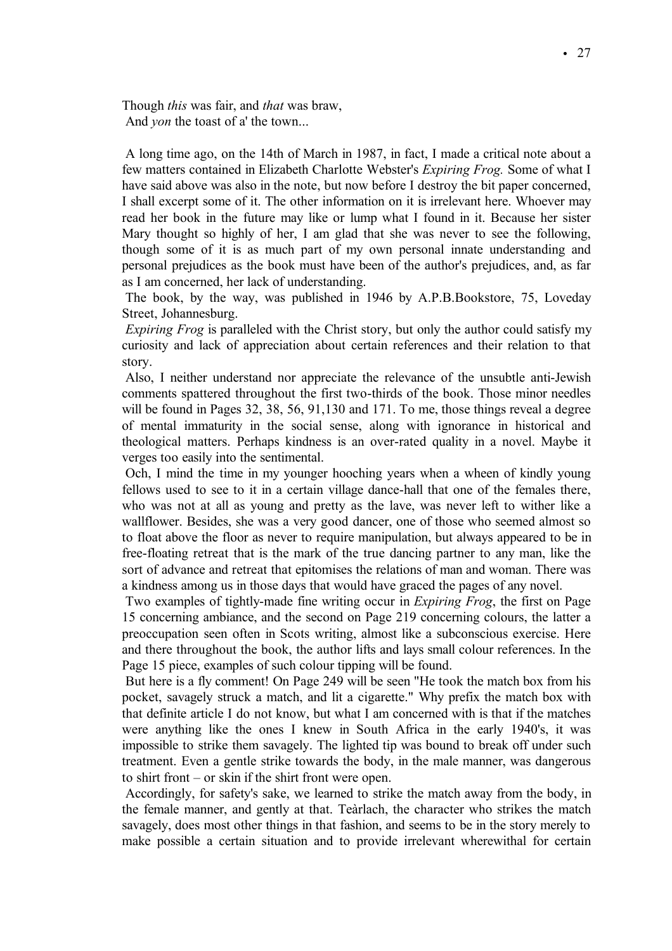Though *this* was fair, and *that* was braw, And *yon* the toast of a' the town...

A long time ago, on the 14th of March in 1987, in fact, I made a critical note about a few matters contained in Elizabeth Charlotte Webster's *Expiring Frog.* Some of what I have said above was also in the note, but now before I destroy the bit paper concerned, I shall excerpt some of it. The other information on it is irrelevant here. Whoever may read her book in the future may like or lump what I found in it. Because her sister Mary thought so highly of her, I am glad that she was never to see the following, though some of it is as much part of my own personal innate understanding and personal prejudices as the book must have been of the author's prejudices, and, as far as I am concerned, her lack of understanding.

The book, by the way, was published in 1946 by A.P.B.Bookstore, 75, Loveday Street, Johannesburg.

*Expiring Frog* is paralleled with the Christ story, but only the author could satisfy my curiosity and lack of appreciation about certain references and their relation to that story.

Also, I neither understand nor appreciate the relevance of the unsubtle anti-Jewish comments spattered throughout the first two-thirds of the book. Those minor needles will be found in Pages 32, 38, 56, 91, 130 and 171. To me, those things reveal a degree of mental immaturity in the social sense, along with ignorance in historical and theological matters. Perhaps kindness is an over-rated quality in a novel. Maybe it verges too easily into the sentimental.

Och, I mind the time in my younger hooching years when a wheen of kindly young fellows used to see to it in a certain village dance-hall that one of the females there, who was not at all as young and pretty as the lave, was never left to wither like a wallflower. Besides, she was a very good dancer, one of those who seemed almost so to float above the floor as never to require manipulation, but always appeared to be in free-floating retreat that is the mark of the true dancing partner to any man, like the sort of advance and retreat that epitomises the relations of man and woman. There was a kindness among us in those days that would have graced the pages of any novel.

Two examples of tightly-made fine writing occur in *Expiring Frog*, the first on Page 15 concerning ambiance, and the second on Page 219 concerning colours, the latter a preoccupation seen often in Scots writing, almost like a subconscious exercise. Here and there throughout the book, the author lifts and lays small colour references. In the Page 15 piece, examples of such colour tipping will be found.

But here is a fly comment! On Page 249 will be seen "He took the match box from his pocket, savagely struck a match, and lit a cigarette." Why prefix the match box with that definite article I do not know, but what I am concerned with is that if the matches were anything like the ones I knew in South Africa in the early 1940's, it was impossible to strike them savagely. The lighted tip was bound to break off under such treatment. Even a gentle strike towards the body, in the male manner, was dangerous to shirt front – or skin if the shirt front were open.

Accordingly, for safety's sake, we learned to strike the match away from the body, in the female manner, and gently at that. Teàrlach, the character who strikes the match savagely, does most other things in that fashion, and seems to be in the story merely to make possible a certain situation and to provide irrelevant wherewithal for certain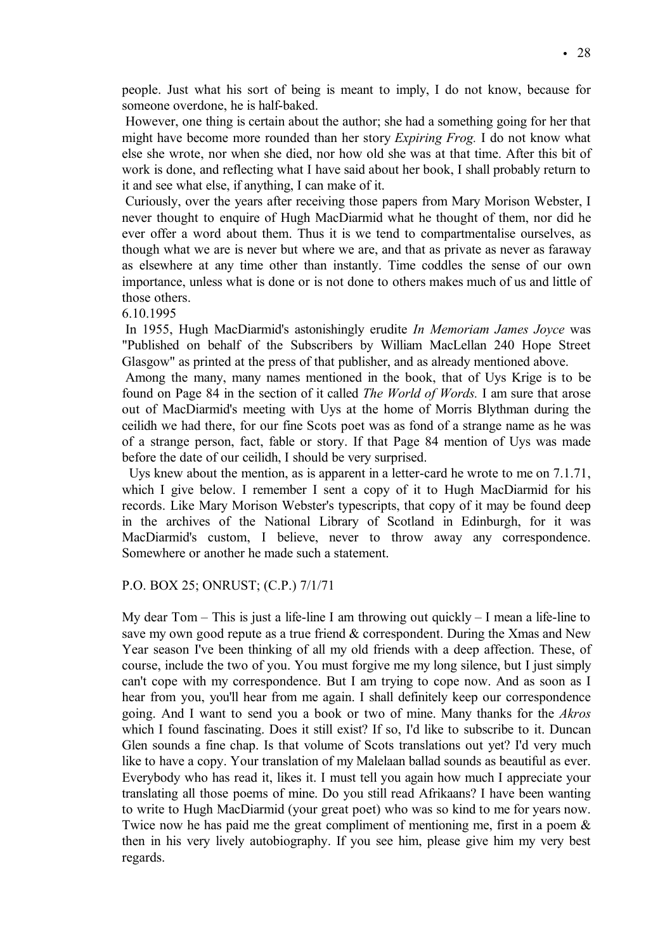people. Just what his sort of being is meant to imply, I do not know, because for someone overdone, he is half-baked.

However, one thing is certain about the author; she had a something going for her that might have become more rounded than her story *Expiring Frog.* I do not know what else she wrote, nor when she died, nor how old she was at that time. After this bit of work is done, and reflecting what I have said about her book, I shall probably return to it and see what else, if anything, I can make of it.

Curiously, over the years after receiving those papers from Mary Morison Webster, I never thought to enquire of Hugh MacDiarmid what he thought of them, nor did he ever offer a word about them. Thus it is we tend to compartmentalise ourselves, as though what we are is never but where we are, and that as private as never as faraway as elsewhere at any time other than instantly. Time coddles the sense of our own importance, unless what is done or is not done to others makes much of us and little of those others.

6.10.1995

In 1955, Hugh MacDiarmid's astonishingly erudite *In Memoriam James Joyce* was "Published on behalf of the Subscribers by William MacLellan 240 Hope Street Glasgow" as printed at the press of that publisher, and as already mentioned above.

Among the many, many names mentioned in the book, that of Uys Krige is to be found on Page 84 in the section of it called *The World of Words.* I am sure that arose out of MacDiarmid's meeting with Uys at the home of Morris Blythman during the ceilidh we had there, for our fine Scots poet was as fond of a strange name as he was of a strange person, fact, fable or story. If that Page 84 mention of Uys was made before the date of our ceilidh, I should be very surprised.

Uys knew about the mention, as is apparent in a letter-card he wrote to me on 7.1.71, which I give below. I remember I sent a copy of it to Hugh MacDiarmid for his records. Like Mary Morison Webster's typescripts, that copy of it may be found deep in the archives of the National Library of Scotland in Edinburgh, for it was MacDiarmid's custom, I believe, never to throw away any correspondence. Somewhere or another he made such a statement.

# P.O. BOX 25; ONRUST; (C.P.) 7/1/71

My dear Tom – This is just a life-line I am throwing out quickly – I mean a life-line to save my own good repute as a true friend & correspondent. During the Xmas and New Year season I've been thinking of all my old friends with a deep affection. These, of course, include the two of you. You must forgive me my long silence, but I just simply can't cope with my correspondence. But I am trying to cope now. And as soon as I hear from you, you'll hear from me again. I shall definitely keep our correspondence going. And I want to send you a book or two of mine. Many thanks for the *Akros* which I found fascinating. Does it still exist? If so, I'd like to subscribe to it. Duncan Glen sounds a fine chap. Is that volume of Scots translations out yet? I'd very much like to have a copy. Your translation of my Malelaan ballad sounds as beautiful as ever. Everybody who has read it, likes it. I must tell you again how much I appreciate your translating all those poems of mine. Do you still read Afrikaans? I have been wanting to write to Hugh MacDiarmid (your great poet) who was so kind to me for years now. Twice now he has paid me the great compliment of mentioning me, first in a poem & then in his very lively autobiography. If you see him, please give him my very best regards.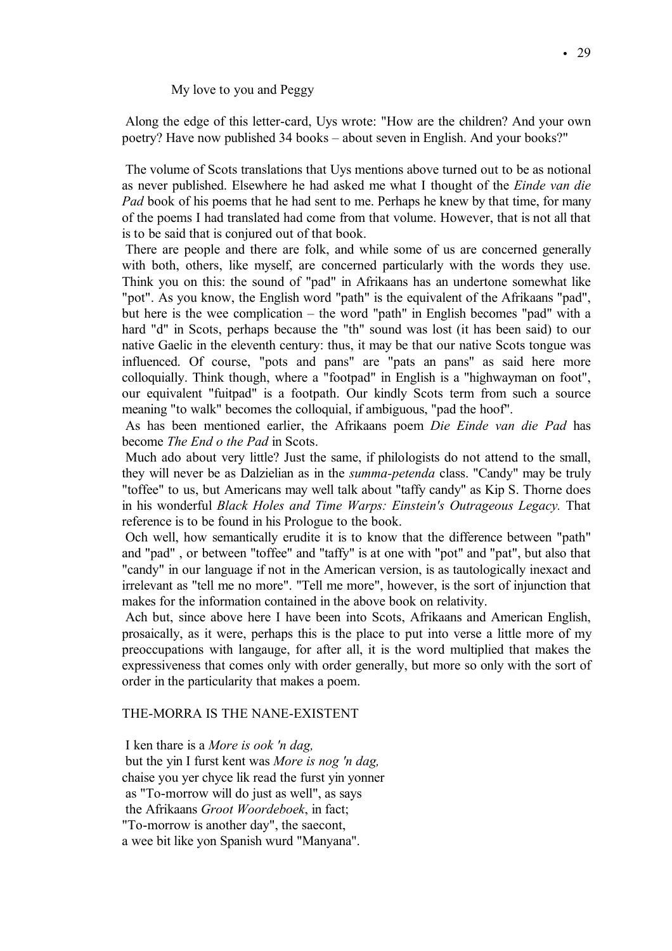My love to you and Peggy

Along the edge of this letter-card, Uys wrote: "How are the children? And your own poetry? Have now published 34 books – about seven in English. And your books?"

The volume of Scots translations that Uys mentions above turned out to be as notional as never published. Elsewhere he had asked me what I thought of the *Einde van die Pad* book of his poems that he had sent to me. Perhaps he knew by that time, for many of the poems I had translated had come from that volume. However, that is not all that is to be said that is conjured out of that book.

There are people and there are folk, and while some of us are concerned generally with both, others, like myself, are concerned particularly with the words they use. Think you on this: the sound of "pad" in Afrikaans has an undertone somewhat like "pot". As you know, the English word "path" is the equivalent of the Afrikaans "pad", but here is the wee complication – the word "path" in English becomes "pad" with a hard "d" in Scots, perhaps because the "th" sound was lost (it has been said) to our native Gaelic in the eleventh century: thus, it may be that our native Scots tongue was influenced. Of course, "pots and pans" are "pats an pans" as said here more colloquially. Think though, where a "footpad" in English is a "highwayman on foot", our equivalent "fuitpad" is a footpath. Our kindly Scots term from such a source meaning "to walk" becomes the colloquial, if ambiguous, "pad the hoof".

As has been mentioned earlier, the Afrikaans poem *Die Einde van die Pad* has become *The End o the Pad* in Scots.

Much ado about very little? Just the same, if philologists do not attend to the small, they will never be as Dalzielian as in the *summa-petenda* class. "Candy" may be truly "toffee" to us, but Americans may well talk about "taffy candy" as Kip S. Thorne does in his wonderful *Black Holes and Time Warps: Einstein's Outrageous Legacy.* That reference is to be found in his Prologue to the book.

Och well, how semantically erudite it is to know that the difference between "path" and "pad" , or between "toffee" and "taffy" is at one with "pot" and "pat", but also that "candy" in our language if not in the American version, is as tautologically inexact and irrelevant as "tell me no more". "Tell me more", however, is the sort of injunction that makes for the information contained in the above book on relativity.

Ach but, since above here I have been into Scots, Afrikaans and American English, prosaically, as it were, perhaps this is the place to put into verse a little more of my preoccupations with langauge, for after all, it is the word multiplied that makes the expressiveness that comes only with order generally, but more so only with the sort of order in the particularity that makes a poem.

# THE-MORRA IS THE NANE-EXISTENT

I ken thare is a *More is ook 'n dag,* but the yin I furst kent was *More is nog 'n dag,* chaise you yer chyce lik read the furst yin yonner as "To-morrow will do just as well", as says the Afrikaans *Groot Woordeboek*, in fact; "To-morrow is another day", the saecont, a wee bit like yon Spanish wurd "Manyana".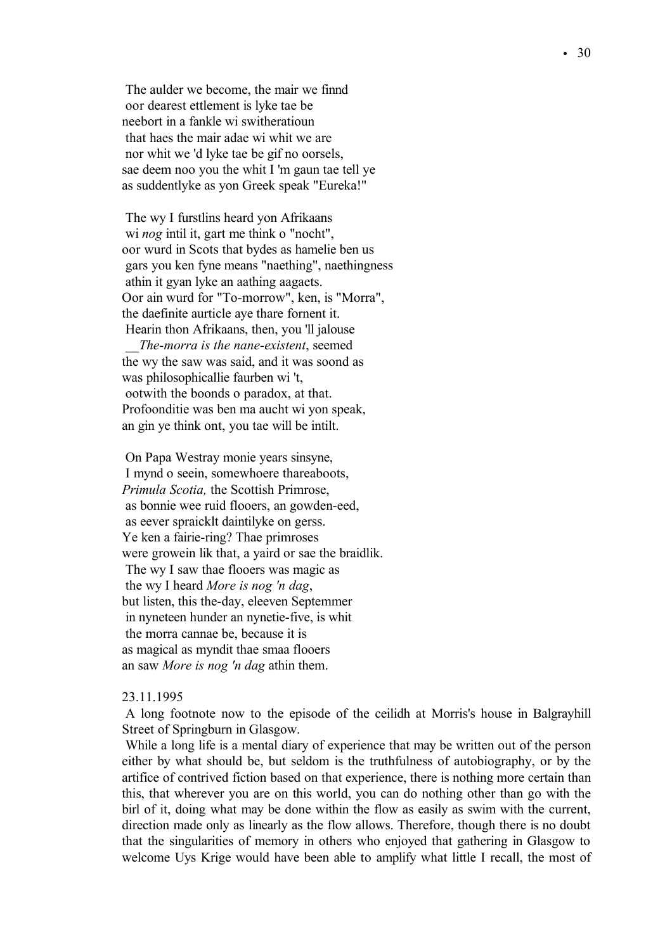The aulder we become, the mair we finnd oor dearest ettlement is lyke tae be neebort in a fankle wi switheratioun that haes the mair adae wi whit we are nor whit we 'd lyke tae be gif no oorsels, sae deem noo you the whit I 'm gaun tae tell ye as suddentlyke as yon Greek speak "Eureka!"

The wy I furstlins heard yon Afrikaans wi *nog* intil it, gart me think o "nocht", oor wurd in Scots that bydes as hamelie ben us gars you ken fyne means "naething", naethingness athin it gyan lyke an aathing aagaets. Oor ain wurd for "To-morrow", ken, is "Morra", the daefinite aurticle aye thare fornent it. Hearin thon Afrikaans, then, you 'll jalouse *\_\_The-morra is the nane-existent*, seemed the wy the saw was said, and it was soond as was philosophicallie faurben wi 't, ootwith the boonds o paradox, at that. Profoonditie was ben ma aucht wi yon speak, an gin ye think ont, you tae will be intilt.

On Papa Westray monie years sinsyne, I mynd o seein, somewhoere thareaboots, *Primula Scotia,* the Scottish Primrose, as bonnie wee ruid flooers, an gowden-eed, as eever spraicklt daintilyke on gerss. Ye ken a fairie-ring? Thae primroses were growein lik that, a yaird or sae the braidlik. The wy I saw thae flooers was magic as the wy I heard *More is nog 'n dag*, but listen, this the-day, eleeven Septemmer in nyneteen hunder an nynetie-five, is whit the morra cannae be, because it is as magical as myndit thae smaa flooers an saw *More is nog 'n dag* athin them.

# 23.11.1995

A long footnote now to the episode of the ceilidh at Morris's house in Balgrayhill Street of Springburn in Glasgow.

While a long life is a mental diary of experience that may be written out of the person either by what should be, but seldom is the truthfulness of autobiography, or by the artifice of contrived fiction based on that experience, there is nothing more certain than this, that wherever you are on this world, you can do nothing other than go with the birl of it, doing what may be done within the flow as easily as swim with the current, direction made only as linearly as the flow allows. Therefore, though there is no doubt that the singularities of memory in others who enjoyed that gathering in Glasgow to welcome Uys Krige would have been able to amplify what little I recall, the most of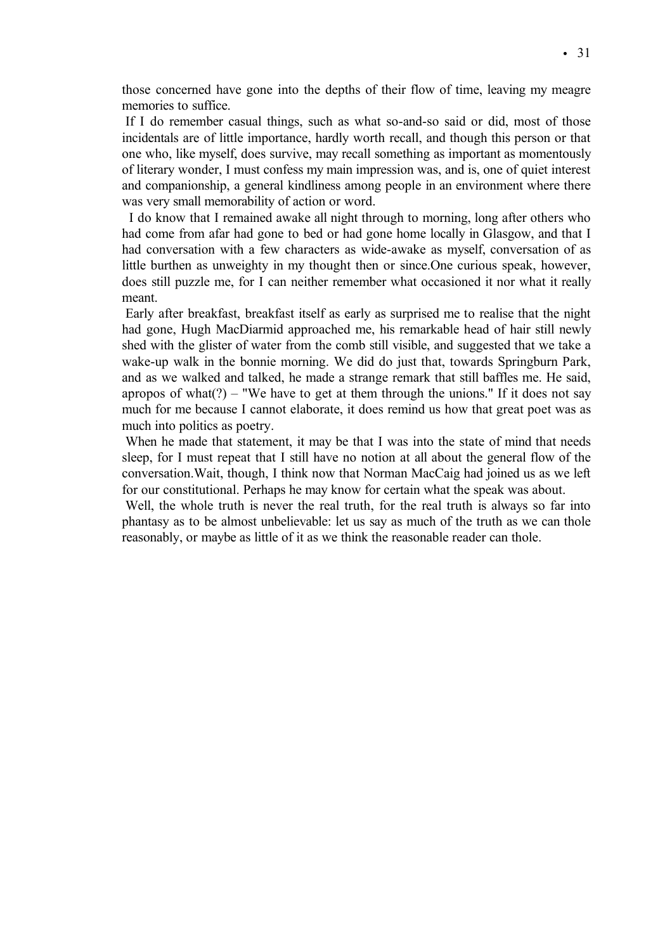those concerned have gone into the depths of their flow of time, leaving my meagre memories to suffice.

If I do remember casual things, such as what so-and-so said or did, most of those incidentals are of little importance, hardly worth recall, and though this person or that one who, like myself, does survive, may recall something as important as momentously of literary wonder, I must confess my main impression was, and is, one of quiet interest and companionship, a general kindliness among people in an environment where there was very small memorability of action or word.

I do know that I remained awake all night through to morning, long after others who had come from afar had gone to bed or had gone home locally in Glasgow, and that I had conversation with a few characters as wide-awake as myself, conversation of as little burthen as unweighty in my thought then or since.One curious speak, however, does still puzzle me, for I can neither remember what occasioned it nor what it really meant.

Early after breakfast, breakfast itself as early as surprised me to realise that the night had gone, Hugh MacDiarmid approached me, his remarkable head of hair still newly shed with the glister of water from the comb still visible, and suggested that we take a wake-up walk in the bonnie morning. We did do just that, towards Springburn Park, and as we walked and talked, he made a strange remark that still baffles me. He said, apropos of what $(?)$  – "We have to get at them through the unions." If it does not say much for me because I cannot elaborate, it does remind us how that great poet was as much into politics as poetry.

When he made that statement, it may be that I was into the state of mind that needs sleep, for I must repeat that I still have no notion at all about the general flow of the conversation.Wait, though, I think now that Norman MacCaig had joined us as we left for our constitutional. Perhaps he may know for certain what the speak was about.

Well, the whole truth is never the real truth, for the real truth is always so far into phantasy as to be almost unbelievable: let us say as much of the truth as we can thole reasonably, or maybe as little of it as we think the reasonable reader can thole.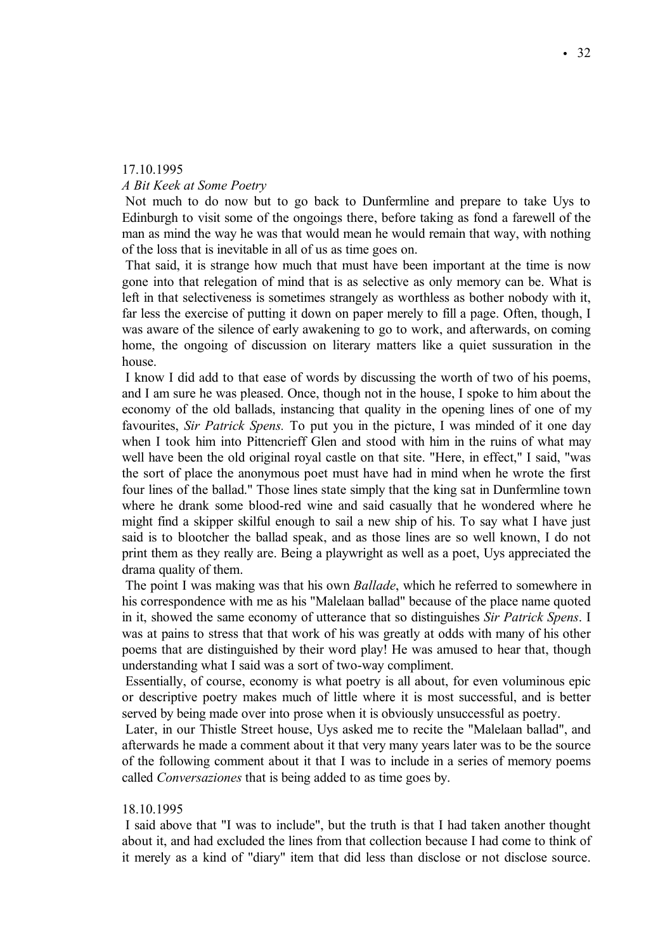# 17.10.1995

# *A Bit Keek at Some Poetry*

Not much to do now but to go back to Dunfermline and prepare to take Uys to Edinburgh to visit some of the ongoings there, before taking as fond a farewell of the man as mind the way he was that would mean he would remain that way, with nothing of the loss that is inevitable in all of us as time goes on.

That said, it is strange how much that must have been important at the time is now gone into that relegation of mind that is as selective as only memory can be. What is left in that selectiveness is sometimes strangely as worthless as bother nobody with it, far less the exercise of putting it down on paper merely to fill a page. Often, though, I was aware of the silence of early awakening to go to work, and afterwards, on coming home, the ongoing of discussion on literary matters like a quiet sussuration in the house.

I know I did add to that ease of words by discussing the worth of two of his poems, and I am sure he was pleased. Once, though not in the house, I spoke to him about the economy of the old ballads, instancing that quality in the opening lines of one of my favourites, *Sir Patrick Spens.* To put you in the picture, I was minded of it one day when I took him into Pittencrieff Glen and stood with him in the ruins of what may well have been the old original royal castle on that site. "Here, in effect," I said, "was the sort of place the anonymous poet must have had in mind when he wrote the first four lines of the ballad." Those lines state simply that the king sat in Dunfermline town where he drank some blood-red wine and said casually that he wondered where he might find a skipper skilful enough to sail a new ship of his. To say what I have just said is to blootcher the ballad speak, and as those lines are so well known, I do not print them as they really are. Being a playwright as well as a poet, Uys appreciated the drama quality of them.

The point I was making was that his own *Ballade*, which he referred to somewhere in his correspondence with me as his "Malelaan ballad" because of the place name quoted in it, showed the same economy of utterance that so distinguishes *Sir Patrick Spens*. I was at pains to stress that that work of his was greatly at odds with many of his other poems that are distinguished by their word play! He was amused to hear that, though understanding what I said was a sort of two-way compliment.

Essentially, of course, economy is what poetry is all about, for even voluminous epic or descriptive poetry makes much of little where it is most successful, and is better served by being made over into prose when it is obviously unsuccessful as poetry.

Later, in our Thistle Street house, Uys asked me to recite the "Malelaan ballad", and afterwards he made a comment about it that very many years later was to be the source of the following comment about it that I was to include in a series of memory poems called *Conversaziones* that is being added to as time goes by.

## 18.10.1995

I said above that "I was to include", but the truth is that I had taken another thought about it, and had excluded the lines from that collection because I had come to think of it merely as a kind of "diary" item that did less than disclose or not disclose source.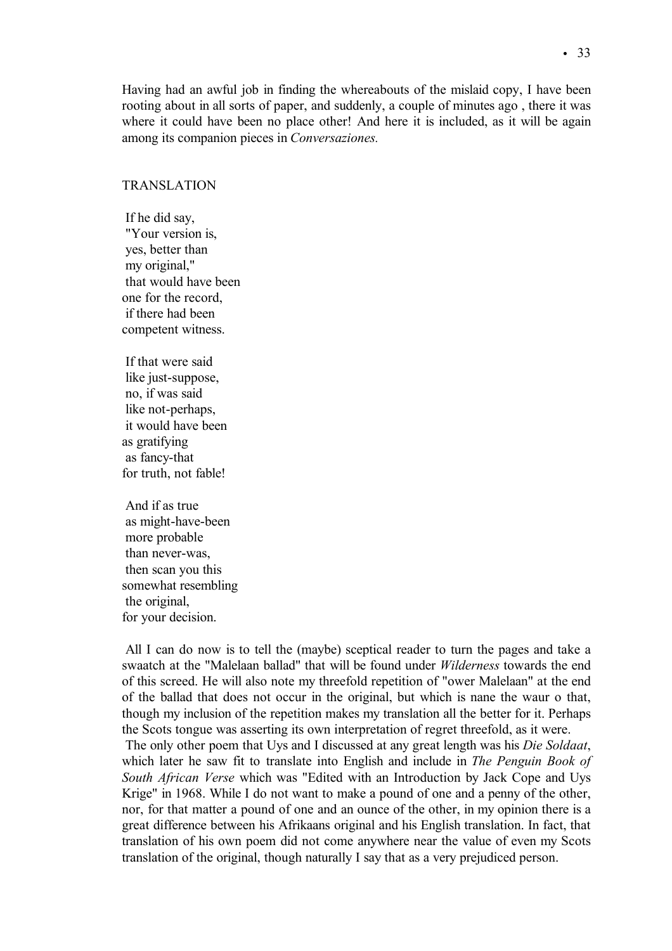Having had an awful job in finding the whereabouts of the mislaid copy, I have been rooting about in all sorts of paper, and suddenly, a couple of minutes ago , there it was where it could have been no place other! And here it is included, as it will be again among its companion pieces in *Conversaziones.*

# TRANSLATION

If he did say, "Your version is, yes, better than my original," that would have been one for the record, if there had been competent witness.

If that were said like just-suppose, no, if was said like not-perhaps, it would have been as gratifying as fancy-that for truth, not fable!

And if as true as might-have-been more probable than never-was, then scan you this somewhat resembling the original, for your decision.

All I can do now is to tell the (maybe) sceptical reader to turn the pages and take a swaatch at the "Malelaan ballad" that will be found under *Wilderness* towards the end of this screed. He will also note my threefold repetition of "ower Malelaan" at the end of the ballad that does not occur in the original, but which is nane the waur o that, though my inclusion of the repetition makes my translation all the better for it. Perhaps the Scots tongue was asserting its own interpretation of regret threefold, as it were.

The only other poem that Uys and I discussed at any great length was his *Die Soldaat*, which later he saw fit to translate into English and include in *The Penguin Book of South African Verse* which was "Edited with an Introduction by Jack Cope and Uys Krige" in 1968. While I do not want to make a pound of one and a penny of the other, nor, for that matter a pound of one and an ounce of the other, in my opinion there is a great difference between his Afrikaans original and his English translation. In fact, that translation of his own poem did not come anywhere near the value of even my Scots translation of the original, though naturally I say that as a very prejudiced person.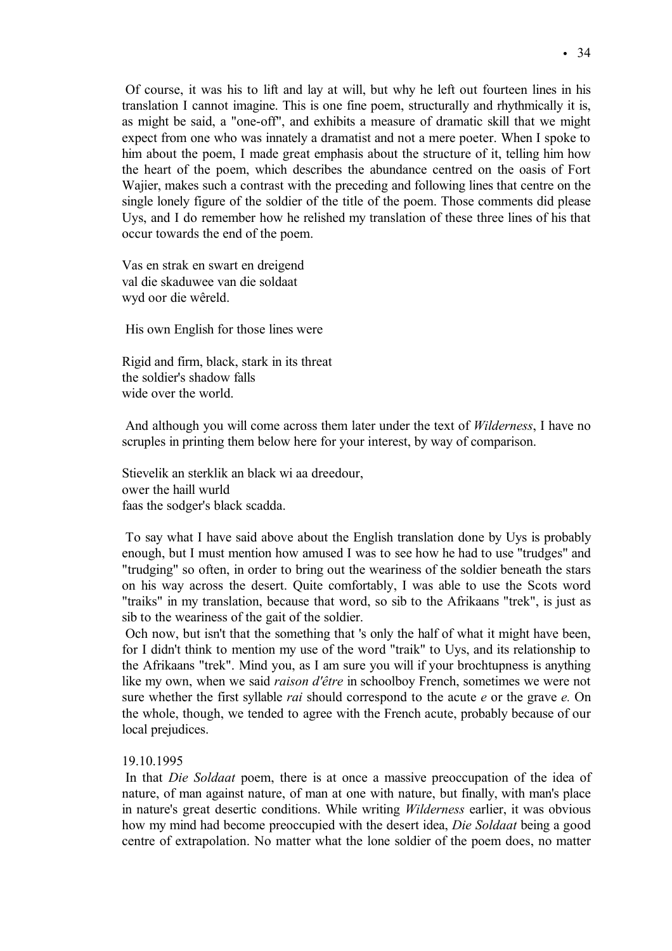Of course, it was his to lift and lay at will, but why he left out fourteen lines in his translation I cannot imagine. This is one fine poem, structurally and rhythmically it is, as might be said, a "one-off", and exhibits a measure of dramatic skill that we might expect from one who was innately a dramatist and not a mere poeter. When I spoke to him about the poem, I made great emphasis about the structure of it, telling him how the heart of the poem, which describes the abundance centred on the oasis of Fort Wajier, makes such a contrast with the preceding and following lines that centre on the single lonely figure of the soldier of the title of the poem. Those comments did please Uys, and I do remember how he relished my translation of these three lines of his that occur towards the end of the poem.

Vas en strak en swart en dreigend val die skaduwee van die soldaat wyd oor die wêreld.

His own English for those lines were

Rigid and firm, black, stark in its threat the soldier's shadow falls wide over the world.

And although you will come across them later under the text of *Wilderness*, I have no scruples in printing them below here for your interest, by way of comparison.

Stievelik an sterklik an black wi aa dreedour, ower the haill wurld faas the sodger's black scadda.

To say what I have said above about the English translation done by Uys is probably enough, but I must mention how amused I was to see how he had to use "trudges" and "trudging" so often, in order to bring out the weariness of the soldier beneath the stars on his way across the desert. Quite comfortably, I was able to use the Scots word "traiks" in my translation, because that word, so sib to the Afrikaans "trek", is just as sib to the weariness of the gait of the soldier.

Och now, but isn't that the something that 's only the half of what it might have been, for I didn't think to mention my use of the word "traik" to Uys, and its relationship to the Afrikaans "trek". Mind you, as I am sure you will if your brochtupness is anything like my own, when we said *raison d'Çtre* in schoolboy French, sometimes we were not sure whether the first syllable *rai* should correspond to the acute *e* or the grave *e.* On the whole, though, we tended to agree with the French acute, probably because of our local prejudices.

# 19.10.1995

In that *Die Soldaat* poem, there is at once a massive preoccupation of the idea of nature, of man against nature, of man at one with nature, but finally, with man's place in nature's great desertic conditions. While writing *Wilderness* earlier, it was obvious how my mind had become preoccupied with the desert idea, *Die Soldaat* being a good centre of extrapolation. No matter what the lone soldier of the poem does, no matter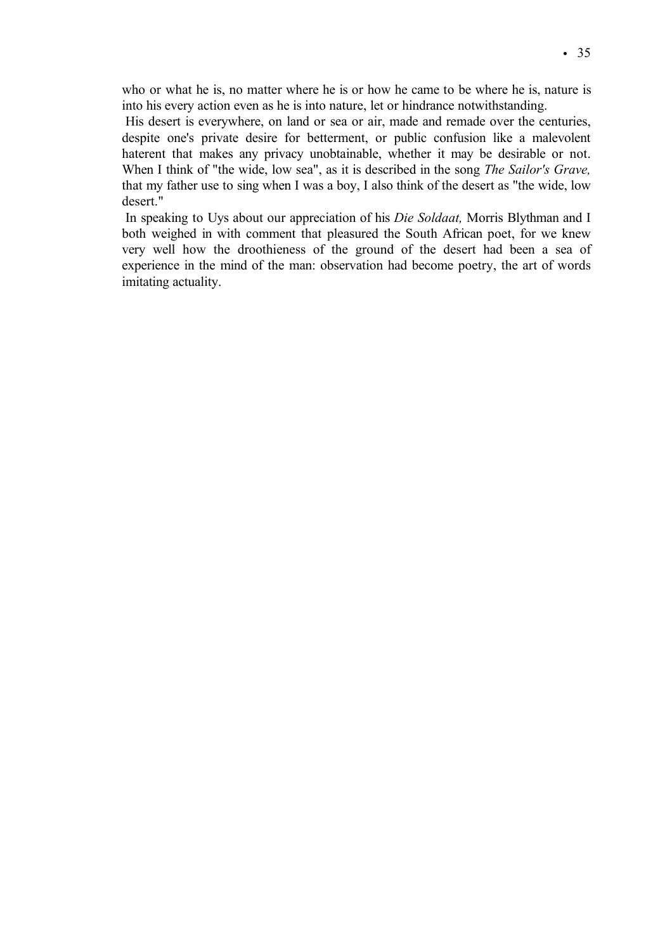who or what he is, no matter where he is or how he came to be where he is, nature is into his every action even as he is into nature, let or hindrance notwithstanding.

His desert is everywhere, on land or sea or air, made and remade over the centuries, despite one's private desire for betterment, or public confusion like a malevolent haterent that makes any privacy unobtainable, whether it may be desirable or not. When I think of "the wide, low sea", as it is described in the song *The Sailor's Grave,* that my father use to sing when I was a boy, I also think of the desert as "the wide, low desert."

In speaking to Uys about our appreciation of his *Die Soldaat,* Morris Blythman and I both weighed in with comment that pleasured the South African poet, for we knew very well how the droothieness of the ground of the desert had been a sea of experience in the mind of the man: observation had become poetry, the art of words imitating actuality.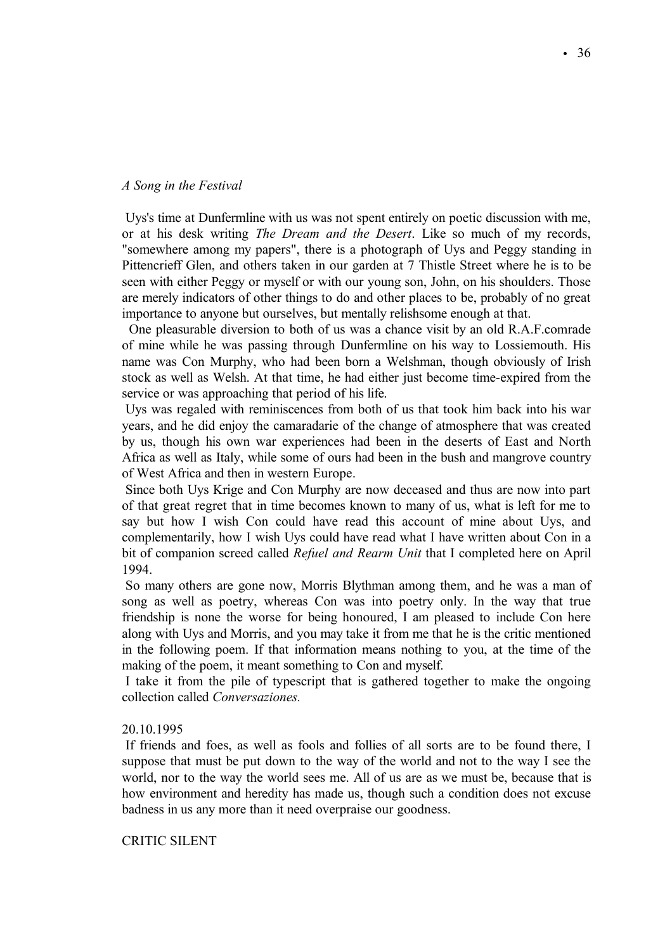#### *A Song in the Festival*

Uys's time at Dunfermline with us was not spent entirely on poetic discussion with me, or at his desk writing *The Dream and the Desert*. Like so much of my records, "somewhere among my papers", there is a photograph of Uys and Peggy standing in Pittencrieff Glen, and others taken in our garden at 7 Thistle Street where he is to be seen with either Peggy or myself or with our young son, John, on his shoulders. Those are merely indicators of other things to do and other places to be, probably of no great importance to anyone but ourselves, but mentally relishsome enough at that.

One pleasurable diversion to both of us was a chance visit by an old R.A.F.comrade of mine while he was passing through Dunfermline on his way to Lossiemouth. His name was Con Murphy, who had been born a Welshman, though obviously of Irish stock as well as Welsh. At that time, he had either just become time-expired from the service or was approaching that period of his life.

Uys was regaled with reminiscences from both of us that took him back into his war years, and he did enjoy the camaradarie of the change of atmosphere that was created by us, though his own war experiences had been in the deserts of East and North Africa as well as Italy, while some of ours had been in the bush and mangrove country of West Africa and then in western Europe.

Since both Uys Krige and Con Murphy are now deceased and thus are now into part of that great regret that in time becomes known to many of us, what is left for me to say but how I wish Con could have read this account of mine about Uys, and complementarily, how I wish Uys could have read what I have written about Con in a bit of companion screed called *Refuel and Rearm Unit* that I completed here on April 1994.

So many others are gone now, Morris Blythman among them, and he was a man of song as well as poetry, whereas Con was into poetry only. In the way that true friendship is none the worse for being honoured, I am pleased to include Con here along with Uys and Morris, and you may take it from me that he is the critic mentioned in the following poem. If that information means nothing to you, at the time of the making of the poem, it meant something to Con and myself.

I take it from the pile of typescript that is gathered together to make the ongoing collection called *Conversaziones.*

#### 20.10.1995

If friends and foes, as well as fools and follies of all sorts are to be found there, I suppose that must be put down to the way of the world and not to the way I see the world, nor to the way the world sees me. All of us are as we must be, because that is how environment and heredity has made us, though such a condition does not excuse badness in us any more than it need overpraise our goodness.

CRITIC SILENT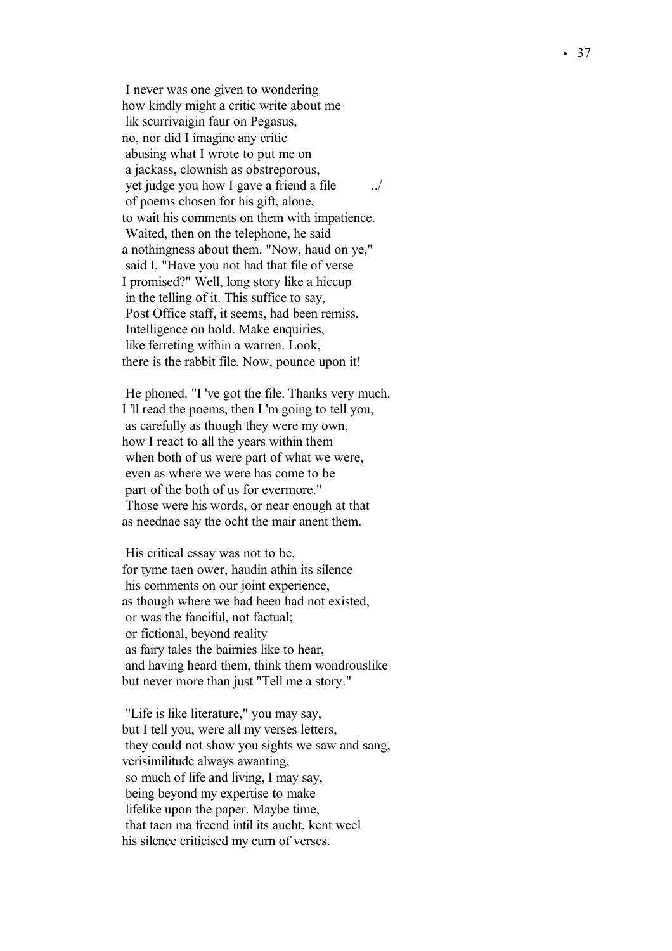I never was one given to wondering how kindly might a critic write about me lik scurrivaigin faur on Pegasus, no, nor did I imagine any critic abusing what I wrote to put me on a jackass, clownish as obstreporous, yet judge you how I gave a friend a file ../ of poems chosen for his gift, alone, to wait his comments on them with impatience. Waited, then on the telephone, he said a nothingness about them. "Now, haud on ye," said I, "Have you not had that file of verse I promised?" Well, long story like a hiccup in the telling of it. This suffice to say, Post Office staff, it seems, had been remiss. Intelligence on hold. Make enquiries, like ferreting within a warren. Look, there is the rabbit file. Now, pounce upon it!

He phoned. "I 've got the file. Thanks very much. I 'll read the poems, then I 'm going to tell you, as carefully as though they were my own, how I react to all the years within them when both of us were part of what we were, even as where we were has come to be part of the both of us for evermore." Those were his words, or near enough at that as neednae say the ocht the mair anent them.

His critical essay was not to be, for tyme taen ower, haudin athin its silence his comments on our joint experience, as though where we had been had not existed, or was the fanciful, not factual; or fictional, beyond reality as fairy tales the bairnies like to hear, and having heard them, think them wondrouslike but never more than just "Tell me a story."

"Life is like literature," you may say, but I tell you, were all my verses letters, they could not show you sights we saw and sang, verisimilitude always awanting, so much of life and living, I may say, being beyond my expertise to make lifelike upon the paper. Maybe time, that taen ma freend intil its aucht, kent weel his silence criticised my curn of verses.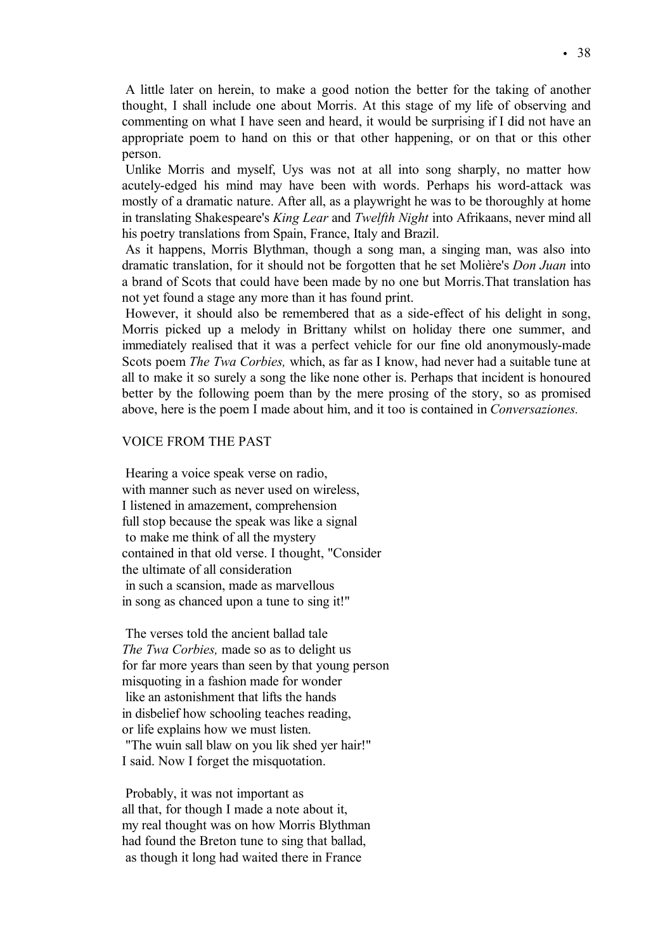A little later on herein, to make a good notion the better for the taking of another thought, I shall include one about Morris. At this stage of my life of observing and commenting on what I have seen and heard, it would be surprising if I did not have an appropriate poem to hand on this or that other happening, or on that or this other person.

Unlike Morris and myself, Uys was not at all into song sharply, no matter how acutely-edged his mind may have been with words. Perhaps his word-attack was mostly of a dramatic nature. After all, as a playwright he was to be thoroughly at home in translating Shakespeare's *King Lear* and *Twelfth Night* into Afrikaans, never mind all his poetry translations from Spain, France, Italy and Brazil.

As it happens, Morris Blythman, though a song man, a singing man, was also into dramatic translation, for it should not be forgotten that he set Moliáre's *Don Juan* into a brand of Scots that could have been made by no one but Morris.That translation has not yet found a stage any more than it has found print.

However, it should also be remembered that as a side-effect of his delight in song, Morris picked up a melody in Brittany whilst on holiday there one summer, and immediately realised that it was a perfect vehicle for our fine old anonymously-made Scots poem *The Twa Corbies,* which, as far as I know, had never had a suitable tune at all to make it so surely a song the like none other is. Perhaps that incident is honoured better by the following poem than by the mere prosing of the story, so as promised above, here is the poem I made about him, and it too is contained in *Conversaziones.* 

## VOICE FROM THE PAST

Hearing a voice speak verse on radio, with manner such as never used on wireless, I listened in amazement, comprehension full stop because the speak was like a signal to make me think of all the mystery contained in that old verse. I thought, "Consider the ultimate of all consideration in such a scansion, made as marvellous in song as chanced upon a tune to sing it!"

The verses told the ancient ballad tale *The Twa Corbies,* made so as to delight us for far more years than seen by that young person misquoting in a fashion made for wonder like an astonishment that lifts the hands in disbelief how schooling teaches reading, or life explains how we must listen. "The wuin sall blaw on you lik shed yer hair!" I said. Now I forget the misquotation.

Probably, it was not important as all that, for though I made a note about it, my real thought was on how Morris Blythman had found the Breton tune to sing that ballad, as though it long had waited there in France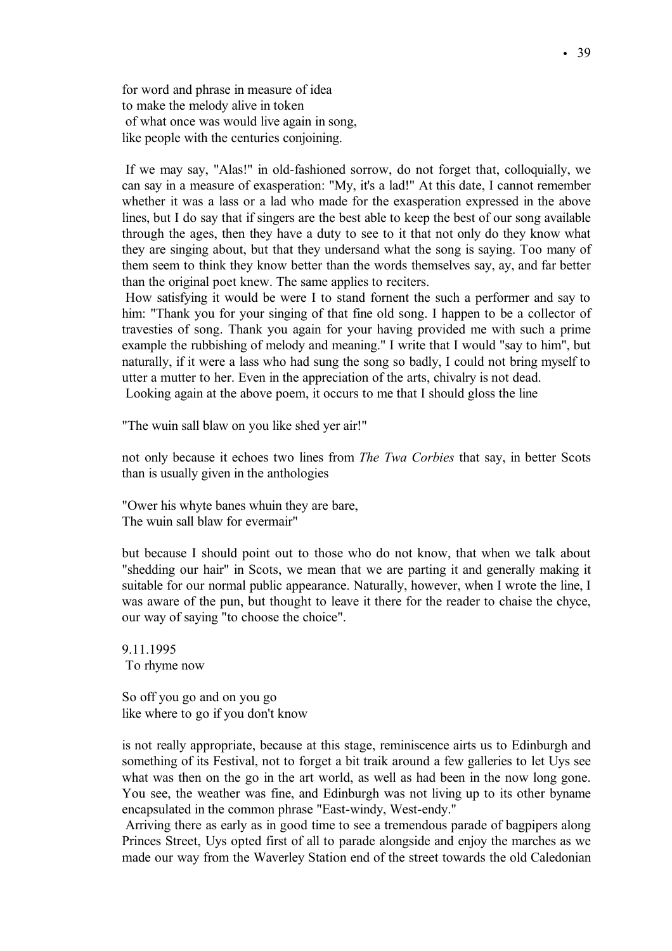for word and phrase in measure of idea to make the melody alive in token of what once was would live again in song, like people with the centuries conjoining.

If we may say, "Alas!" in old-fashioned sorrow, do not forget that, colloquially, we can say in a measure of exasperation: "My, it's a lad!" At this date, I cannot remember whether it was a lass or a lad who made for the exasperation expressed in the above lines, but I do say that if singers are the best able to keep the best of our song available through the ages, then they have a duty to see to it that not only do they know what they are singing about, but that they undersand what the song is saying. Too many of them seem to think they know better than the words themselves say, ay, and far better than the original poet knew. The same applies to reciters.

How satisfying it would be were I to stand fornent the such a performer and say to him: "Thank you for your singing of that fine old song. I happen to be a collector of travesties of song. Thank you again for your having provided me with such a prime example the rubbishing of melody and meaning." I write that I would "say to him", but naturally, if it were a lass who had sung the song so badly, I could not bring myself to utter a mutter to her. Even in the appreciation of the arts, chivalry is not dead. Looking again at the above poem, it occurs to me that I should gloss the line

"The wuin sall blaw on you like shed yer air!"

not only because it echoes two lines from *The Twa Corbies* that say, in better Scots than is usually given in the anthologies

"Ower his whyte banes whuin they are bare, The wuin sall blaw for evermair"

but because I should point out to those who do not know, that when we talk about "shedding our hair" in Scots, we mean that we are parting it and generally making it suitable for our normal public appearance. Naturally, however, when I wrote the line, I was aware of the pun, but thought to leave it there for the reader to chaise the chyce, our way of saying "to choose the choice".

9.11.1995 To rhyme now

So off you go and on you go like where to go if you don't know

is not really appropriate, because at this stage, reminiscence airts us to Edinburgh and something of its Festival, not to forget a bit traik around a few galleries to let Uys see what was then on the go in the art world, as well as had been in the now long gone. You see, the weather was fine, and Edinburgh was not living up to its other byname encapsulated in the common phrase "East-windy, West-endy."

Arriving there as early as in good time to see a tremendous parade of bagpipers along Princes Street, Uys opted first of all to parade alongside and enjoy the marches as we made our way from the Waverley Station end of the street towards the old Caledonian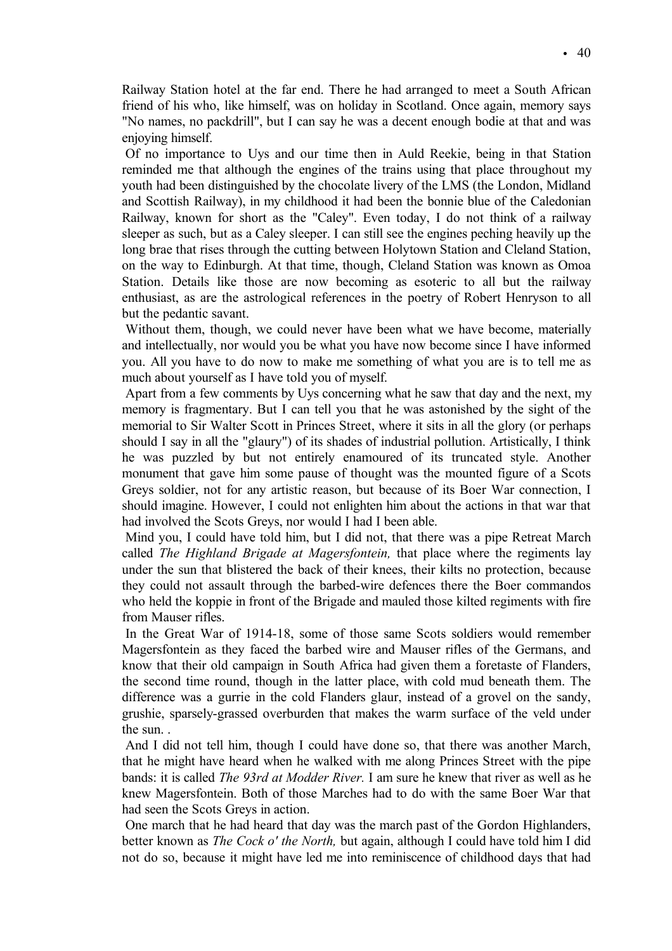Railway Station hotel at the far end. There he had arranged to meet a South African friend of his who, like himself, was on holiday in Scotland. Once again, memory says "No names, no packdrill", but I can say he was a decent enough bodie at that and was enjoying himself.

Of no importance to Uys and our time then in Auld Reekie, being in that Station reminded me that although the engines of the trains using that place throughout my youth had been distinguished by the chocolate livery of the LMS (the London, Midland and Scottish Railway), in my childhood it had been the bonnie blue of the Caledonian Railway, known for short as the "Caley". Even today, I do not think of a railway sleeper as such, but as a Caley sleeper. I can still see the engines peching heavily up the long brae that rises through the cutting between Holytown Station and Cleland Station, on the way to Edinburgh. At that time, though, Cleland Station was known as Omoa Station. Details like those are now becoming as esoteric to all but the railway enthusiast, as are the astrological references in the poetry of Robert Henryson to all but the pedantic savant.

Without them, though, we could never have been what we have become, materially and intellectually, nor would you be what you have now become since I have informed you. All you have to do now to make me something of what you are is to tell me as much about yourself as I have told you of myself.

Apart from a few comments by Uys concerning what he saw that day and the next, my memory is fragmentary. But I can tell you that he was astonished by the sight of the memorial to Sir Walter Scott in Princes Street, where it sits in all the glory (or perhaps should I say in all the "glaury") of its shades of industrial pollution. Artistically, I think he was puzzled by but not entirely enamoured of its truncated style. Another monument that gave him some pause of thought was the mounted figure of a Scots Greys soldier, not for any artistic reason, but because of its Boer War connection, I should imagine. However, I could not enlighten him about the actions in that war that had involved the Scots Greys, nor would I had I been able.

Mind you, I could have told him, but I did not, that there was a pipe Retreat March called *The Highland Brigade at Magersfontein,* that place where the regiments lay under the sun that blistered the back of their knees, their kilts no protection, because they could not assault through the barbed-wire defences there the Boer commandos who held the koppie in front of the Brigade and mauled those kilted regiments with fire from Mauser rifles.

In the Great War of 1914-18, some of those same Scots soldiers would remember Magersfontein as they faced the barbed wire and Mauser rifles of the Germans, and know that their old campaign in South Africa had given them a foretaste of Flanders, the second time round, though in the latter place, with cold mud beneath them. The difference was a gurrie in the cold Flanders glaur, instead of a grovel on the sandy, grushie, sparsely-grassed overburden that makes the warm surface of the veld under the sun.

And I did not tell him, though I could have done so, that there was another March, that he might have heard when he walked with me along Princes Street with the pipe bands: it is called *The 93rd at Modder River.* I am sure he knew that river as well as he knew Magersfontein. Both of those Marches had to do with the same Boer War that had seen the Scots Greys in action.

One march that he had heard that day was the march past of the Gordon Highlanders, better known as *The Cock o' the North,* but again, although I could have told him I did not do so, because it might have led me into reminiscence of childhood days that had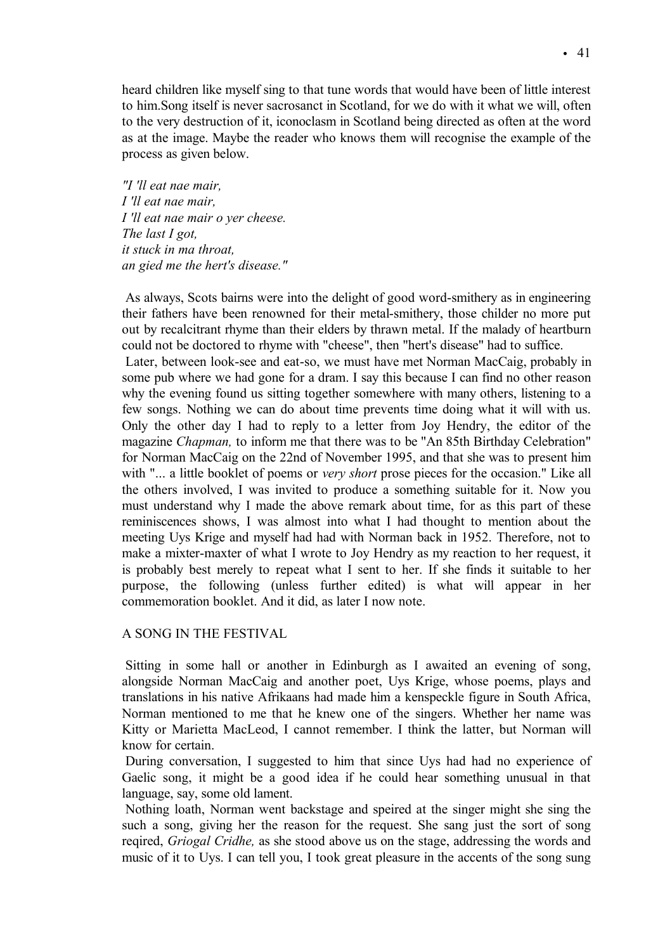heard children like myself sing to that tune words that would have been of little interest to him.Song itself is never sacrosanct in Scotland, for we do with it what we will, often to the very destruction of it, iconoclasm in Scotland being directed as often at the word as at the image. Maybe the reader who knows them will recognise the example of the process as given below.

*"I 'll eat nae mair, I 'll eat nae mair, I 'll eat nae mair o yer cheese. The last I got, it stuck in ma throat, an gied me the hert's disease."*

As always, Scots bairns were into the delight of good word-smithery as in engineering their fathers have been renowned for their metal-smithery, those childer no more put out by recalcitrant rhyme than their elders by thrawn metal. If the malady of heartburn could not be doctored to rhyme with "cheese", then "hert's disease" had to suffice.

Later, between look-see and eat-so, we must have met Norman MacCaig, probably in some pub where we had gone for a dram. I say this because I can find no other reason why the evening found us sitting together somewhere with many others, listening to a few songs. Nothing we can do about time prevents time doing what it will with us. Only the other day I had to reply to a letter from Joy Hendry, the editor of the magazine *Chapman,* to inform me that there was to be "An 85th Birthday Celebration" for Norman MacCaig on the 22nd of November 1995, and that she was to present him with "... a little booklet of poems or *very short* prose pieces for the occasion." Like all the others involved, I was invited to produce a something suitable for it. Now you must understand why I made the above remark about time, for as this part of these reminiscences shows, I was almost into what I had thought to mention about the meeting Uys Krige and myself had had with Norman back in 1952. Therefore, not to make a mixter-maxter of what I wrote to Joy Hendry as my reaction to her request, it is probably best merely to repeat what I sent to her. If she finds it suitable to her purpose, the following (unless further edited) is what will appear in her commemoration booklet. And it did, as later I now note.

# A SONG IN THE FESTIVAL

Sitting in some hall or another in Edinburgh as I awaited an evening of song, alongside Norman MacCaig and another poet, Uys Krige, whose poems, plays and translations in his native Afrikaans had made him a kenspeckle figure in South Africa, Norman mentioned to me that he knew one of the singers. Whether her name was Kitty or Marietta MacLeod, I cannot remember. I think the latter, but Norman will know for certain.

During conversation, I suggested to him that since Uys had had no experience of Gaelic song, it might be a good idea if he could hear something unusual in that language, say, some old lament.

Nothing loath, Norman went backstage and speired at the singer might she sing the such a song, giving her the reason for the request. She sang just the sort of song reqired, *Griogal Cridhe,* as she stood above us on the stage, addressing the words and music of it to Uys. I can tell you, I took great pleasure in the accents of the song sung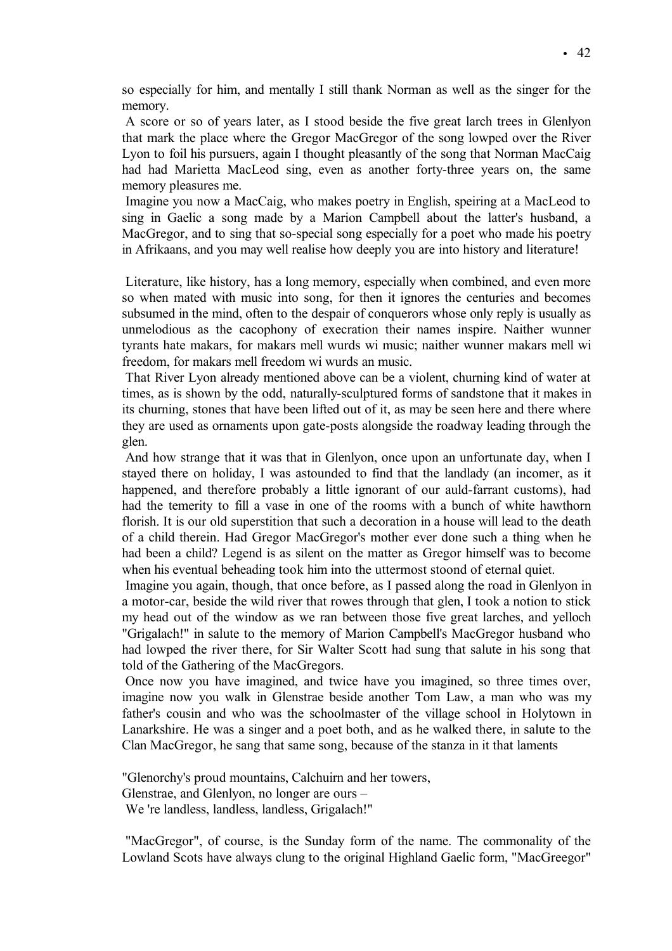so especially for him, and mentally I still thank Norman as well as the singer for the memory.

A score or so of years later, as I stood beside the five great larch trees in Glenlyon that mark the place where the Gregor MacGregor of the song lowped over the River Lyon to foil his pursuers, again I thought pleasantly of the song that Norman MacCaig had had Marietta MacLeod sing, even as another forty-three years on, the same memory pleasures me.

Imagine you now a MacCaig, who makes poetry in English, speiring at a MacLeod to sing in Gaelic a song made by a Marion Campbell about the latter's husband, a MacGregor, and to sing that so-special song especially for a poet who made his poetry in Afrikaans, and you may well realise how deeply you are into history and literature!

Literature, like history, has a long memory, especially when combined, and even more so when mated with music into song, for then it ignores the centuries and becomes subsumed in the mind, often to the despair of conquerors whose only reply is usually as unmelodious as the cacophony of execration their names inspire. Naither wunner tyrants hate makars, for makars mell wurds wi music; naither wunner makars mell wi freedom, for makars mell freedom wi wurds an music.

That River Lyon already mentioned above can be a violent, churning kind of water at times, as is shown by the odd, naturally-sculptured forms of sandstone that it makes in its churning, stones that have been lifted out of it, as may be seen here and there where they are used as ornaments upon gate-posts alongside the roadway leading through the glen.

And how strange that it was that in Glenlyon, once upon an unfortunate day, when I stayed there on holiday, I was astounded to find that the landlady (an incomer, as it happened, and therefore probably a little ignorant of our auld-farrant customs), had had the temerity to fill a vase in one of the rooms with a bunch of white hawthorn florish. It is our old superstition that such a decoration in a house will lead to the death of a child therein. Had Gregor MacGregor's mother ever done such a thing when he had been a child? Legend is as silent on the matter as Gregor himself was to become when his eventual beheading took him into the uttermost stoond of eternal quiet.

Imagine you again, though, that once before, as I passed along the road in Glenlyon in a motor-car, beside the wild river that rowes through that glen, I took a notion to stick my head out of the window as we ran between those five great larches, and yelloch "Grigalach!" in salute to the memory of Marion Campbell's MacGregor husband who had lowped the river there, for Sir Walter Scott had sung that salute in his song that told of the Gathering of the MacGregors.

Once now you have imagined, and twice have you imagined, so three times over, imagine now you walk in Glenstrae beside another Tom Law, a man who was my father's cousin and who was the schoolmaster of the village school in Holytown in Lanarkshire. He was a singer and a poet both, and as he walked there, in salute to the Clan MacGregor, he sang that same song, because of the stanza in it that laments

"Glenorchy's proud mountains, Calchuirn and her towers, Glenstrae, and Glenlyon, no longer are ours – We 're landless, landless, landless, Grigalach!"

"MacGregor", of course, is the Sunday form of the name. The commonality of the Lowland Scots have always clung to the original Highland Gaelic form, "MacGreegor"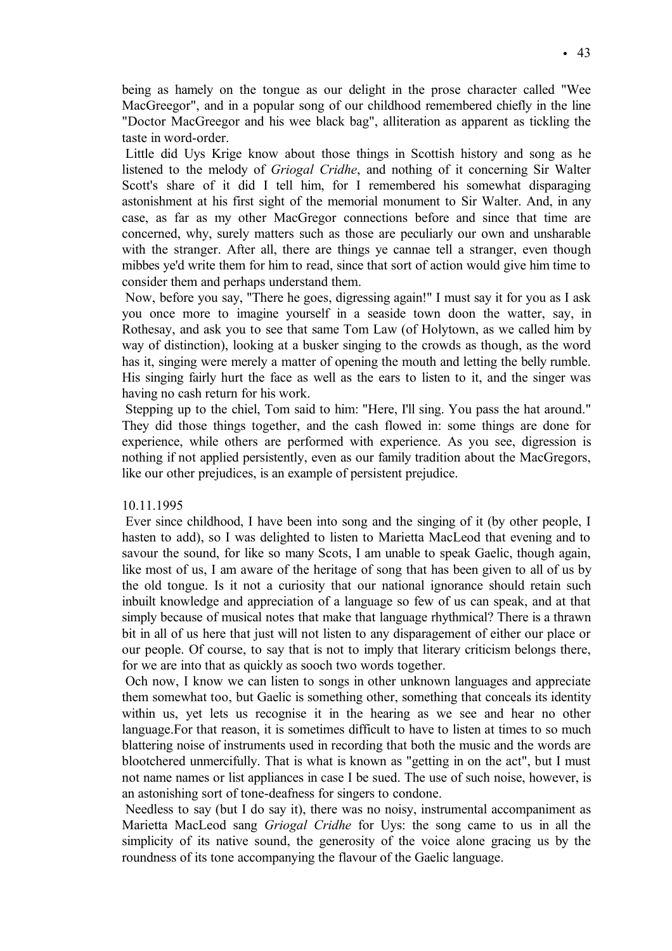being as hamely on the tongue as our delight in the prose character called "Wee MacGreegor", and in a popular song of our childhood remembered chiefly in the line "Doctor MacGreegor and his wee black bag", alliteration as apparent as tickling the taste in word-order.

Little did Uys Krige know about those things in Scottish history and song as he listened to the melody of *Griogal Cridhe*, and nothing of it concerning Sir Walter Scott's share of it did I tell him, for I remembered his somewhat disparaging astonishment at his first sight of the memorial monument to Sir Walter. And, in any case, as far as my other MacGregor connections before and since that time are concerned, why, surely matters such as those are peculiarly our own and unsharable with the stranger. After all, there are things ye cannae tell a stranger, even though mibbes ye'd write them for him to read, since that sort of action would give him time to consider them and perhaps understand them.

Now, before you say, "There he goes, digressing again!" I must say it for you as I ask you once more to imagine yourself in a seaside town doon the watter, say, in Rothesay, and ask you to see that same Tom Law (of Holytown, as we called him by way of distinction), looking at a busker singing to the crowds as though, as the word has it, singing were merely a matter of opening the mouth and letting the belly rumble. His singing fairly hurt the face as well as the ears to listen to it, and the singer was having no cash return for his work.

Stepping up to the chiel, Tom said to him: "Here, I'll sing. You pass the hat around." They did those things together, and the cash flowed in: some things are done for experience, while others are performed with experience. As you see, digression is nothing if not applied persistently, even as our family tradition about the MacGregors, like our other prejudices, is an example of persistent prejudice.

# 10.11.1995

Ever since childhood, I have been into song and the singing of it (by other people, I hasten to add), so I was delighted to listen to Marietta MacLeod that evening and to savour the sound, for like so many Scots, I am unable to speak Gaelic, though again, like most of us, I am aware of the heritage of song that has been given to all of us by the old tongue. Is it not a curiosity that our national ignorance should retain such inbuilt knowledge and appreciation of a language so few of us can speak, and at that simply because of musical notes that make that language rhythmical? There is a thrawn bit in all of us here that just will not listen to any disparagement of either our place or our people. Of course, to say that is not to imply that literary criticism belongs there, for we are into that as quickly as sooch two words together.

Och now, I know we can listen to songs in other unknown languages and appreciate them somewhat too, but Gaelic is something other, something that conceals its identity within us, yet lets us recognise it in the hearing as we see and hear no other language.For that reason, it is sometimes difficult to have to listen at times to so much blattering noise of instruments used in recording that both the music and the words are blootchered unmercifully. That is what is known as "getting in on the act", but I must not name names or list appliances in case I be sued. The use of such noise, however, is an astonishing sort of tone-deafness for singers to condone.

Needless to say (but I do say it), there was no noisy, instrumental accompaniment as Marietta MacLeod sang *Griogal Cridhe* for Uys: the song came to us in all the simplicity of its native sound, the generosity of the voice alone gracing us by the roundness of its tone accompanying the flavour of the Gaelic language.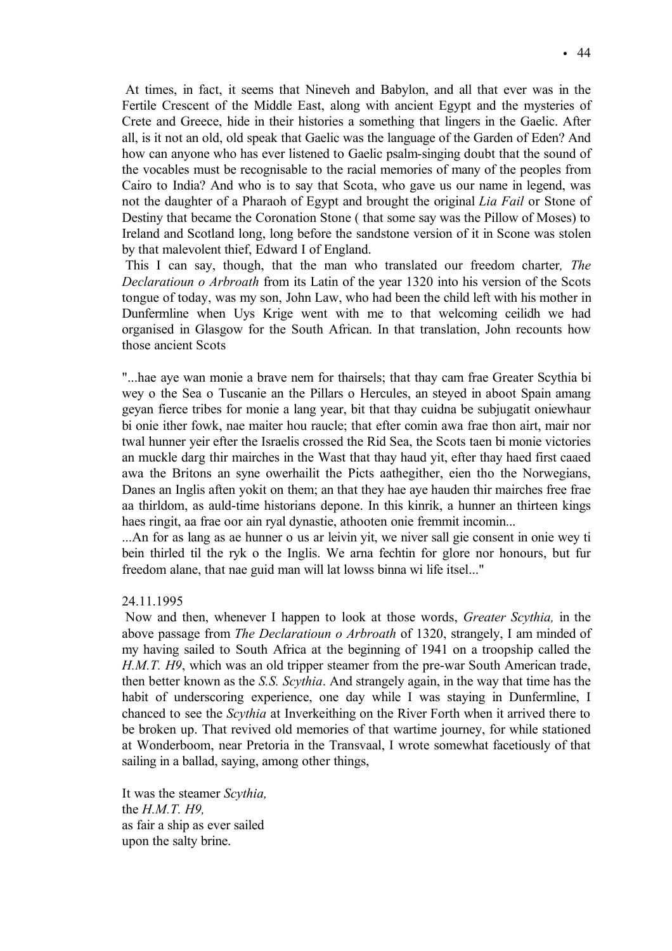At times, in fact, it seems that Nineveh and Babylon, and all that ever was in the Fertile Crescent of the Middle East, along with ancient Egypt and the mysteries of Crete and Greece, hide in their histories a something that lingers in the Gaelic. After all, is it not an old, old speak that Gaelic was the language of the Garden of Eden? And how can anyone who has ever listened to Gaelic psalm-singing doubt that the sound of the vocables must be recognisable to the racial memories of many of the peoples from Cairo to India? And who is to say that Scota, who gave us our name in legend, was not the daughter of a Pharaoh of Egypt and brought the original *Lia Fail* or Stone of Destiny that became the Coronation Stone ( that some say was the Pillow of Moses) to Ireland and Scotland long, long before the sandstone version of it in Scone was stolen by that malevolent thief, Edward I of England.

This I can say, though, that the man who translated our freedom charter*, The Declaratioun o Arbroath* from its Latin of the year 1320 into his version of the Scots tongue of today, was my son, John Law, who had been the child left with his mother in Dunfermline when Uys Krige went with me to that welcoming ceilidh we had organised in Glasgow for the South African. In that translation, John recounts how those ancient Scots

"...hae aye wan monie a brave nem for thairsels; that thay cam frae Greater Scythia bi wey o the Sea o Tuscanie an the Pillars o Hercules, an steyed in aboot Spain amang geyan fierce tribes for monie a lang year, bit that thay cuidna be subjugatit oniewhaur bi onie ither fowk, nae maiter hou raucle; that efter comin awa frae thon airt, mair nor twal hunner yeir efter the Israelis crossed the Rid Sea, the Scots taen bi monie victories an muckle darg thir mairches in the Wast that thay haud yit, efter thay haed first caaed awa the Britons an syne owerhailit the Picts aathegither, eien tho the Norwegians, Danes an Inglis aften yokit on them; an that they hae aye hauden thir mairches free frae aa thirldom, as auld-time historians depone. In this kinrik, a hunner an thirteen kings haes ringit, aa frae oor ain ryal dynastie, athooten onie fremmit incomin...

...An for as lang as ae hunner o us ar leivin yit, we niver sall gie consent in onie wey ti bein thirled til the ryk o the Inglis. We arna fechtin for glore nor honours, but fur freedom alane, that nae guid man will lat lowss binna wi life itsel..."

# 24.11.1995

Now and then, whenever I happen to look at those words, *Greater Scythia,* in the above passage from *The Declaratioun o Arbroath* of 1320, strangely, I am minded of my having sailed to South Africa at the beginning of 1941 on a troopship called the *H.M.T. H9*, which was an old tripper steamer from the pre-war South American trade, then better known as the *S.S. Scythia*. And strangely again, in the way that time has the habit of underscoring experience, one day while I was staying in Dunfermline, I chanced to see the *Scythia* at Inverkeithing on the River Forth when it arrived there to be broken up. That revived old memories of that wartime journey, for while stationed at Wonderboom, near Pretoria in the Transvaal, I wrote somewhat facetiously of that sailing in a ballad, saying, among other things,

It was the steamer *Scythia,* the *H.M.T. H9,* as fair a ship as ever sailed upon the salty brine.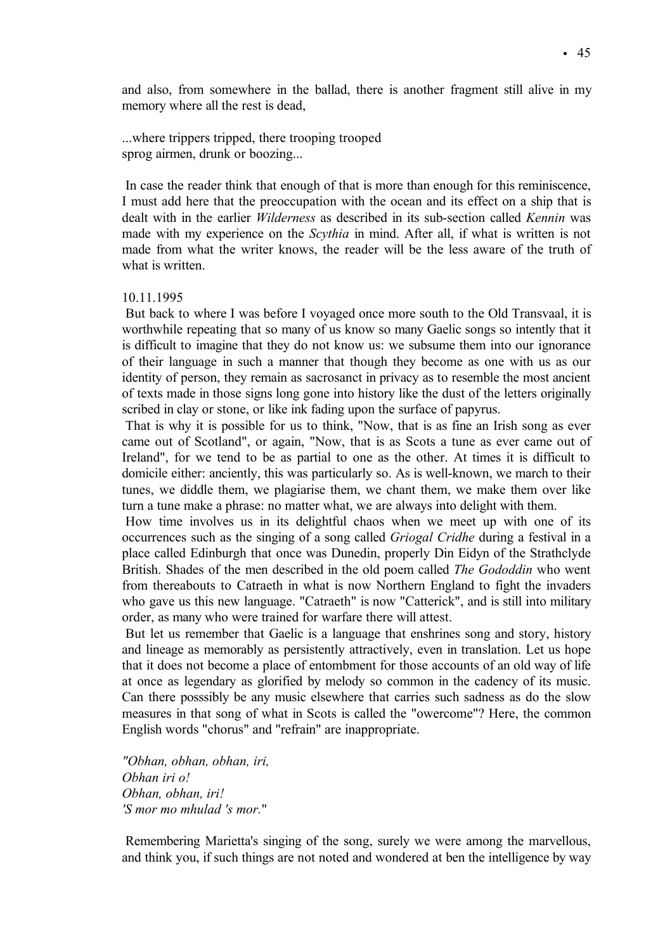and also, from somewhere in the ballad, there is another fragment still alive in my memory where all the rest is dead,

...where trippers tripped, there trooping trooped sprog airmen, drunk or boozing...

In case the reader think that enough of that is more than enough for this reminiscence, I must add here that the preoccupation with the ocean and its effect on a ship that is dealt with in the earlier *Wilderness* as described in its sub-section called *Kennin* was made with my experience on the *Scythia* in mind. After all, if what is written is not made from what the writer knows, the reader will be the less aware of the truth of what is written.

#### 10.11.1995

But back to where I was before I voyaged once more south to the Old Transvaal, it is worthwhile repeating that so many of us know so many Gaelic songs so intently that it is difficult to imagine that they do not know us: we subsume them into our ignorance of their language in such a manner that though they become as one with us as our identity of person, they remain as sacrosanct in privacy as to resemble the most ancient of texts made in those signs long gone into history like the dust of the letters originally scribed in clay or stone, or like ink fading upon the surface of papyrus.

That is why it is possible for us to think, "Now, that is as fine an Irish song as ever came out of Scotland", or again, "Now, that is as Scots a tune as ever came out of Ireland", for we tend to be as partial to one as the other. At times it is difficult to domicile either: anciently, this was particularly so. As is well-known, we march to their tunes, we diddle them, we plagiarise them, we chant them, we make them over like turn a tune make a phrase: no matter what, we are always into delight with them.

How time involves us in its delightful chaos when we meet up with one of its occurrences such as the singing of a song called *Griogal Cridhe* during a festival in a place called Edinburgh that once was Dunedin, properly Din Eidyn of the Strathclyde British. Shades of the men described in the old poem called *The Gododdin* who went from thereabouts to Catraeth in what is now Northern England to fight the invaders who gave us this new language. "Catraeth" is now "Catterick", and is still into military order, as many who were trained for warfare there will attest.

But let us remember that Gaelic is a language that enshrines song and story, history and lineage as memorably as persistently attractively, even in translation. Let us hope that it does not become a place of entombment for those accounts of an old way of life at once as legendary as glorified by melody so common in the cadency of its music. Can there posssibly be any music elsewhere that carries such sadness as do the slow measures in that song of what in Scots is called the "owercome"? Here, the common English words "chorus" and "refrain" are inappropriate.

*"Obhan, obhan, obhan, iri, Obhan iri o! Obhan, obhan, iri! 'S mor mo mhulad 's mor.*"

Remembering Marietta's singing of the song, surely we were among the marvellous, and think you, if such things are not noted and wondered at ben the intelligence by way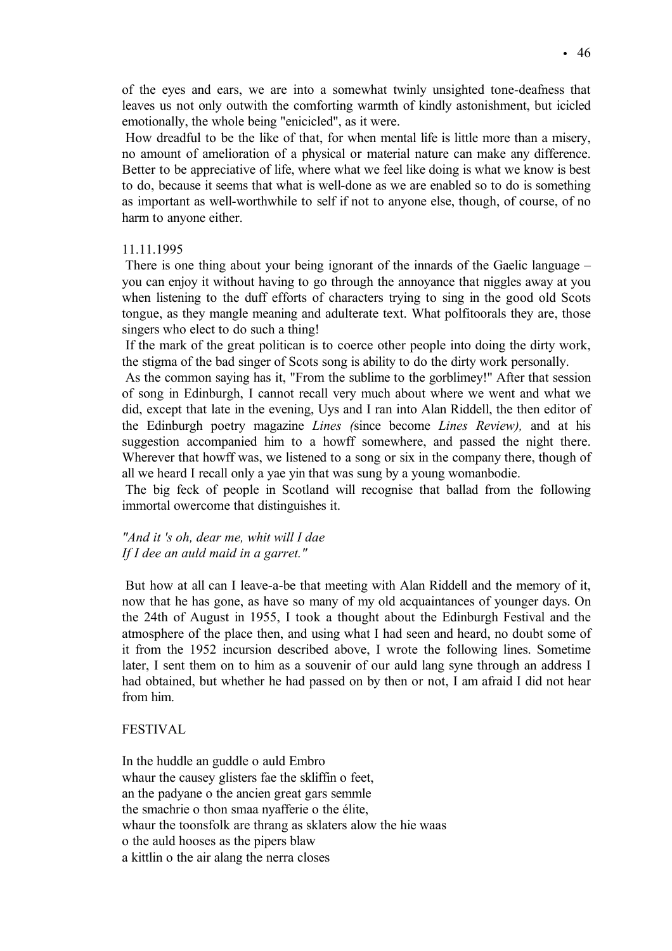of the eyes and ears, we are into a somewhat twinly unsighted tone-deafness that leaves us not only outwith the comforting warmth of kindly astonishment, but icicled emotionally, the whole being "enicicled", as it were.

How dreadful to be the like of that, for when mental life is little more than a misery, no amount of amelioration of a physical or material nature can make any difference. Better to be appreciative of life, where what we feel like doing is what we know is best to do, because it seems that what is well-done as we are enabled so to do is something as important as well-worthwhile to self if not to anyone else, though, of course, of no harm to anyone either.

# 11.11.1995

There is one thing about your being ignorant of the innards of the Gaelic language – you can enjoy it without having to go through the annoyance that niggles away at you when listening to the duff efforts of characters trying to sing in the good old Scots tongue, as they mangle meaning and adulterate text. What polfitoorals they are, those singers who elect to do such a thing!

If the mark of the great politican is to coerce other people into doing the dirty work, the stigma of the bad singer of Scots song is ability to do the dirty work personally.

As the common saying has it, "From the sublime to the gorblimey!" After that session of song in Edinburgh, I cannot recall very much about where we went and what we did, except that late in the evening, Uys and I ran into Alan Riddell, the then editor of the Edinburgh poetry magazine *Lines (*since become *Lines Review),* and at his suggestion accompanied him to a howff somewhere, and passed the night there. Wherever that howff was, we listened to a song or six in the company there, though of all we heard I recall only a yae yin that was sung by a young womanbodie.

The big feck of people in Scotland will recognise that ballad from the following immortal owercome that distinguishes it.

# *"And it 's oh, dear me, whit will I dae If I dee an auld maid in a garret."*

But how at all can I leave-a-be that meeting with Alan Riddell and the memory of it, now that he has gone, as have so many of my old acquaintances of younger days. On the 24th of August in 1955, I took a thought about the Edinburgh Festival and the atmosphere of the place then, and using what I had seen and heard, no doubt some of it from the 1952 incursion described above, I wrote the following lines. Sometime later, I sent them on to him as a souvenir of our auld lang syne through an address I had obtained, but whether he had passed on by then or not, I am afraid I did not hear from him.

# FESTIVAL

In the huddle an guddle o auld Embro whaur the causey glisters fae the skliffin o feet, an the padyane o the ancien great gars semmle the smachrie o thon smaa nyafferie o the élite, whaur the toonsfolk are thrang as sklaters alow the hie waas o the auld hooses as the pipers blaw a kittlin o the air alang the nerra closes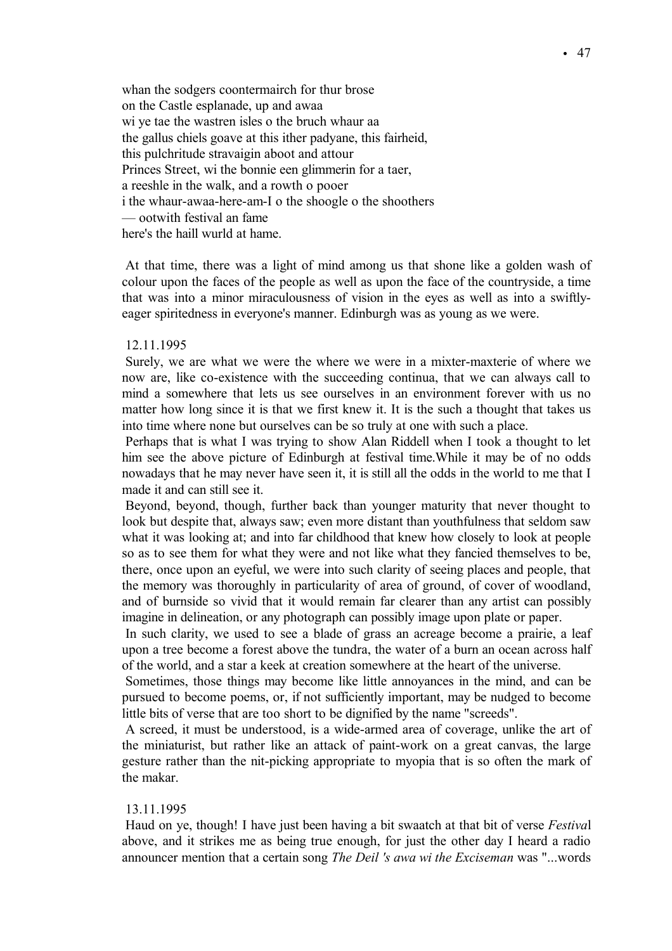whan the sodgers coontermairch for thur brose on the Castle esplanade, up and awaa wi ye tae the wastren isles o the bruch whaur aa the gallus chiels goave at this ither padyane, this fairheid, this pulchritude stravaigin aboot and attour Princes Street, wi the bonnie een glimmerin for a taer, a reeshle in the walk, and a rowth o pooer i the whaur-awaa-here-am-I o the shoogle o the shoothers — ootwith festival an fame here's the haill wurld at hame.

At that time, there was a light of mind among us that shone like a golden wash of colour upon the faces of the people as well as upon the face of the countryside, a time that was into a minor miraculousness of vision in the eyes as well as into a swiftlyeager spiritedness in everyone's manner. Edinburgh was as young as we were.

## 12.11.1995

Surely, we are what we were the where we were in a mixter-maxterie of where we now are, like co-existence with the succeeding continua, that we can always call to mind a somewhere that lets us see ourselves in an environment forever with us no matter how long since it is that we first knew it. It is the such a thought that takes us into time where none but ourselves can be so truly at one with such a place.

Perhaps that is what I was trying to show Alan Riddell when I took a thought to let him see the above picture of Edinburgh at festival time.While it may be of no odds nowadays that he may never have seen it, it is still all the odds in the world to me that I made it and can still see it.

Beyond, beyond, though, further back than younger maturity that never thought to look but despite that, always saw; even more distant than youthfulness that seldom saw what it was looking at; and into far childhood that knew how closely to look at people so as to see them for what they were and not like what they fancied themselves to be, there, once upon an eyeful, we were into such clarity of seeing places and people, that the memory was thoroughly in particularity of area of ground, of cover of woodland, and of burnside so vivid that it would remain far clearer than any artist can possibly imagine in delineation, or any photograph can possibly image upon plate or paper.

In such clarity, we used to see a blade of grass an acreage become a prairie, a leaf upon a tree become a forest above the tundra, the water of a burn an ocean across half of the world, and a star a keek at creation somewhere at the heart of the universe.

Sometimes, those things may become like little annoyances in the mind, and can be pursued to become poems, or, if not sufficiently important, may be nudged to become little bits of verse that are too short to be dignified by the name "screeds".

A screed, it must be understood, is a wide-armed area of coverage, unlike the art of the miniaturist, but rather like an attack of paint-work on a great canvas, the large gesture rather than the nit-picking appropriate to myopia that is so often the mark of the makar.

#### 13.11.1995

Haud on ye, though! I have just been having a bit swaatch at that bit of verse *Festiva*l above, and it strikes me as being true enough, for just the other day I heard a radio announcer mention that a certain song *The Deil 's awa wi the Exciseman* was "...words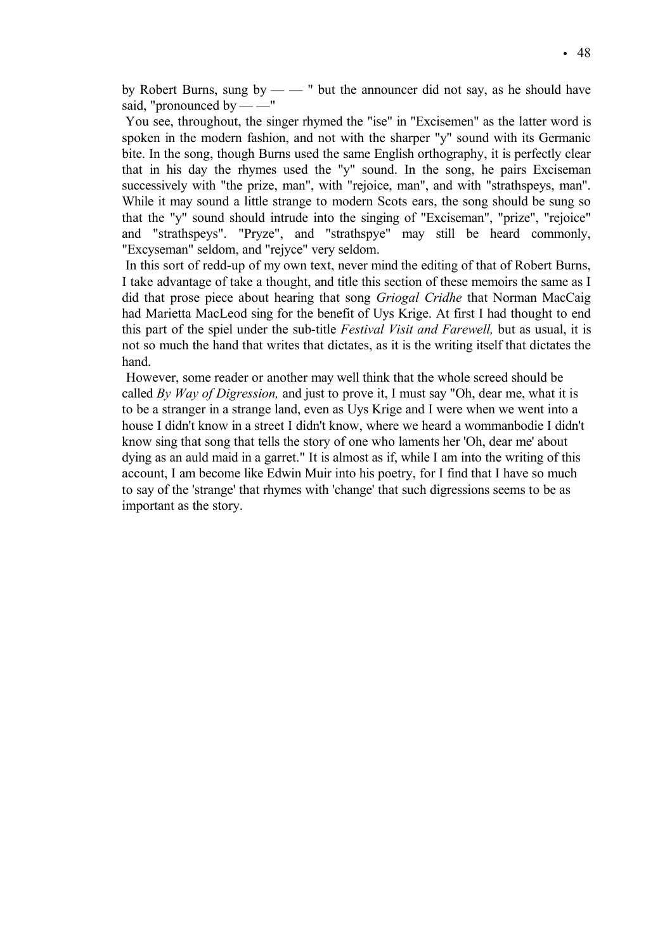by Robert Burns, sung by — — " but the announcer did not say, as he should have said, "pronounced by —  $-$ "

You see, throughout, the singer rhymed the "ise" in "Excisemen" as the latter word is spoken in the modern fashion, and not with the sharper "y" sound with its Germanic bite. In the song, though Burns used the same English orthography, it is perfectly clear that in his day the rhymes used the "y" sound. In the song, he pairs Exciseman successively with "the prize, man", with "rejoice, man", and with "strathspeys, man". While it may sound a little strange to modern Scots ears, the song should be sung so that the "y" sound should intrude into the singing of "Exciseman", "prize", "rejoice" and "strathspeys". "Pryze", and "strathspye" may still be heard commonly, "Excyseman" seldom, and "rejyce" very seldom.

In this sort of redd-up of my own text, never mind the editing of that of Robert Burns, I take advantage of take a thought, and title this section of these memoirs the same as I did that prose piece about hearing that song *Griogal Cridhe* that Norman MacCaig had Marietta MacLeod sing for the benefit of Uys Krige. At first I had thought to end this part of the spiel under the sub-title *Festival Visit and Farewell,* but as usual, it is not so much the hand that writes that dictates, as it is the writing itself that dictates the hand.

However, some reader or another may well think that the whole screed should be called *By Way of Digression,* and just to prove it, I must say "Oh, dear me, what it is to be a stranger in a strange land, even as Uys Krige and I were when we went into a house I didn't know in a street I didn't know, where we heard a wommanbodie I didn't know sing that song that tells the story of one who laments her 'Oh, dear me' about dying as an auld maid in a garret." It is almost as if, while I am into the writing of this account, I am become like Edwin Muir into his poetry, for I find that I have so much to say of the 'strange' that rhymes with 'change' that such digressions seems to be as important as the story.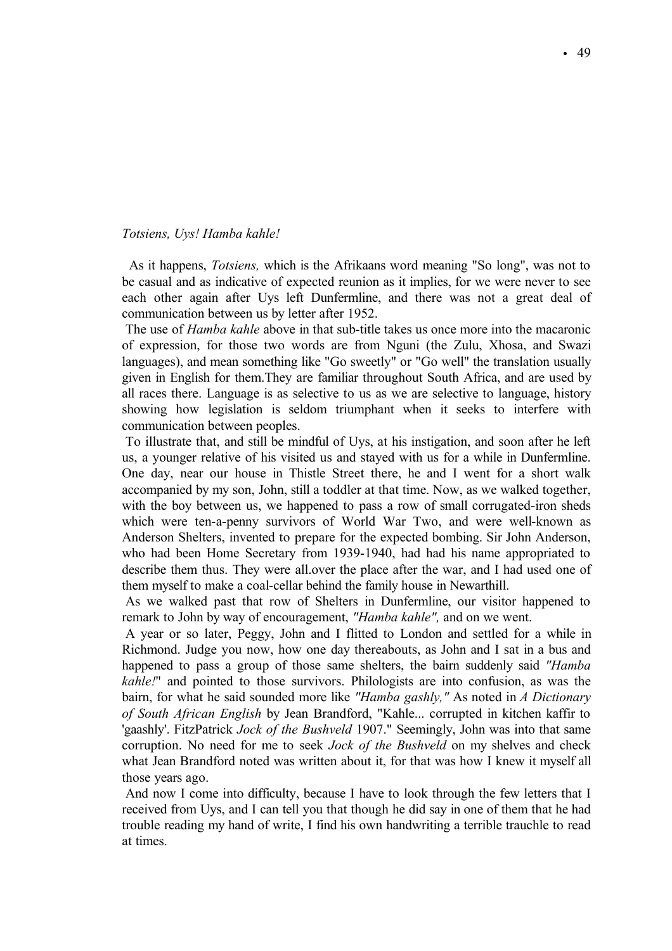### *Totsiens, Uys! Hamba kahle!*

As it happens, *Totsiens,* which is the Afrikaans word meaning "So long", was not to be casual and as indicative of expected reunion as it implies, for we were never to see each other again after Uys left Dunfermline, and there was not a great deal of communication between us by letter after 1952.

The use of *Hamba kahle* above in that sub-title takes us once more into the macaronic of expression, for those two words are from Nguni (the Zulu, Xhosa, and Swazi languages), and mean something like "Go sweetly" or "Go well" the translation usually given in English for them.They are familiar throughout South Africa, and are used by all races there. Language is as selective to us as we are selective to language, history showing how legislation is seldom triumphant when it seeks to interfere with communication between peoples.

To illustrate that, and still be mindful of Uys, at his instigation, and soon after he left us, a younger relative of his visited us and stayed with us for a while in Dunfermline. One day, near our house in Thistle Street there, he and I went for a short walk accompanied by my son, John, still a toddler at that time. Now, as we walked together, with the boy between us, we happened to pass a row of small corrugated-iron sheds which were ten-a-penny survivors of World War Two, and were well-known as Anderson Shelters, invented to prepare for the expected bombing. Sir John Anderson, who had been Home Secretary from 1939-1940, had had his name appropriated to describe them thus. They were all.over the place after the war, and I had used one of them myself to make a coal-cellar behind the family house in Newarthill.

As we walked past that row of Shelters in Dunfermline, our visitor happened to remark to John by way of encouragement, *"Hamba kahle",* and on we went.

A year or so later, Peggy, John and I flitted to London and settled for a while in Richmond. Judge you now, how one day thereabouts, as John and I sat in a bus and happened to pass a group of those same shelters, the bairn suddenly said *"Hamba kahle!*" and pointed to those survivors. Philologists are into confusion, as was the bairn, for what he said sounded more like *"Hamba gashly,"* As noted in *A Dictionary of South African English* by Jean Brandford, "Kahle... corrupted in kitchen kaffir to 'gaashly'. FitzPatrick *Jock of the Bushveld* 1907." Seemingly, John was into that same corruption. No need for me to seek *Jock of the Bushveld* on my shelves and check what Jean Brandford noted was written about it, for that was how I knew it myself all those years ago.

And now I come into difficulty, because I have to look through the few letters that I received from Uys, and I can tell you that though he did say in one of them that he had trouble reading my hand of write, I find his own handwriting a terrible trauchle to read at times.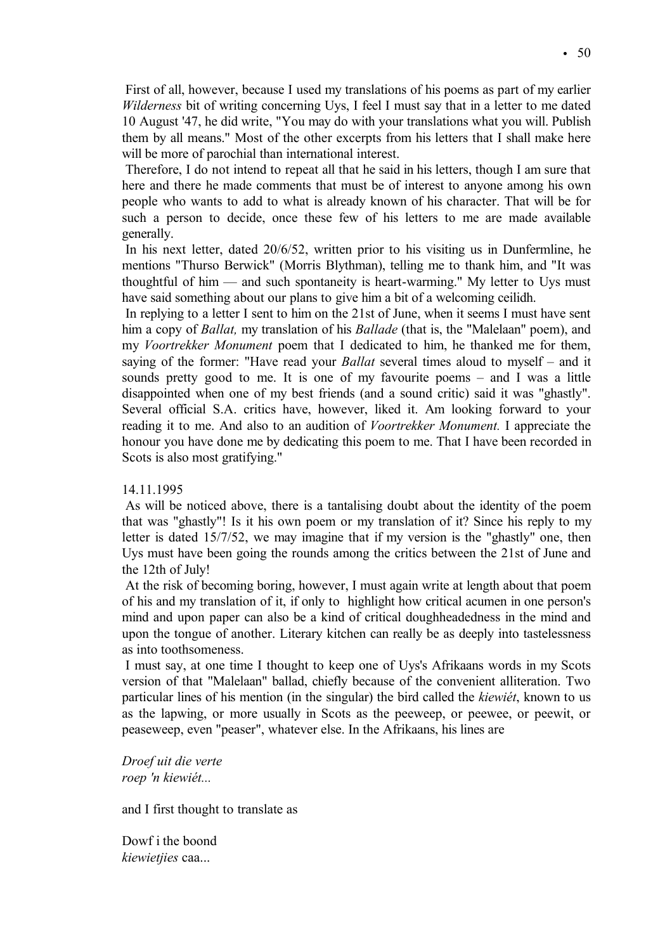First of all, however, because I used my translations of his poems as part of my earlier *Wilderness* bit of writing concerning Uys, I feel I must say that in a letter to me dated 10 August '47, he did write, "You may do with your translations what you will. Publish them by all means." Most of the other excerpts from his letters that I shall make here will be more of parochial than international interest.

Therefore, I do not intend to repeat all that he said in his letters, though I am sure that here and there he made comments that must be of interest to anyone among his own people who wants to add to what is already known of his character. That will be for such a person to decide, once these few of his letters to me are made available generally.

In his next letter, dated 20/6/52, written prior to his visiting us in Dunfermline, he mentions "Thurso Berwick" (Morris Blythman), telling me to thank him, and "It was thoughtful of him — and such spontaneity is heart-warming." My letter to Uys must have said something about our plans to give him a bit of a welcoming ceilidh.

In replying to a letter I sent to him on the 21st of June, when it seems I must have sent him a copy of *Ballat,* my translation of his *Ballade* (that is, the "Malelaan" poem), and my *Voortrekker Monument* poem that I dedicated to him, he thanked me for them, saying of the former: "Have read your *Ballat* several times aloud to myself – and it sounds pretty good to me. It is one of my favourite poems – and I was a little disappointed when one of my best friends (and a sound critic) said it was "ghastly". Several official S.A. critics have, however, liked it. Am looking forward to your reading it to me. And also to an audition of *Voortrekker Monument.* I appreciate the honour you have done me by dedicating this poem to me. That I have been recorded in Scots is also most gratifying."

# 14.11.1995

As will be noticed above, there is a tantalising doubt about the identity of the poem that was "ghastly"! Is it his own poem or my translation of it? Since his reply to my letter is dated 15/7/52, we may imagine that if my version is the "ghastly" one, then Uys must have been going the rounds among the critics between the 21st of June and the 12th of July!

At the risk of becoming boring, however, I must again write at length about that poem of his and my translation of it, if only to highlight how critical acumen in one person's mind and upon paper can also be a kind of critical doughheadedness in the mind and upon the tongue of another. Literary kitchen can really be as deeply into tastelessness as into toothsomeness.

I must say, at one time I thought to keep one of Uys's Afrikaans words in my Scots version of that "Malelaan" ballad, chiefly because of the convenient alliteration. Two particular lines of his mention (in the singular) the bird called the *kiewiet*, known to us as the lapwing, or more usually in Scots as the peeweep, or peewee, or peewit, or peaseweep, even "peaser", whatever else. In the Afrikaans, his lines are

*Droef uit die verte* roep 'n kiewiét...

and I first thought to translate as

Dowf i the boond *kiewietjies* caa...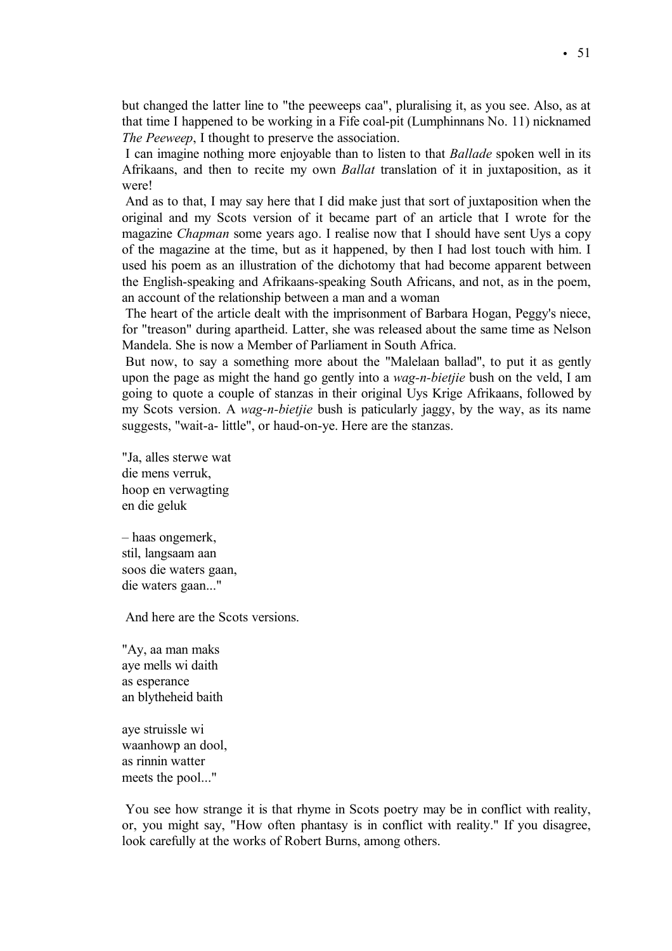but changed the latter line to "the peeweeps caa", pluralising it, as you see. Also, as at that time I happened to be working in a Fife coal-pit (Lumphinnans No. 11) nicknamed *The Peeweep*, I thought to preserve the association.

I can imagine nothing more enjoyable than to listen to that *Ballade* spoken well in its Afrikaans, and then to recite my own *Ballat* translation of it in juxtaposition, as it were!

And as to that, I may say here that I did make just that sort of juxtaposition when the original and my Scots version of it became part of an article that I wrote for the magazine *Chapman* some years ago. I realise now that I should have sent Uys a copy of the magazine at the time, but as it happened, by then I had lost touch with him. I used his poem as an illustration of the dichotomy that had become apparent between the English-speaking and Afrikaans-speaking South Africans, and not, as in the poem, an account of the relationship between a man and a woman

The heart of the article dealt with the imprisonment of Barbara Hogan, Peggy's niece, for "treason" during apartheid. Latter, she was released about the same time as Nelson Mandela. She is now a Member of Parliament in South Africa.

But now, to say a something more about the "Malelaan ballad", to put it as gently upon the page as might the hand go gently into a *wag-n-bietjie* bush on the veld, I am going to quote a couple of stanzas in their original Uys Krige Afrikaans, followed by my Scots version. A *wag-n-bietjie* bush is paticularly jaggy, by the way, as its name suggests, "wait-a- little", or haud-on-ye. Here are the stanzas.

"Ja, alles sterwe wat die mens verruk, hoop en verwagting en die geluk

– haas ongemerk, stil, langsaam aan soos die waters gaan, die waters gaan..."

And here are the Scots versions.

"Ay, aa man maks aye mells wi daith as esperance an blytheheid baith

aye struissle wi waanhowp an dool, as rinnin watter meets the pool..."

You see how strange it is that rhyme in Scots poetry may be in conflict with reality, or, you might say, "How often phantasy is in conflict with reality." If you disagree, look carefully at the works of Robert Burns, among others.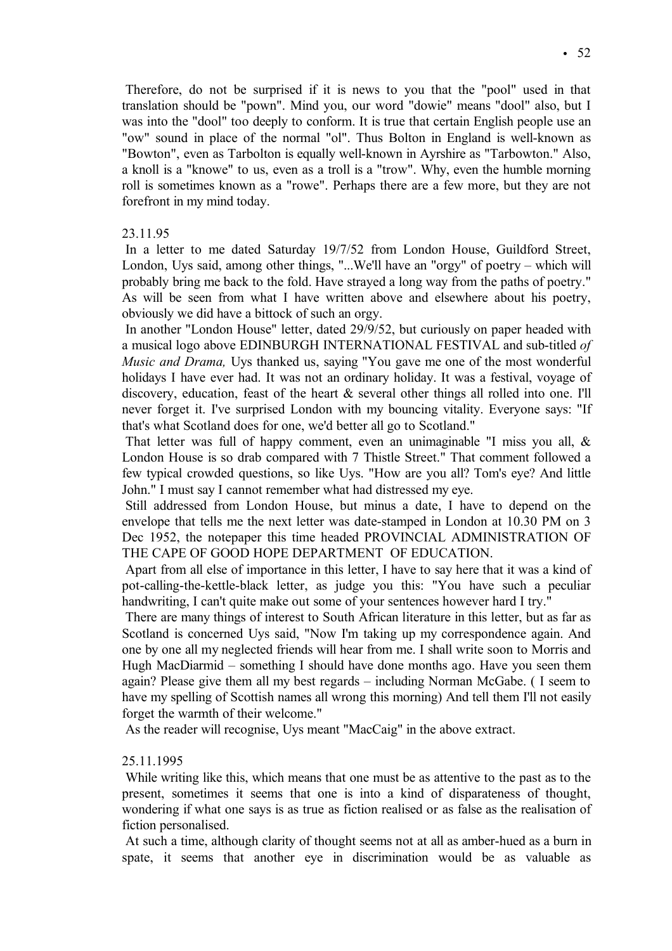Therefore, do not be surprised if it is news to you that the "pool" used in that translation should be "pown". Mind you, our word "dowie" means "dool" also, but I was into the "dool" too deeply to conform. It is true that certain English people use an "ow" sound in place of the normal "ol". Thus Bolton in England is well-known as "Bowton", even as Tarbolton is equally well-known in Ayrshire as "Tarbowton." Also, a knoll is a "knowe" to us, even as a troll is a "trow". Why, even the humble morning roll is sometimes known as a "rowe". Perhaps there are a few more, but they are not forefront in my mind today.

# 23.11.95

In a letter to me dated Saturday 19/7/52 from London House, Guildford Street, London, Uys said, among other things, "...We'll have an "orgy" of poetry – which will probably bring me back to the fold. Have strayed a long way from the paths of poetry." As will be seen from what I have written above and elsewhere about his poetry, obviously we did have a bittock of such an orgy.

In another "London House" letter, dated 29/9/52, but curiously on paper headed with a musical logo above EDINBURGH INTERNATIONAL FESTIVAL and sub-titled *of Music and Drama,* Uys thanked us, saying "You gave me one of the most wonderful holidays I have ever had. It was not an ordinary holiday. It was a festival, voyage of discovery, education, feast of the heart & several other things all rolled into one. I'll never forget it. I've surprised London with my bouncing vitality. Everyone says: "If that's what Scotland does for one, we'd better all go to Scotland."

That letter was full of happy comment, even an unimaginable "I miss you all, & London House is so drab compared with 7 Thistle Street." That comment followed a few typical crowded questions, so like Uys. "How are you all? Tom's eye? And little John." I must say I cannot remember what had distressed my eye.

Still addressed from London House, but minus a date, I have to depend on the envelope that tells me the next letter was date-stamped in London at 10.30 PM on 3 Dec 1952, the notepaper this time headed PROVINCIAL ADMINISTRATION OF THE CAPE OF GOOD HOPE DEPARTMENT OF EDUCATION.

Apart from all else of importance in this letter, I have to say here that it was a kind of pot-calling-the-kettle-black letter, as judge you this: "You have such a peculiar handwriting, I can't quite make out some of your sentences however hard I try."

There are many things of interest to South African literature in this letter, but as far as Scotland is concerned Uys said, "Now I'm taking up my correspondence again. And one by one all my neglected friends will hear from me. I shall write soon to Morris and Hugh MacDiarmid – something I should have done months ago. Have you seen them again? Please give them all my best regards – including Norman McGabe. ( I seem to have my spelling of Scottish names all wrong this morning) And tell them I'll not easily forget the warmth of their welcome."

As the reader will recognise, Uys meant "MacCaig" in the above extract.

## 25.11.1995

While writing like this, which means that one must be as attentive to the past as to the present, sometimes it seems that one is into a kind of disparateness of thought, wondering if what one says is as true as fiction realised or as false as the realisation of fiction personalised.

At such a time, although clarity of thought seems not at all as amber-hued as a burn in spate, it seems that another eye in discrimination would be as valuable as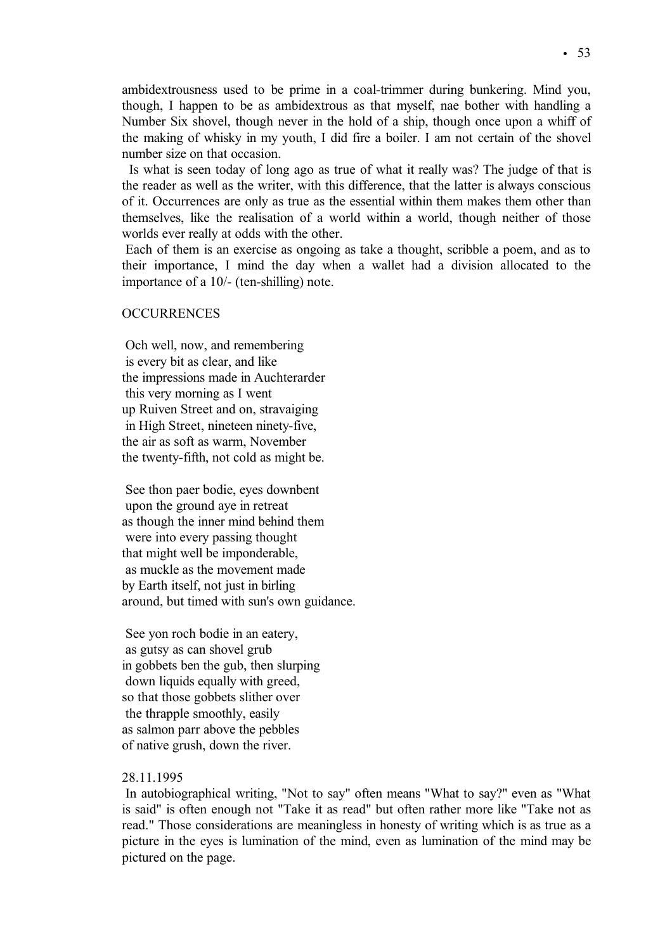ambidextrousness used to be prime in a coal-trimmer during bunkering. Mind you, though, I happen to be as ambidextrous as that myself, nae bother with handling a Number Six shovel, though never in the hold of a ship, though once upon a whiff of the making of whisky in my youth, I did fire a boiler. I am not certain of the shovel number size on that occasion.

Is what is seen today of long ago as true of what it really was? The judge of that is the reader as well as the writer, with this difference, that the latter is always conscious of it. Occurrences are only as true as the essential within them makes them other than themselves, like the realisation of a world within a world, though neither of those worlds ever really at odds with the other.

Each of them is an exercise as ongoing as take a thought, scribble a poem, and as to their importance, I mind the day when a wallet had a division allocated to the importance of a 10/- (ten-shilling) note.

#### **OCCURRENCES**

Och well, now, and remembering is every bit as clear, and like the impressions made in Auchterarder this very morning as I went up Ruiven Street and on, stravaiging in High Street, nineteen ninety-five, the air as soft as warm, November the twenty-fifth, not cold as might be.

See thon paer bodie, eyes downbent upon the ground aye in retreat as though the inner mind behind them were into every passing thought that might well be imponderable, as muckle as the movement made by Earth itself, not just in birling around, but timed with sun's own guidance.

See yon roch bodie in an eatery, as gutsy as can shovel grub in gobbets ben the gub, then slurping down liquids equally with greed, so that those gobbets slither over the thrapple smoothly, easily as salmon parr above the pebbles of native grush, down the river.

# 28.11.1995

In autobiographical writing, "Not to say" often means "What to say?" even as "What is said" is often enough not "Take it as read" but often rather more like "Take not as read." Those considerations are meaningless in honesty of writing which is as true as a picture in the eyes is lumination of the mind, even as lumination of the mind may be pictured on the page.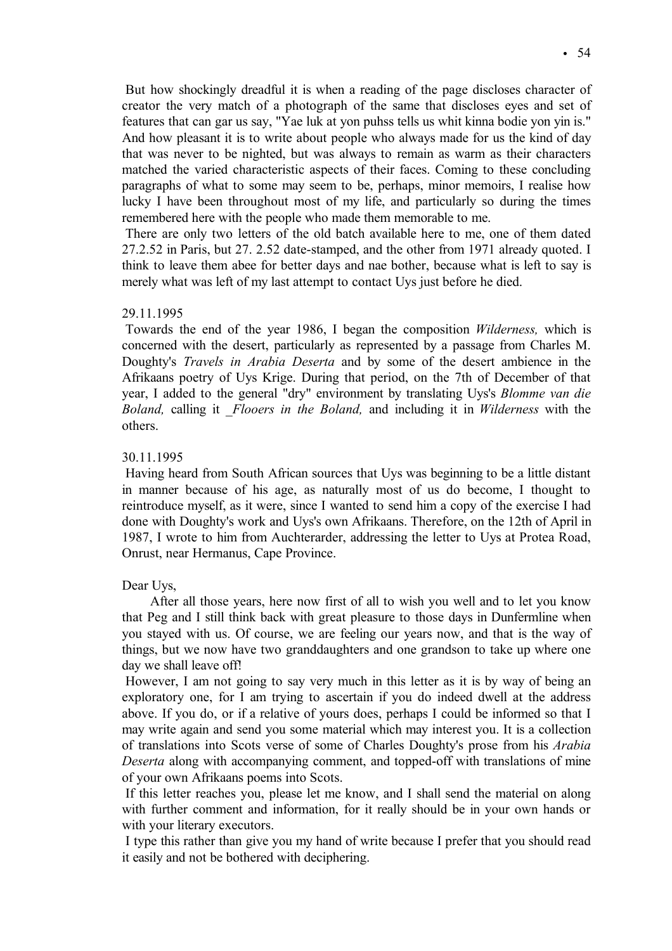But how shockingly dreadful it is when a reading of the page discloses character of creator the very match of a photograph of the same that discloses eyes and set of features that can gar us say, "Yae luk at yon puhss tells us whit kinna bodie yon yin is." And how pleasant it is to write about people who always made for us the kind of day that was never to be nighted, but was always to remain as warm as their characters matched the varied characteristic aspects of their faces. Coming to these concluding paragraphs of what to some may seem to be, perhaps, minor memoirs, I realise how lucky I have been throughout most of my life, and particularly so during the times remembered here with the people who made them memorable to me.

There are only two letters of the old batch available here to me, one of them dated 27.2.52 in Paris, but 27. 2.52 date-stamped, and the other from 1971 already quoted. I think to leave them abee for better days and nae bother, because what is left to say is merely what was left of my last attempt to contact Uys just before he died.

#### 29.11.1995

Towards the end of the year 1986, I began the composition *Wilderness,* which is concerned with the desert, particularly as represented by a passage from Charles M. Doughty's *Travels in Arabia Deserta* and by some of the desert ambience in the Afrikaans poetry of Uys Krige. During that period, on the 7th of December of that year, I added to the general "dry" environment by translating Uys's *Blomme van die Boland,* calling it \_*Flooers in the Boland,* and including it in *Wilderness* with the others.

### 30.11.1995

Having heard from South African sources that Uys was beginning to be a little distant in manner because of his age, as naturally most of us do become, I thought to reintroduce myself, as it were, since I wanted to send him a copy of the exercise I had done with Doughty's work and Uys's own Afrikaans. Therefore, on the 12th of April in 1987, I wrote to him from Auchterarder, addressing the letter to Uys at Protea Road, Onrust, near Hermanus, Cape Province.

#### Dear Uys,

After all those years, here now first of all to wish you well and to let you know that Peg and I still think back with great pleasure to those days in Dunfermline when you stayed with us. Of course, we are feeling our years now, and that is the way of things, but we now have two granddaughters and one grandson to take up where one day we shall leave off!

However, I am not going to say very much in this letter as it is by way of being an exploratory one, for I am trying to ascertain if you do indeed dwell at the address above. If you do, or if a relative of yours does, perhaps I could be informed so that I may write again and send you some material which may interest you. It is a collection of translations into Scots verse of some of Charles Doughty's prose from his *Arabia Deserta* along with accompanying comment, and topped-off with translations of mine of your own Afrikaans poems into Scots.

If this letter reaches you, please let me know, and I shall send the material on along with further comment and information, for it really should be in your own hands or with your literary executors.

I type this rather than give you my hand of write because I prefer that you should read it easily and not be bothered with deciphering.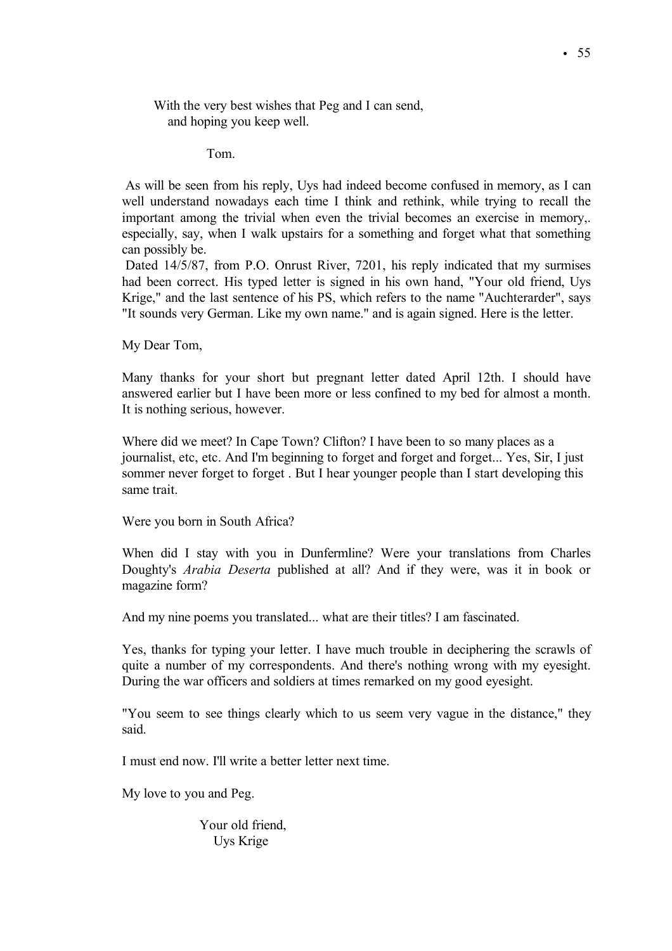With the very best wishes that Peg and I can send, and hoping you keep well.

Tom.

As will be seen from his reply, Uys had indeed become confused in memory, as I can well understand nowadays each time I think and rethink, while trying to recall the important among the trivial when even the trivial becomes an exercise in memory,. especially, say, when I walk upstairs for a something and forget what that something can possibly be.

Dated 14/5/87, from P.O. Onrust River, 7201, his reply indicated that my surmises had been correct. His typed letter is signed in his own hand, "Your old friend, Uys Krige," and the last sentence of his PS, which refers to the name "Auchterarder", says "It sounds very German. Like my own name." and is again signed. Here is the letter.

My Dear Tom,

Many thanks for your short but pregnant letter dated April 12th. I should have answered earlier but I have been more or less confined to my bed for almost a month. It is nothing serious, however.

Where did we meet? In Cape Town? Clifton? I have been to so many places as a journalist, etc, etc. And I'm beginning to forget and forget and forget... Yes, Sir, I just sommer never forget to forget. But I hear younger people than I start developing this same trait.

Were you born in South Africa?

When did I stay with you in Dunfermline? Were your translations from Charles Doughty's *Arabia Deserta* published at all? And if they were, was it in book or magazine form?

And my nine poems you translated... what are their titles? I am fascinated.

Yes, thanks for typing your letter. I have much trouble in deciphering the scrawls of quite a number of my correspondents. And there's nothing wrong with my eyesight. During the war officers and soldiers at times remarked on my good eyesight.

"You seem to see things clearly which to us seem very vague in the distance," they said.

I must end now. I'll write a better letter next time.

My love to you and Peg.

Your old friend, Uys Krige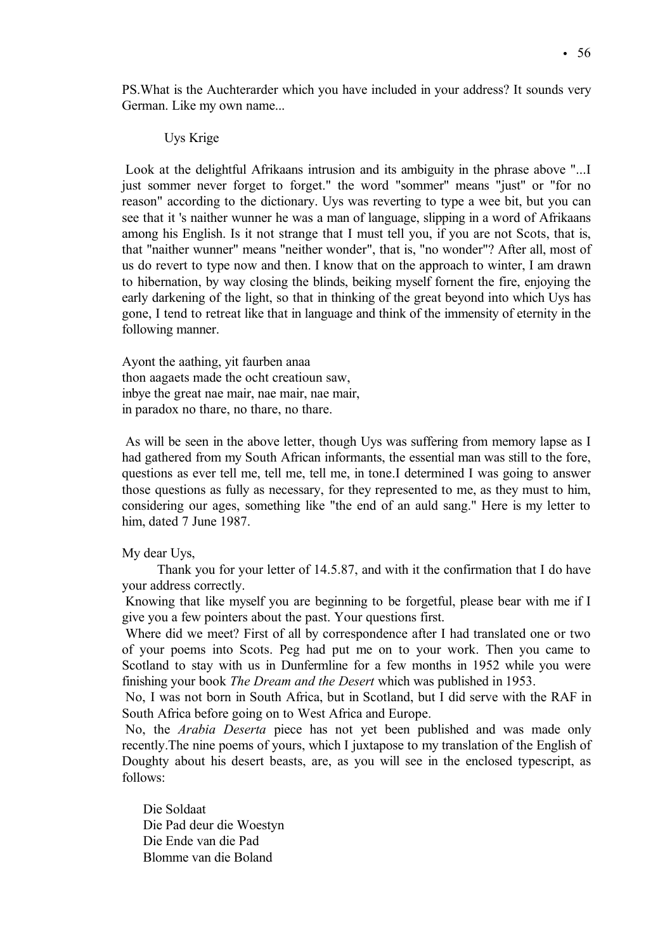PS.What is the Auchterarder which you have included in your address? It sounds very German. Like my own name...

# Uys Krige

Look at the delightful Afrikaans intrusion and its ambiguity in the phrase above "...I just sommer never forget to forget." the word "sommer" means "just" or "for no reason" according to the dictionary. Uys was reverting to type a wee bit, but you can see that it 's naither wunner he was a man of language, slipping in a word of Afrikaans among his English. Is it not strange that I must tell you, if you are not Scots, that is, that "naither wunner" means "neither wonder", that is, "no wonder"? After all, most of us do revert to type now and then. I know that on the approach to winter, I am drawn to hibernation, by way closing the blinds, beiking myself fornent the fire, enjoying the early darkening of the light, so that in thinking of the great beyond into which Uys has gone, I tend to retreat like that in language and think of the immensity of eternity in the following manner.

Ayont the aathing, yit faurben anaa thon aagaets made the ocht creatioun saw, inbye the great nae mair, nae mair, nae mair, in paradox no thare, no thare, no thare.

As will be seen in the above letter, though Uys was suffering from memory lapse as I had gathered from my South African informants, the essential man was still to the fore, questions as ever tell me, tell me, tell me, in tone.I determined I was going to answer those questions as fully as necessary, for they represented to me, as they must to him, considering our ages, something like "the end of an auld sang." Here is my letter to him, dated 7 June 1987.

My dear Uys,

Thank you for your letter of 14.5.87, and with it the confirmation that I do have your address correctly.

Knowing that like myself you are beginning to be forgetful, please bear with me if I give you a few pointers about the past. Your questions first.

Where did we meet? First of all by correspondence after I had translated one or two of your poems into Scots. Peg had put me on to your work. Then you came to Scotland to stay with us in Dunfermline for a few months in 1952 while you were finishing your book *The Dream and the Desert* which was published in 1953.

No, I was not born in South Africa, but in Scotland, but I did serve with the RAF in South Africa before going on to West Africa and Europe.

No, the *Arabia Deserta* piece has not yet been published and was made only recently.The nine poems of yours, which I juxtapose to my translation of the English of Doughty about his desert beasts, are, as you will see in the enclosed typescript, as follows:

Die Soldaat Die Pad deur die Woestyn Die Ende van die Pad Blomme van die Boland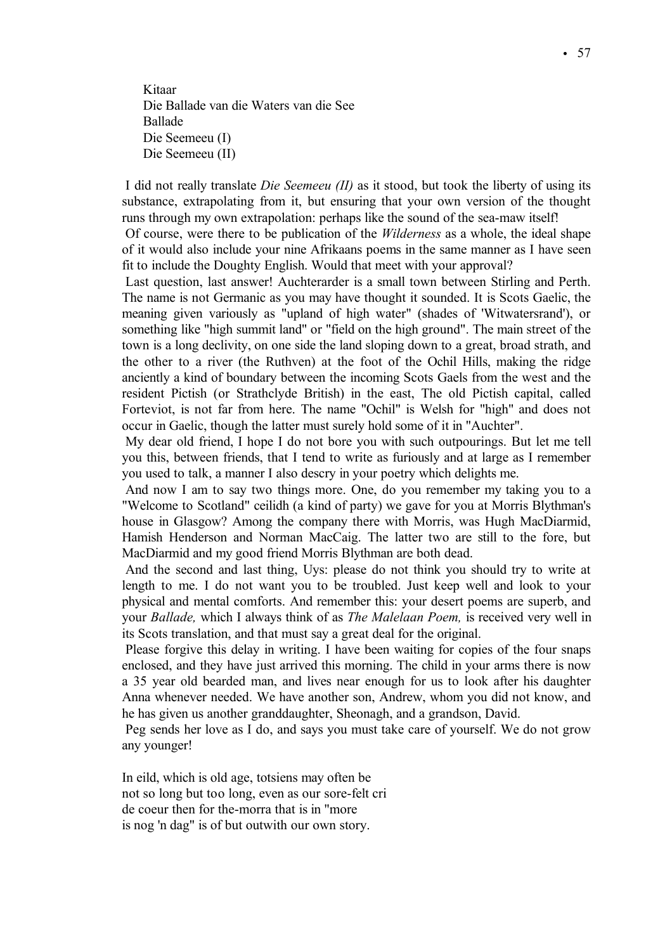Kitaar Die Ballade van die Waters van die See Ballade Die Seemeeu (I) Die Seemeeu (II)

I did not really translate *Die Seemeeu (II)* as it stood, but took the liberty of using its substance, extrapolating from it, but ensuring that your own version of the thought runs through my own extrapolation: perhaps like the sound of the sea-maw itself!

Of course, were there to be publication of the *Wilderness* as a whole, the ideal shape of it would also include your nine Afrikaans poems in the same manner as I have seen fit to include the Doughty English. Would that meet with your approval?

Last question, last answer! Auchterarder is a small town between Stirling and Perth. The name is not Germanic as you may have thought it sounded. It is Scots Gaelic, the meaning given variously as "upland of high water" (shades of 'Witwatersrand'), or something like "high summit land" or "field on the high ground". The main street of the town is a long declivity, on one side the land sloping down to a great, broad strath, and the other to a river (the Ruthven) at the foot of the Ochil Hills, making the ridge anciently a kind of boundary between the incoming Scots Gaels from the west and the resident Pictish (or Strathclyde British) in the east, The old Pictish capital, called Forteviot, is not far from here. The name "Ochil" is Welsh for "high" and does not occur in Gaelic, though the latter must surely hold some of it in "Auchter".

My dear old friend, I hope I do not bore you with such outpourings. But let me tell you this, between friends, that I tend to write as furiously and at large as I remember you used to talk, a manner I also descry in your poetry which delights me.

And now I am to say two things more. One, do you remember my taking you to a "Welcome to Scotland" ceilidh (a kind of party) we gave for you at Morris Blythman's house in Glasgow? Among the company there with Morris, was Hugh MacDiarmid, Hamish Henderson and Norman MacCaig. The latter two are still to the fore, but MacDiarmid and my good friend Morris Blythman are both dead.

And the second and last thing, Uys: please do not think you should try to write at length to me. I do not want you to be troubled. Just keep well and look to your physical and mental comforts. And remember this: your desert poems are superb, and your *Ballade,* which I always think of as *The Malelaan Poem,* is received very well in its Scots translation, and that must say a great deal for the original.

Please forgive this delay in writing. I have been waiting for copies of the four snaps enclosed, and they have just arrived this morning. The child in your arms there is now a 35 year old bearded man, and lives near enough for us to look after his daughter Anna whenever needed. We have another son, Andrew, whom you did not know, and he has given us another granddaughter, Sheonagh, and a grandson, David.

Peg sends her love as I do, and says you must take care of yourself. We do not grow any younger!

In eild, which is old age, totsiens may often be not so long but too long, even as our sore-felt cri de coeur then for the-morra that is in "more is nog 'n dag" is of but outwith our own story.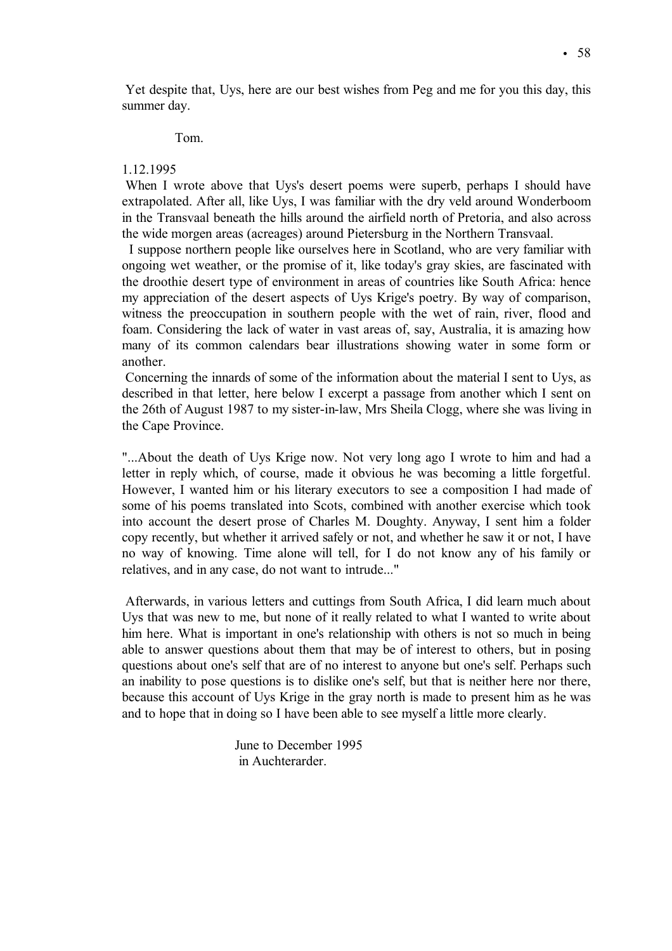Yet despite that, Uys, here are our best wishes from Peg and me for you this day, this summer day.

# Tom.

# 1.12.1995

When I wrote above that Uys's desert poems were superb, perhaps I should have extrapolated. After all, like Uys, I was familiar with the dry veld around Wonderboom in the Transvaal beneath the hills around the airfield north of Pretoria, and also across the wide morgen areas (acreages) around Pietersburg in the Northern Transvaal.

I suppose northern people like ourselves here in Scotland, who are very familiar with ongoing wet weather, or the promise of it, like today's gray skies, are fascinated with the droothie desert type of environment in areas of countries like South Africa: hence my appreciation of the desert aspects of Uys Krige's poetry. By way of comparison, witness the preoccupation in southern people with the wet of rain, river, flood and foam. Considering the lack of water in vast areas of, say, Australia, it is amazing how many of its common calendars bear illustrations showing water in some form or another.

Concerning the innards of some of the information about the material I sent to Uys, as described in that letter, here below I excerpt a passage from another which I sent on the 26th of August 1987 to my sister-in-law, Mrs Sheila Clogg, where she was living in the Cape Province.

"...About the death of Uys Krige now. Not very long ago I wrote to him and had a letter in reply which, of course, made it obvious he was becoming a little forgetful. However, I wanted him or his literary executors to see a composition I had made of some of his poems translated into Scots, combined with another exercise which took into account the desert prose of Charles M. Doughty. Anyway, I sent him a folder copy recently, but whether it arrived safely or not, and whether he saw it or not, I have no way of knowing. Time alone will tell, for I do not know any of his family or relatives, and in any case, do not want to intrude..."

Afterwards, in various letters and cuttings from South Africa, I did learn much about Uys that was new to me, but none of it really related to what I wanted to write about him here. What is important in one's relationship with others is not so much in being able to answer questions about them that may be of interest to others, but in posing questions about one's self that are of no interest to anyone but one's self. Perhaps such an inability to pose questions is to dislike one's self, but that is neither here nor there, because this account of Uys Krige in the gray north is made to present him as he was and to hope that in doing so I have been able to see myself a little more clearly.

> June to December 1995 in Auchterarder.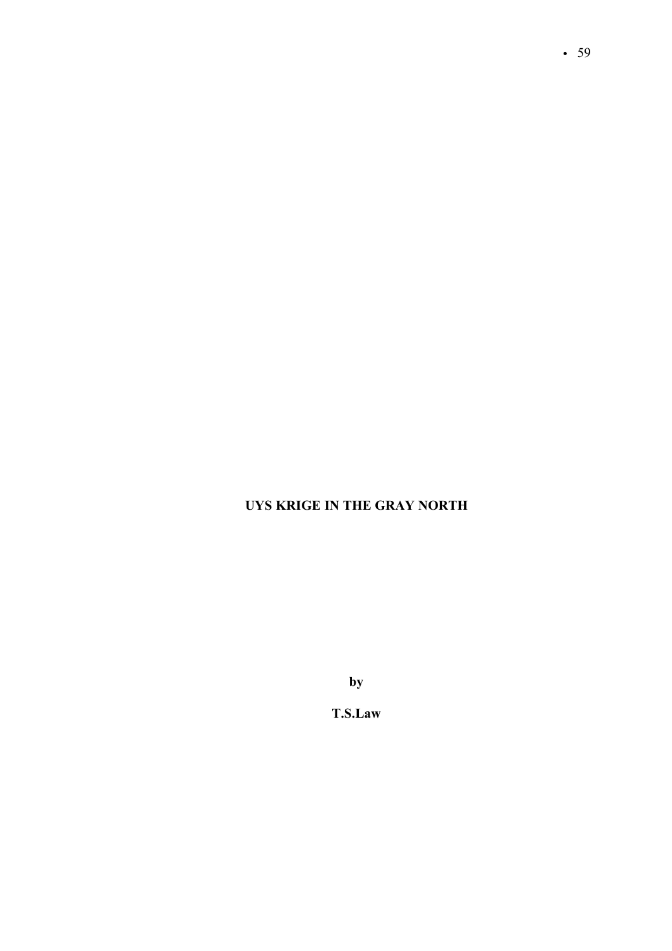# **UYS KRIGE IN THE GRAY NORTH**

**by**

**T.S.Law**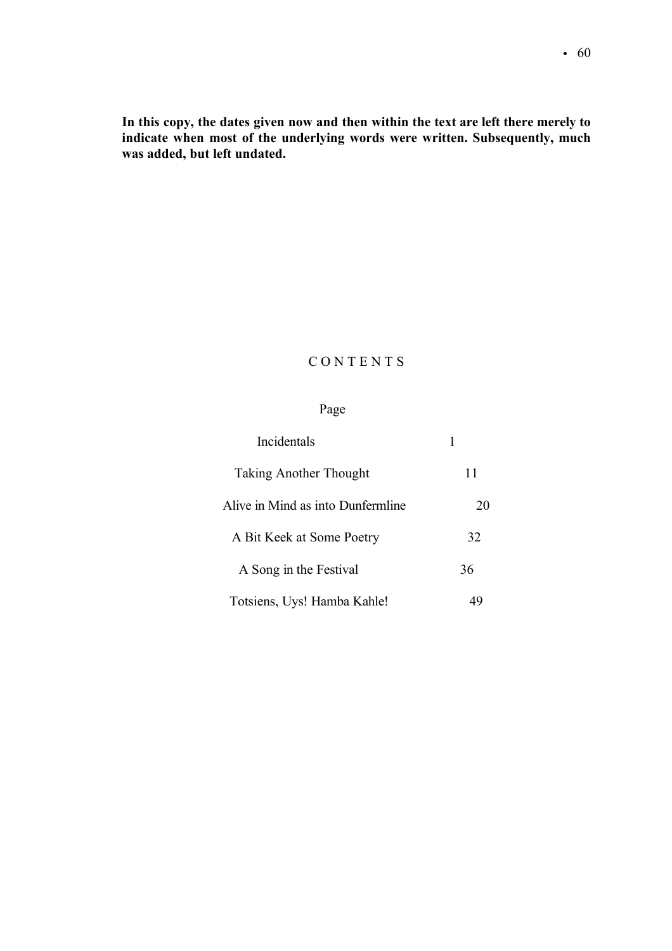**In this copy, the dates given now and then within the text are left there merely to indicate when most of the underlying words were written. Subsequently, much was added, but left undated.** 

# C O N T E N T S

# Page

| Incidentals                       |    |
|-----------------------------------|----|
| <b>Taking Another Thought</b>     | 11 |
| Alive in Mind as into Dunfermline | 20 |
| A Bit Keek at Some Poetry         | 32 |
| A Song in the Festival            | 36 |
| Totsiens, Uys! Hamba Kahle!       |    |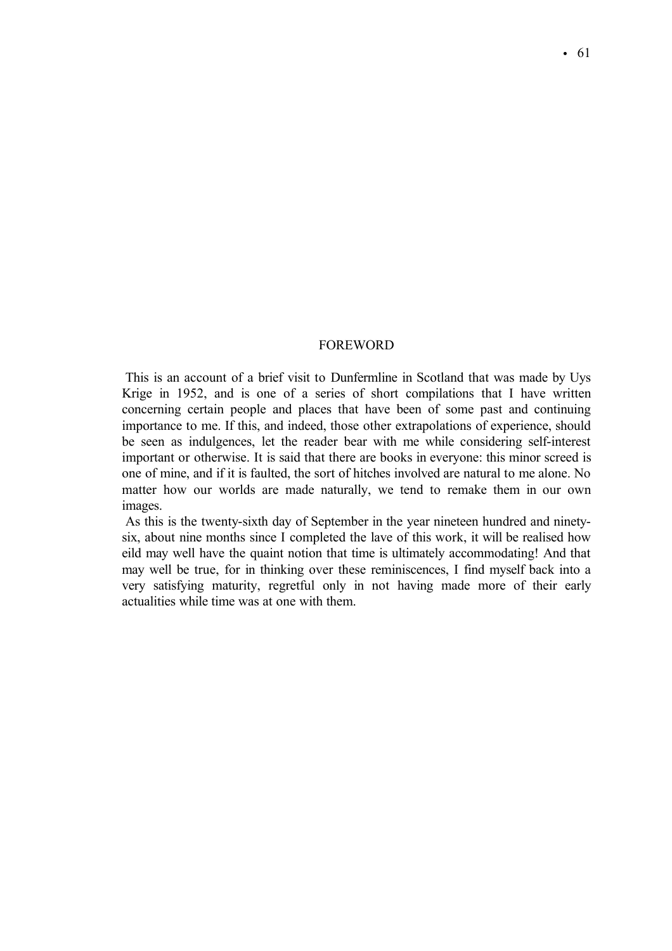## FOREWORD

This is an account of a brief visit to Dunfermline in Scotland that was made by Uys Krige in 1952, and is one of a series of short compilations that I have written concerning certain people and places that have been of some past and continuing importance to me. If this, and indeed, those other extrapolations of experience, should be seen as indulgences, let the reader bear with me while considering self-interest important or otherwise. It is said that there are books in everyone: this minor screed is one of mine, and if it is faulted, the sort of hitches involved are natural to me alone. No matter how our worlds are made naturally, we tend to remake them in our own images.

As this is the twenty-sixth day of September in the year nineteen hundred and ninetysix, about nine months since I completed the lave of this work, it will be realised how eild may well have the quaint notion that time is ultimately accommodating! And that may well be true, for in thinking over these reminiscences, I find myself back into a very satisfying maturity, regretful only in not having made more of their early actualities while time was at one with them.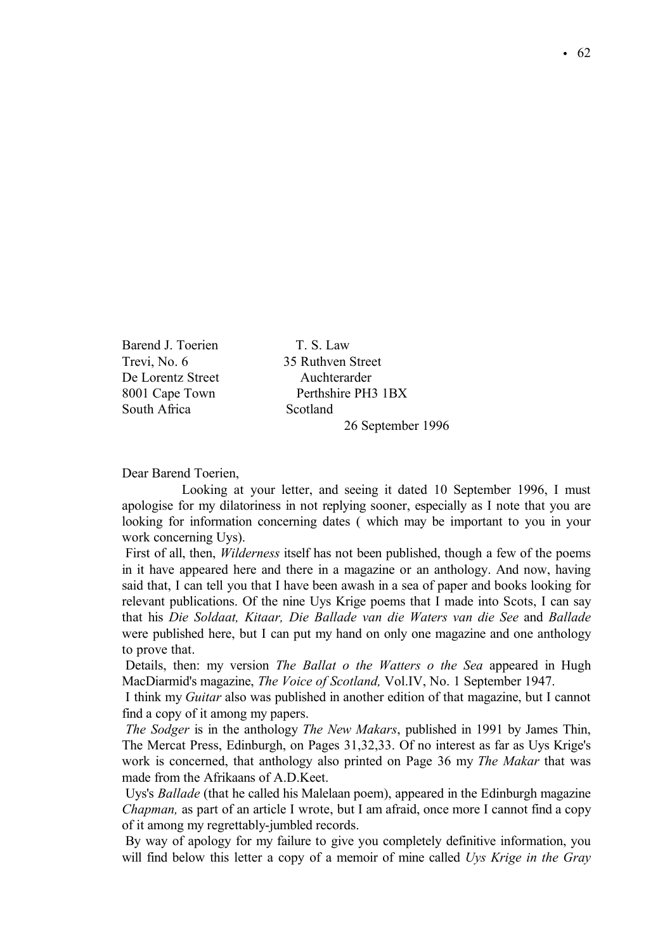Barend J. Toerien T. S. Law Trevi, No. 6 35 Ruthven Street De Lorentz Street Auchterarder South Africa Scotland

8001 Cape Town Perthshire PH3 1BX 26 September 1996

Dear Barend Toerien,

Looking at your letter, and seeing it dated 10 September 1996, I must apologise for my dilatoriness in not replying sooner, especially as I note that you are looking for information concerning dates ( which may be important to you in your work concerning Uys).

First of all, then, *Wilderness* itself has not been published, though a few of the poems in it have appeared here and there in a magazine or an anthology. And now, having said that, I can tell you that I have been awash in a sea of paper and books looking for relevant publications. Of the nine Uys Krige poems that I made into Scots, I can say that his *Die Soldaat, Kitaar, Die Ballade van die Waters van die See* and *Ballade* were published here, but I can put my hand on only one magazine and one anthology to prove that.

Details, then: my version *The Ballat o the Watters o the Sea* appeared in Hugh MacDiarmid's magazine, *The Voice of Scotland,* Vol.IV, No. 1 September 1947.

I think my *Guitar* also was published in another edition of that magazine, but I cannot find a copy of it among my papers.

*The Sodger* is in the anthology *The New Makars*, published in 1991 by James Thin, The Mercat Press, Edinburgh, on Pages 31,32,33. Of no interest as far as Uys Krige's work is concerned, that anthology also printed on Page 36 my *The Makar* that was made from the Afrikaans of A.D.Keet.

Uys's *Ballade* (that he called his Malelaan poem), appeared in the Edinburgh magazine *Chapman,* as part of an article I wrote, but I am afraid, once more I cannot find a copy of it among my regrettably-jumbled records.

By way of apology for my failure to give you completely definitive information, you will find below this letter a copy of a memoir of mine called *Uys Krige in the Gray*